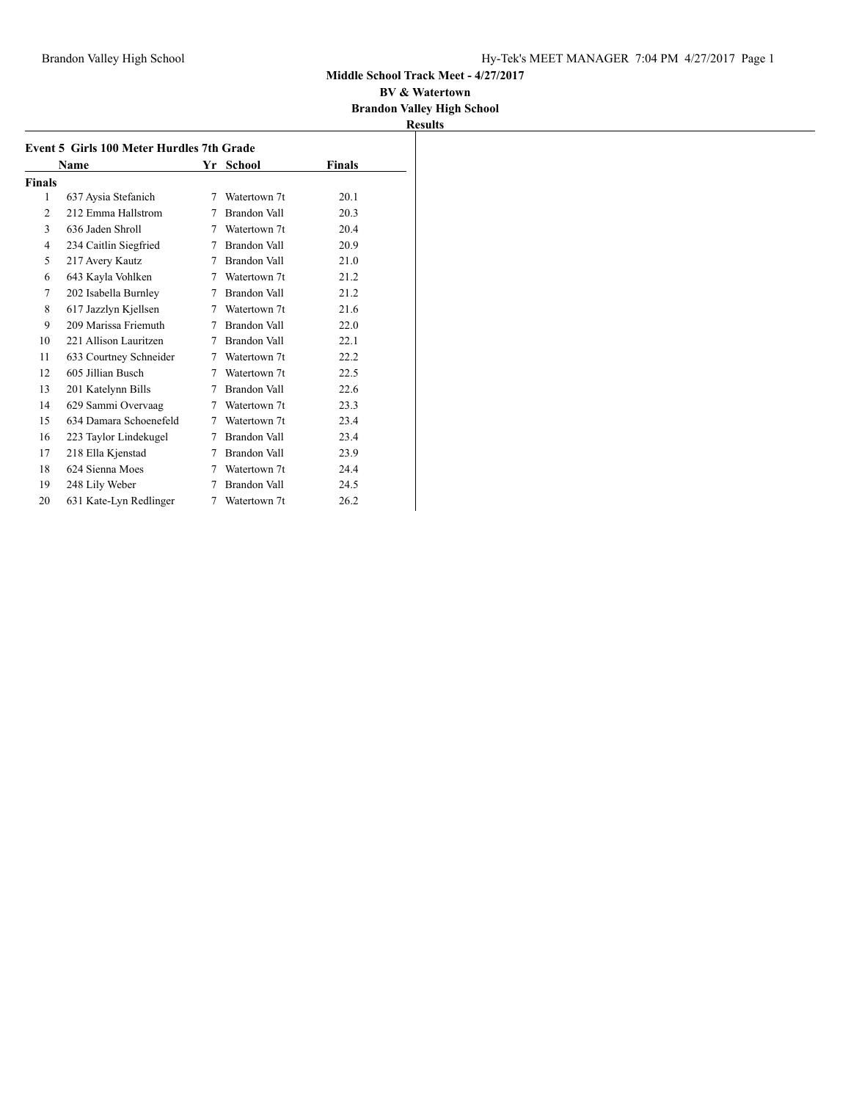#### **BV & Watertown Brandon Valley High School**

|        | Name                   |   | Yr School           | <b>Finals</b> |
|--------|------------------------|---|---------------------|---------------|
| Finals |                        |   |                     |               |
| 1      | 637 Aysia Stefanich    | 7 | Watertown 7t        | 20.1          |
| 2      | 212 Emma Hallstrom     | 7 | Brandon Vall        | 20.3          |
| 3      | 636 Jaden Shroll       | 7 | Watertown 7t        | 20.4          |
| 4      | 234 Caitlin Siegfried  | 7 | Brandon Vall        | 20.9          |
| 5      | 217 Avery Kautz        | 7 | Brandon Vall        | 21.0          |
| 6      | 643 Kayla Vohlken      | 7 | Watertown 7t        | 21.2          |
| 7      | 202 Isabella Burnley   | 7 | Brandon Vall        | 21.2          |
| 8      | 617 Jazzlyn Kjellsen   | 7 | Watertown 7t        | 21.6          |
| 9      | 209 Marissa Friemuth   | 7 | Brandon Vall        | 22.0          |
| 10     | 221 Allison Lauritzen  | 7 | Brandon Vall        | 22.1          |
| 11     | 633 Courtney Schneider | 7 | Watertown 7t        | 22.2          |
| 12     | 605 Jillian Busch      | 7 | Watertown 7t        | 22.5          |
| 13     | 201 Katelynn Bills     | 7 | Brandon Vall        | 22.6          |
| 14     | 629 Sammi Overvaag     | 7 | Watertown 7t        | 23.3          |
| 15     | 634 Damara Schoenefeld | 7 | Watertown 7t        | 23.4          |
| 16     | 223 Taylor Lindekugel  | 7 | <b>Brandon Vall</b> | 23.4          |
| 17     | 218 Ella Kjenstad      | 7 | Brandon Vall        | 23.9          |
| 18     | 624 Sienna Moes        | 7 | Watertown 7t        | 24.4          |
| 19     | 248 Lily Weber         | 7 | Brandon Vall        | 24.5          |
| 20     | 631 Kate-Lyn Redlinger | 7 | Watertown 7t        | 26.2          |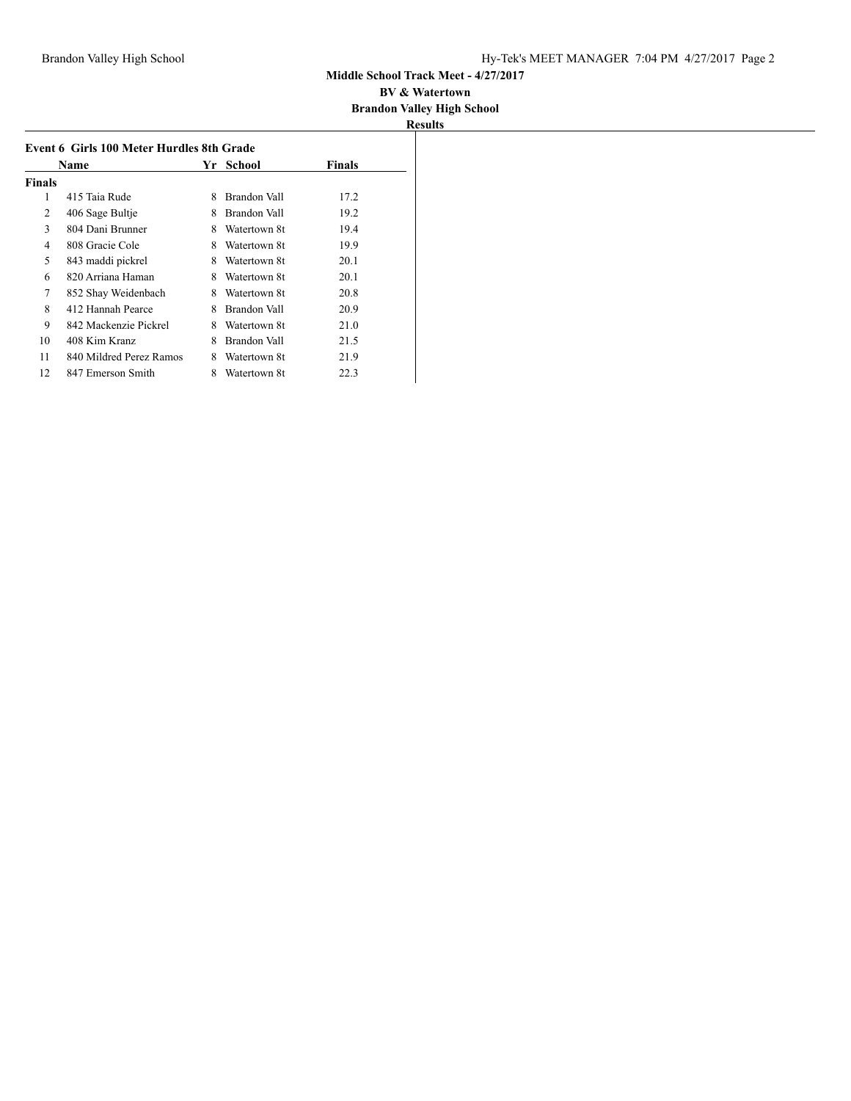|               |                                           |   |              |        | <b>Results</b> |
|---------------|-------------------------------------------|---|--------------|--------|----------------|
|               | Event 6 Girls 100 Meter Hurdles 8th Grade |   |              |        |                |
|               | Name                                      |   | Yr School    | Finals |                |
| <b>Finals</b> |                                           |   |              |        |                |
| 1             | 415 Taia Rude                             | 8 | Brandon Vall | 17.2   |                |
| 2             | 406 Sage Bultje                           | 8 | Brandon Vall | 19.2   |                |
| 3             | 804 Dani Brunner                          | 8 | Watertown 8t | 19.4   |                |
| 4             | 808 Gracie Cole                           | 8 | Watertown 8t | 19.9   |                |
| 5             | 843 maddi pickrel                         | 8 | Watertown 8t | 20.1   |                |
| 6             | 820 Arriana Haman                         | 8 | Watertown 8t | 20.1   |                |
| 7             | 852 Shay Weidenbach                       | 8 | Watertown 8t | 20.8   |                |
| 8             | 412 Hannah Pearce                         | 8 | Brandon Vall | 20.9   |                |
| 9             | 842 Mackenzie Pickrel                     | 8 | Watertown 8t | 21.0   |                |
| 10            | 408 Kim Kranz                             | 8 | Brandon Vall | 21.5   |                |
| 11            | 840 Mildred Perez Ramos                   | 8 | Watertown 8t | 21.9   |                |
| 12            | 847 Emerson Smith                         | 8 | Watertown 8t | 22.3   |                |
|               |                                           |   |              |        |                |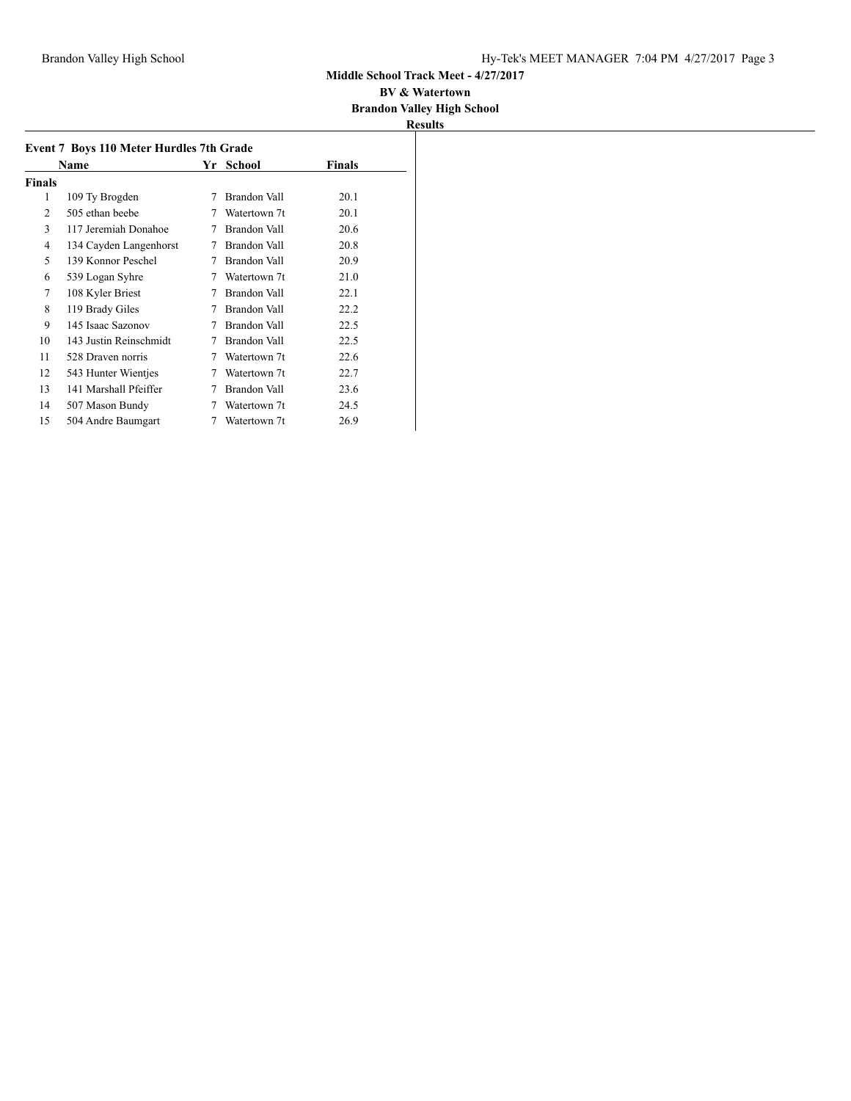| <b>Event 7 Boys 110 Meter Hurdles 7th Grade</b> |                        |    |              |               |  |
|-------------------------------------------------|------------------------|----|--------------|---------------|--|
|                                                 | Name                   | Yr | School       | <b>Finals</b> |  |
| Finals                                          |                        |    |              |               |  |
| 1                                               | 109 Ty Brogden         | 7  | Brandon Vall | 20.1          |  |
| 2                                               | 505 ethan beebe        |    | Watertown 7t | 20.1          |  |
| 3                                               | 117 Jeremiah Donahoe   | 7  | Brandon Vall | 20.6          |  |
| 4                                               | 134 Cayden Langenhorst | 7  | Brandon Vall | 20.8          |  |
| 5                                               | 139 Konnor Peschel     | 7  | Brandon Vall | 20.9          |  |
| 6                                               | 539 Logan Syhre        | 7  | Watertown 7t | 21.0          |  |
| 7                                               | 108 Kyler Briest       | 7  | Brandon Vall | 22.1          |  |
| 8                                               | 119 Brady Giles        | 7  | Brandon Vall | 22.2          |  |
| 9                                               | 145 Isaac Sazonov      | 7  | Brandon Vall | 22.5          |  |
| 10                                              | 143 Justin Reinschmidt | 7  | Brandon Vall | 22.5          |  |
| 11                                              | 528 Draven norris      | 7  | Watertown 7t | 22.6          |  |
| 12                                              | 543 Hunter Wientjes    | 7  | Watertown 7t | 22.7          |  |
| 13                                              | 141 Marshall Pfeiffer  | 7  | Brandon Vall | 23.6          |  |
| 14                                              | 507 Mason Bundy        |    | Watertown 7t | 24.5          |  |
| 15                                              | 504 Andre Baumgart     | 7  | Watertown 7t | 26.9          |  |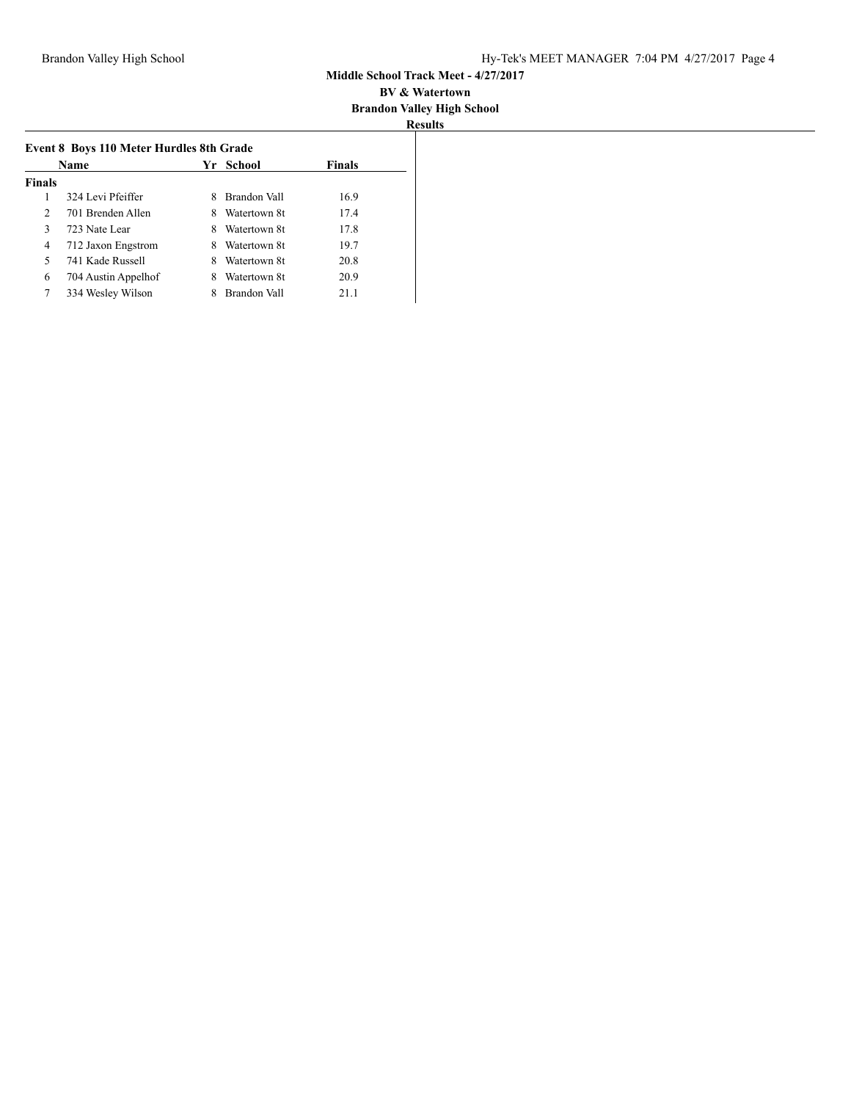|                | Name                |   | Yr School    | <b>Finals</b> |
|----------------|---------------------|---|--------------|---------------|
| <b>Finals</b>  |                     |   |              |               |
| 1              | 324 Levi Pfeiffer   | 8 | Brandon Vall | 16.9          |
| $\mathfrak{D}$ | 701 Brenden Allen   | 8 | Watertown 8t | 17.4          |
| $\mathbf{3}$   | 723 Nate Lear       | 8 | Watertown 8t | 17.8          |
| 4              | 712 Jaxon Engstrom  | 8 | Watertown 8t | 19.7          |
| 5              | 741 Kade Russell    | 8 | Watertown 8t | 20.8          |
| 6              | 704 Austin Appelhof | 8 | Watertown 8t | 20.9          |
|                | 334 Wesley Wilson   |   | Brandon Vall | 21.1          |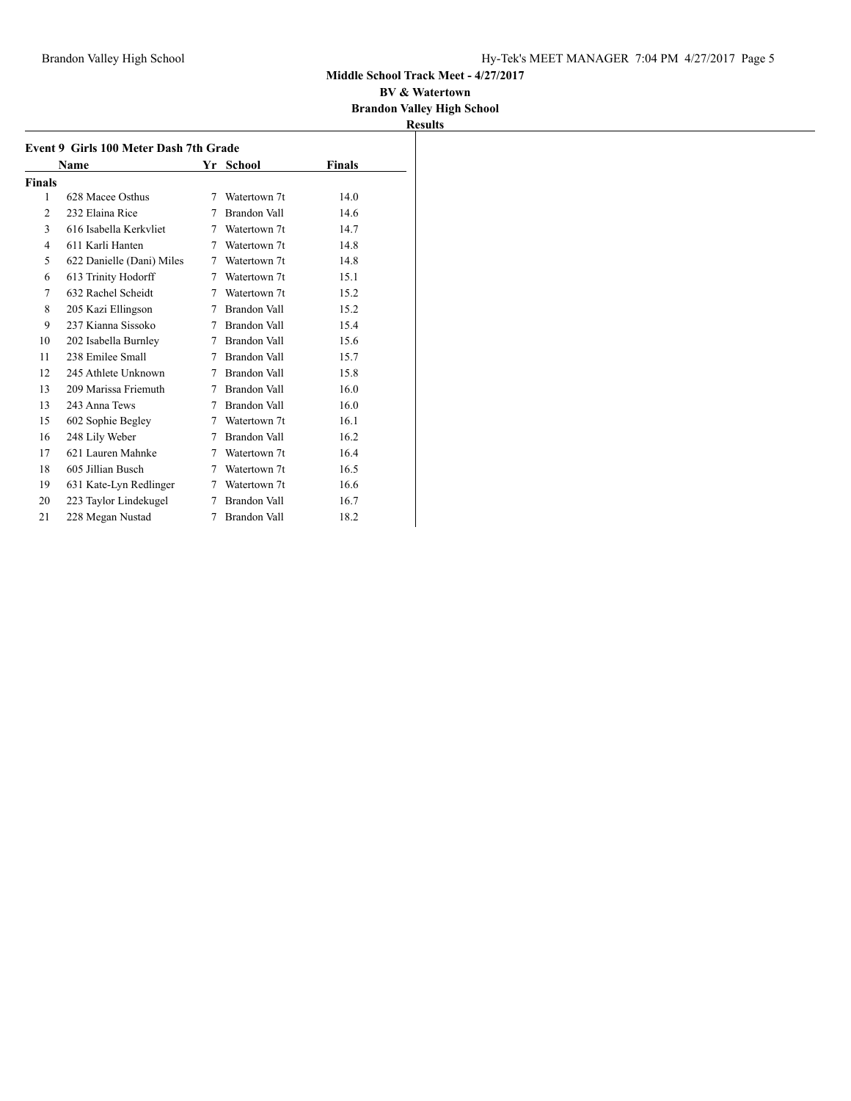#### **BV & Watertown Brandon Valley High School**

|               | Name                      |   | Yr School           | <b>Finals</b> |
|---------------|---------------------------|---|---------------------|---------------|
| <b>Finals</b> |                           |   |                     |               |
| 1             | 628 Macee Osthus          | 7 | Watertown 7t        | 14.0          |
| 2             | 232 Elaina Rice           | 7 | <b>Brandon Vall</b> | 14.6          |
| 3             | 616 Isabella Kerkvliet    | 7 | Watertown 7t        | 14.7          |
| 4             | 611 Karli Hanten          | 7 | Watertown 7t        | 14.8          |
| 5             | 622 Danielle (Dani) Miles | 7 | Watertown 7t        | 14.8          |
| 6             | 613 Trinity Hodorff       | 7 | Watertown 7t        | 15.1          |
| 7             | 632 Rachel Scheidt        | 7 | Watertown 7t        | 15.2          |
| 8             | 205 Kazi Ellingson        | 7 | Brandon Vall        | 15.2          |
| 9             | 237 Kianna Sissoko        | 7 | Brandon Vall        | 15.4          |
| 10            | 202 Isabella Burnley      | 7 | Brandon Vall        | 15.6          |
| 11            | 238 Emilee Small          | 7 | Brandon Vall        | 15.7          |
| 12            | 245 Athlete Unknown       | 7 | Brandon Vall        | 15.8          |
| 13            | 209 Marissa Friemuth      | 7 | Brandon Vall        | 16.0          |
| 13            | 243 Anna Tews             | 7 | Brandon Vall        | 16.0          |
| 15            | 602 Sophie Begley         | 7 | Watertown 7t        | 16.1          |
| 16            | 248 Lily Weber            | 7 | Brandon Vall        | 16.2          |
| 17            | 621 Lauren Mahnke         | 7 | Watertown 7t        | 16.4          |
| 18            | 605 Jillian Busch         | 7 | Watertown 7t        | 16.5          |
| 19            | 631 Kate-Lyn Redlinger    | 7 | Watertown 7t        | 16.6          |
| 20            | 223 Taylor Lindekugel     | 7 | Brandon Vall        | 16.7          |
| 21            | 228 Megan Nustad          | 7 | Brandon Vall        | 18.2          |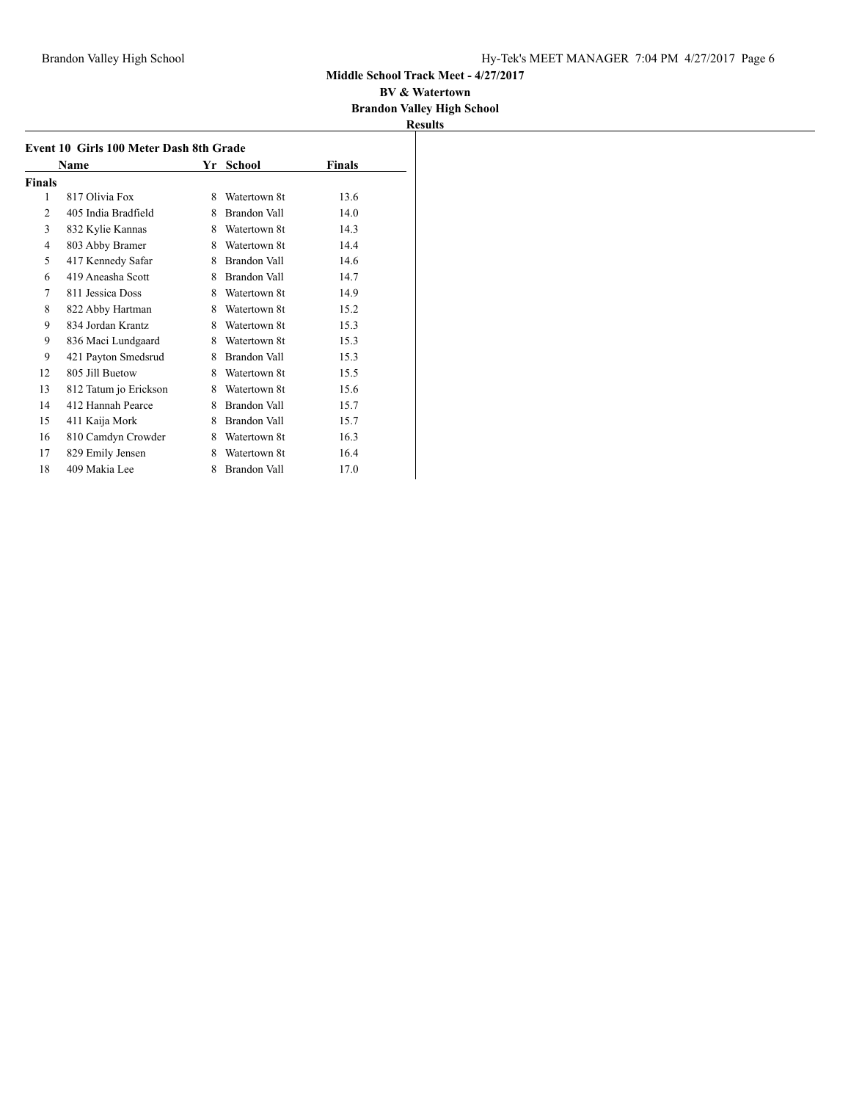#### **BV & Watertown Brandon Valley High School**

|        | Name                  | Yr | School              | Finals |
|--------|-----------------------|----|---------------------|--------|
| Finals |                       |    |                     |        |
| 1      | 817 Olivia Fox        | 8  | Watertown 8t        | 13.6   |
| 2      | 405 India Bradfield   | 8  | <b>Brandon Vall</b> | 14.0   |
| 3      | 832 Kylie Kannas      | 8  | Watertown 8t        | 14.3   |
| 4      | 803 Abby Bramer       | 8  | Watertown 8t        | 14.4   |
| 5      | 417 Kennedy Safar     | 8  | Brandon Vall        | 14.6   |
| 6      | 419 Aneasha Scott     | 8  | Brandon Vall        | 14.7   |
| 7      | 811 Jessica Doss      | 8  | Watertown 8t        | 14.9   |
| 8      | 822 Abby Hartman      | 8  | Watertown 8t        | 15.2   |
| 9      | 834 Jordan Krantz     | 8  | Watertown 8t        | 15.3   |
| 9      | 836 Maci Lundgaard    | 8  | Watertown 8t        | 15.3   |
| 9      | 421 Payton Smedsrud   | 8  | Brandon Vall        | 15.3   |
| 12     | 805 Jill Buetow       | 8  | Watertown 8t        | 15.5   |
| 13     | 812 Tatum jo Erickson | 8  | Watertown 8t        | 15.6   |
| 14     | 412 Hannah Pearce     | 8  | Brandon Vall        | 15.7   |
| 15     | 411 Kaija Mork        | 8  | Brandon Vall        | 15.7   |
| 16     | 810 Camdyn Crowder    | 8  | Watertown 8t        | 16.3   |
| 17     | 829 Emily Jensen      | 8  | Watertown 8t        | 16.4   |
| 18     | 409 Makia Lee         | 8  | <b>Brandon Vall</b> | 17.0   |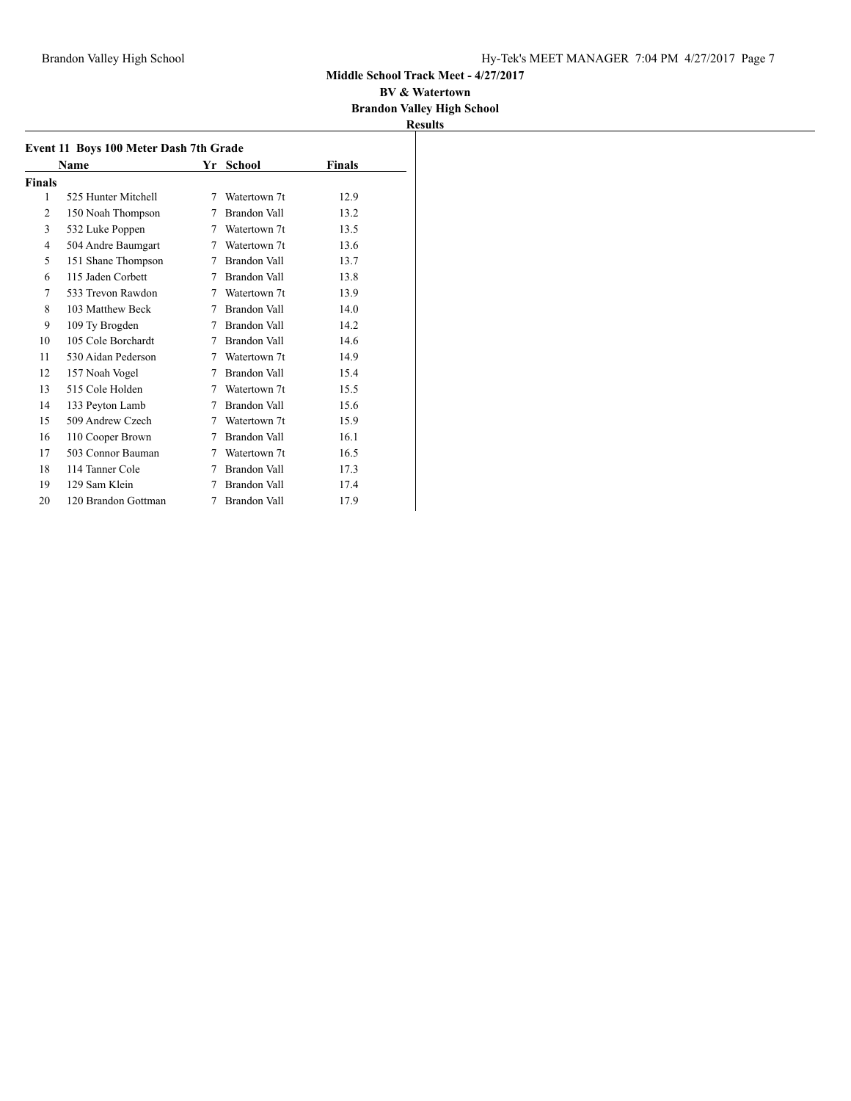#### **BV & Watertown Brandon Valley High School**

|                | <b>Name</b>         |   | Yr School    | <b>Finals</b> |
|----------------|---------------------|---|--------------|---------------|
| Finals         |                     |   |              |               |
| 1              | 525 Hunter Mitchell | 7 | Watertown 7t | 12.9          |
| $\overline{c}$ | 150 Noah Thompson   | 7 | Brandon Vall | 13.2          |
| 3              | 532 Luke Poppen     | 7 | Watertown 7t | 13.5          |
| 4              | 504 Andre Baumgart  | 7 | Watertown 7t | 13.6          |
| 5              | 151 Shane Thompson  | 7 | Brandon Vall | 13.7          |
| 6              | 115 Jaden Corbett   | 7 | Brandon Vall | 13.8          |
| 7              | 533 Trevon Rawdon   | 7 | Watertown 7t | 13.9          |
| 8              | 103 Matthew Beck    | 7 | Brandon Vall | 14.0          |
| 9              | 109 Ty Brogden      | 7 | Brandon Vall | 14.2          |
| 10             | 105 Cole Borchardt  | 7 | Brandon Vall | 14.6          |
| 11             | 530 Aidan Pederson  | 7 | Watertown 7t | 14.9          |
| 12             | 157 Noah Vogel      | 7 | Brandon Vall | 15.4          |
| 13             | 515 Cole Holden     | 7 | Watertown 7t | 15.5          |
| 14             | 133 Peyton Lamb     | 7 | Brandon Vall | 15.6          |
| 15             | 509 Andrew Czech    | 7 | Watertown 7t | 15.9          |
| 16             | 110 Cooper Brown    | 7 | Brandon Vall | 16.1          |
| 17             | 503 Connor Bauman   | 7 | Watertown 7t | 16.5          |
| 18             | 114 Tanner Cole     | 7 | Brandon Vall | 17.3          |
| 19             | 129 Sam Klein       | 7 | Brandon Vall | 17.4          |
| 20             | 120 Brandon Gottman | 7 | Brandon Vall | 17.9          |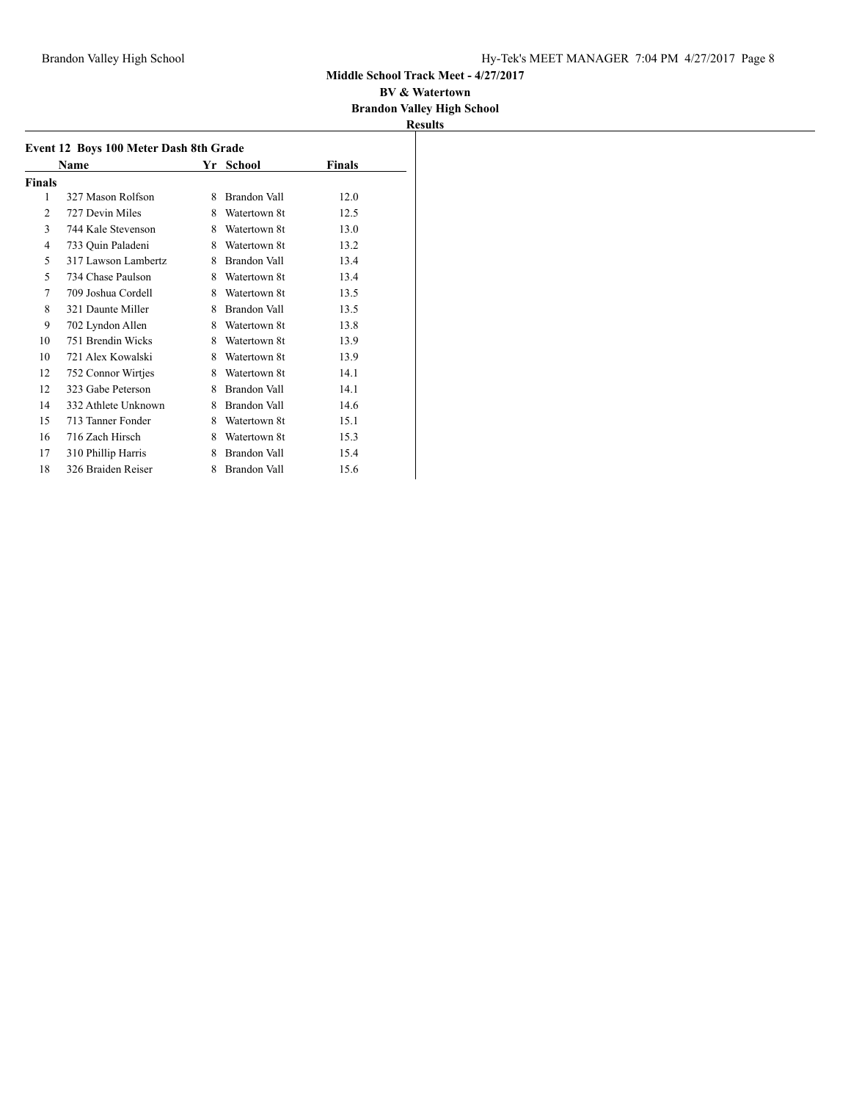#### **BV & Watertown Brandon Valley High School**

|        | Event 12 Boys 100 Meter Dash 8th Grade |    |                     |               |
|--------|----------------------------------------|----|---------------------|---------------|
|        | Name                                   | Yr | School              | <b>Finals</b> |
| Finals |                                        |    |                     |               |
| 1      | 327 Mason Rolfson                      | 8  | Brandon Vall        | 12.0          |
| 2      | 727 Devin Miles                        | 8  | Watertown 8t        | 12.5          |
| 3      | 744 Kale Stevenson                     | 8  | Watertown 8t        | 13.0          |
| 4      | 733 Quin Paladeni                      | 8  | Watertown 8t        | 13.2          |
| 5      | 317 Lawson Lambertz                    | 8  | <b>Brandon Vall</b> | 13.4          |
| 5      | 734 Chase Paulson                      | 8  | Watertown 8t        | 13.4          |
| 7      | 709 Joshua Cordell                     | 8  | Watertown 8t        | 13.5          |
| 8      | 321 Daunte Miller                      | 8  | <b>Brandon Vall</b> | 13.5          |
| 9      | 702 Lyndon Allen                       | 8  | Watertown 8t        | 13.8          |
| 10     | 751 Brendin Wicks                      | 8  | Watertown 8t        | 13.9          |
| 10     | 721 Alex Kowalski                      | 8  | Watertown 8t        | 13.9          |
| 12     | 752 Connor Wirtjes                     | 8  | Watertown 8t        | 14.1          |
| 12     | 323 Gabe Peterson                      | 8  | Brandon Vall        | 14.1          |
| 14     | 332 Athlete Unknown                    | 8  | <b>Brandon Vall</b> | 14.6          |
| 15     | 713 Tanner Fonder                      | 8  | Watertown 8t        | 15.1          |
| 16     | 716 Zach Hirsch                        | 8  | Watertown 8t        | 15.3          |
| 17     | 310 Phillip Harris                     | 8  | Brandon Vall        | 15.4          |
| 18     | 326 Braiden Reiser                     | 8  | <b>Brandon Vall</b> | 15.6          |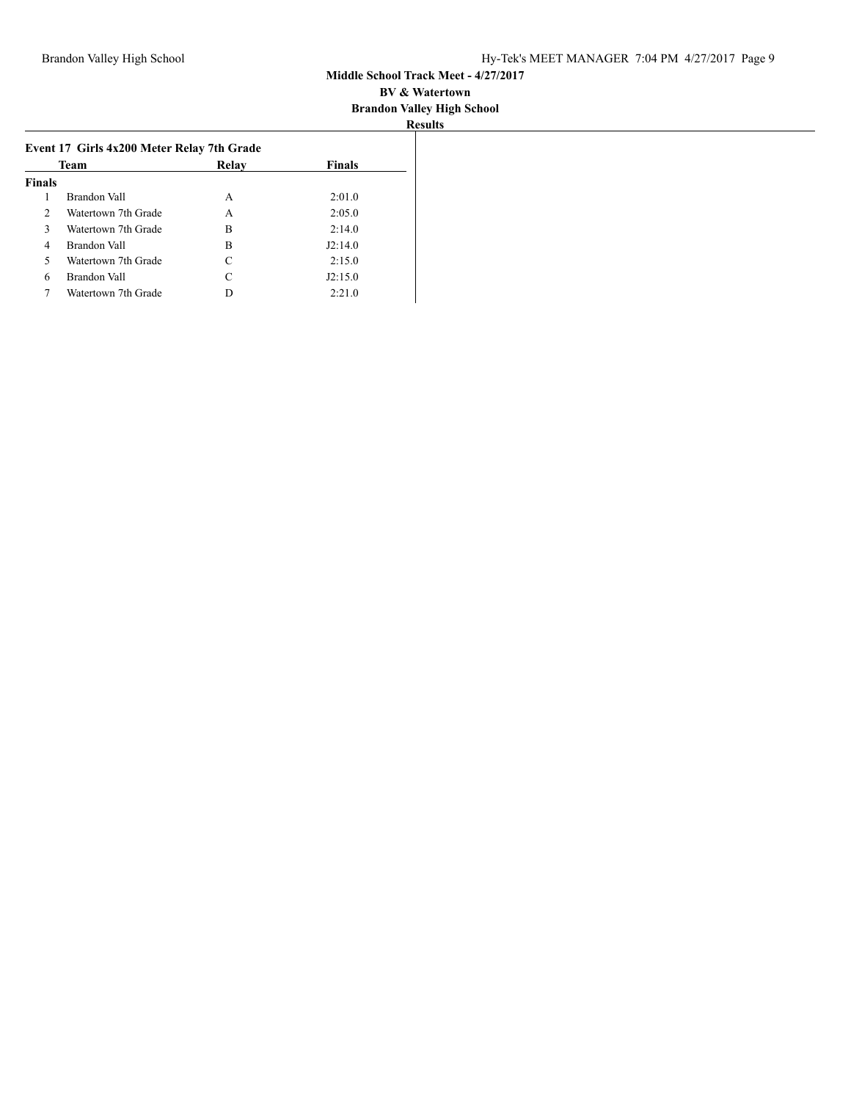|               |                                                           |       |               | <b>Results</b> |
|---------------|-----------------------------------------------------------|-------|---------------|----------------|
|               | Event 17 Girls 4x200 Meter Relay 7th Grade<br><b>Team</b> | Relay | <b>Finals</b> |                |
| <b>Finals</b> |                                                           |       |               |                |
|               | Brandon Vall                                              | A     | 2:01.0        |                |
| $\mathcal{D}$ | Watertown 7th Grade                                       | A     | 2:05.0        |                |
| 3             | Watertown 7th Grade                                       | B     | 2:14.0        |                |
| 4             | Brandon Vall                                              | B     | J2:14.0       |                |
| 5             | Watertown 7th Grade                                       | C     | 2:15.0        |                |
| 6             | Brandon Vall                                              | C     | J2:15.0       |                |
|               | Watertown 7th Grade                                       |       | 2:21.0        |                |
|               |                                                           |       |               |                |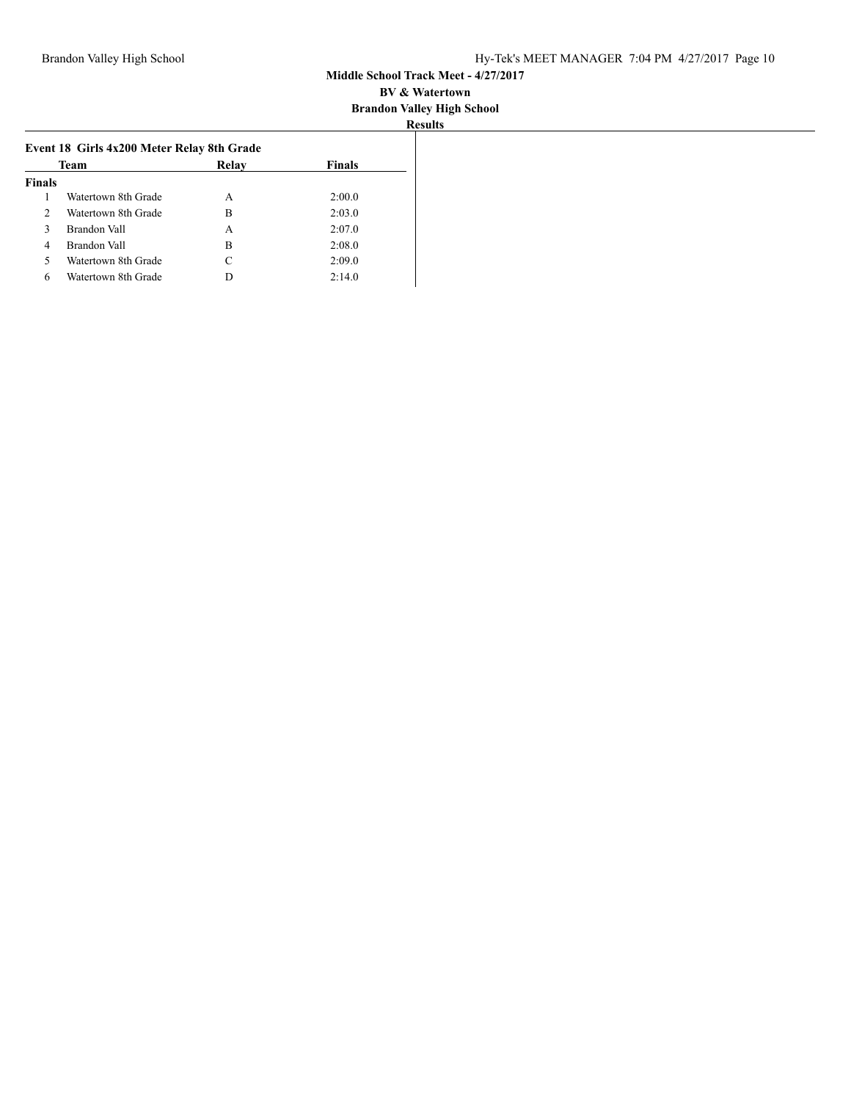| 31 B<br>۰ | . . |
|-----------|-----|
|           |     |

| Team           |                     | Relay | Finals |  |
|----------------|---------------------|-------|--------|--|
| <b>Finals</b>  |                     |       |        |  |
|                | Watertown 8th Grade | A     | 2:00.0 |  |
| $\mathfrak{D}$ | Watertown 8th Grade | в     | 2:03.0 |  |
| 3              | Brandon Vall        | А     | 2:07.0 |  |
| 4              | Brandon Vall        | в     | 2:08.0 |  |
| 5              | Watertown 8th Grade | C     | 2:09.0 |  |
| 6              | Watertown 8th Grade | D     | 2:14.0 |  |
|                |                     |       |        |  |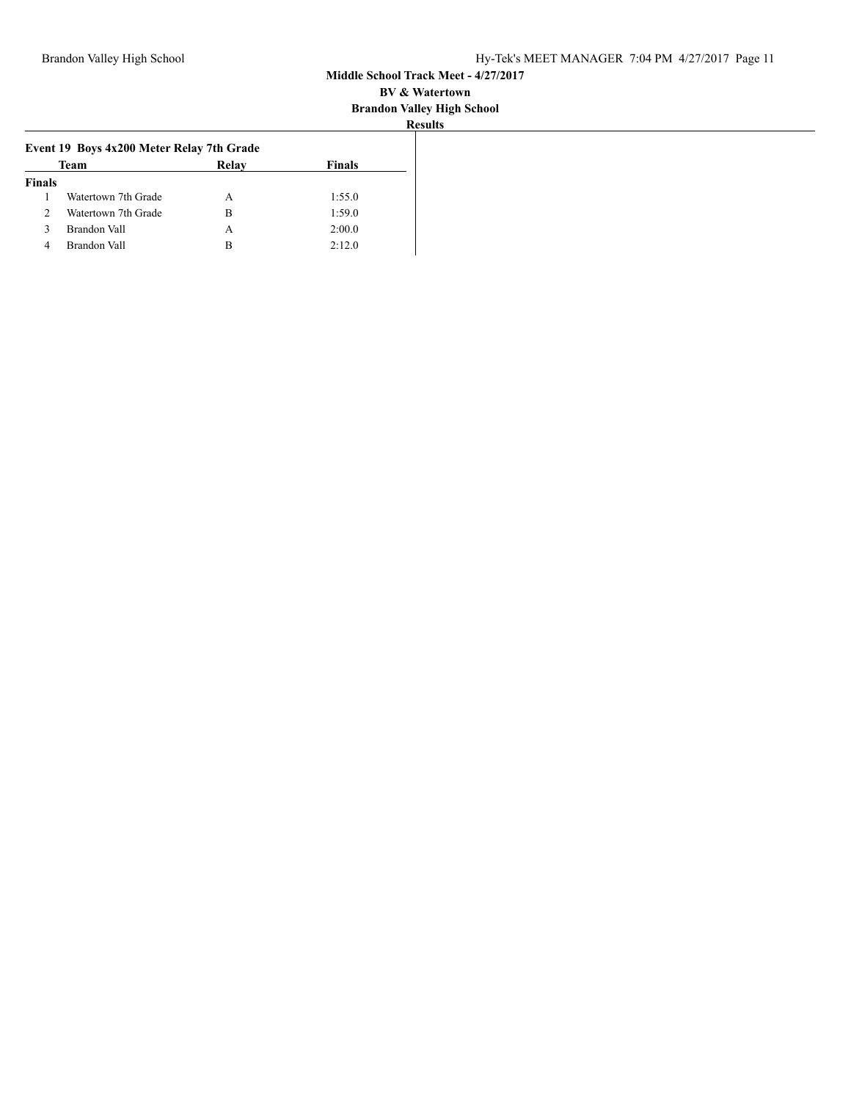| <br>тансу під  |  |
|----------------|--|
| <b>Results</b> |  |
|                |  |

|               | Event 19 Boys 4x200 Meter Relay 7th Grade |       |               |
|---------------|-------------------------------------------|-------|---------------|
|               | Team                                      | Relay | <b>Finals</b> |
| <b>Finals</b> |                                           |       |               |
|               | Watertown 7th Grade                       | A     | 1:55.0        |
| 2             | Watertown 7th Grade                       | в     | 1:59.0        |
| 3             | Brandon Vall                              | A     | 2:00.0        |
| 4             | Brandon Vall                              | в     | 2:12.0        |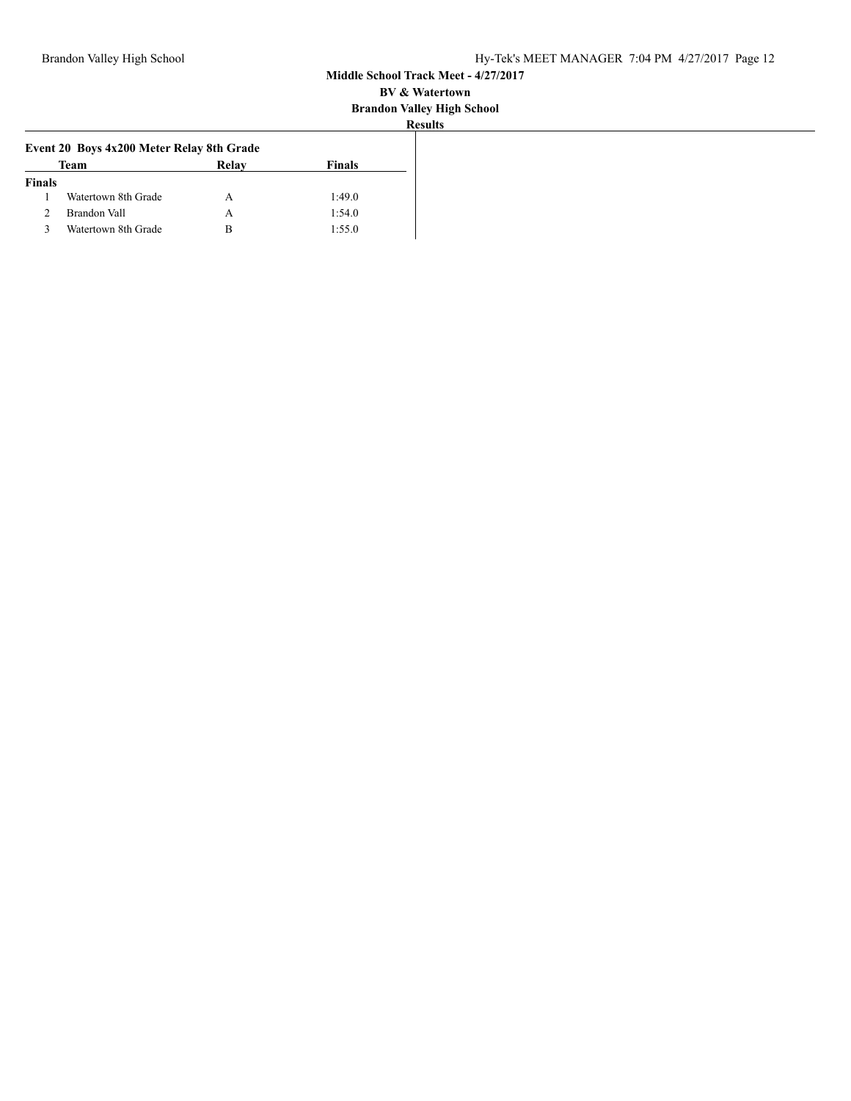| u         |  |
|-----------|--|
| u D<br>۰. |  |
|           |  |

| Team                | Relay | <b>Finals</b>                             |
|---------------------|-------|-------------------------------------------|
| <b>Finals</b>       |       |                                           |
| Watertown 8th Grade | А     | 1:49.0                                    |
| Brandon Vall        | А     | 1:54.0                                    |
| Watertown 8th Grade | в     | 1:55.0                                    |
|                     |       | Event 20 Boys 4x200 Meter Relay 8th Grade |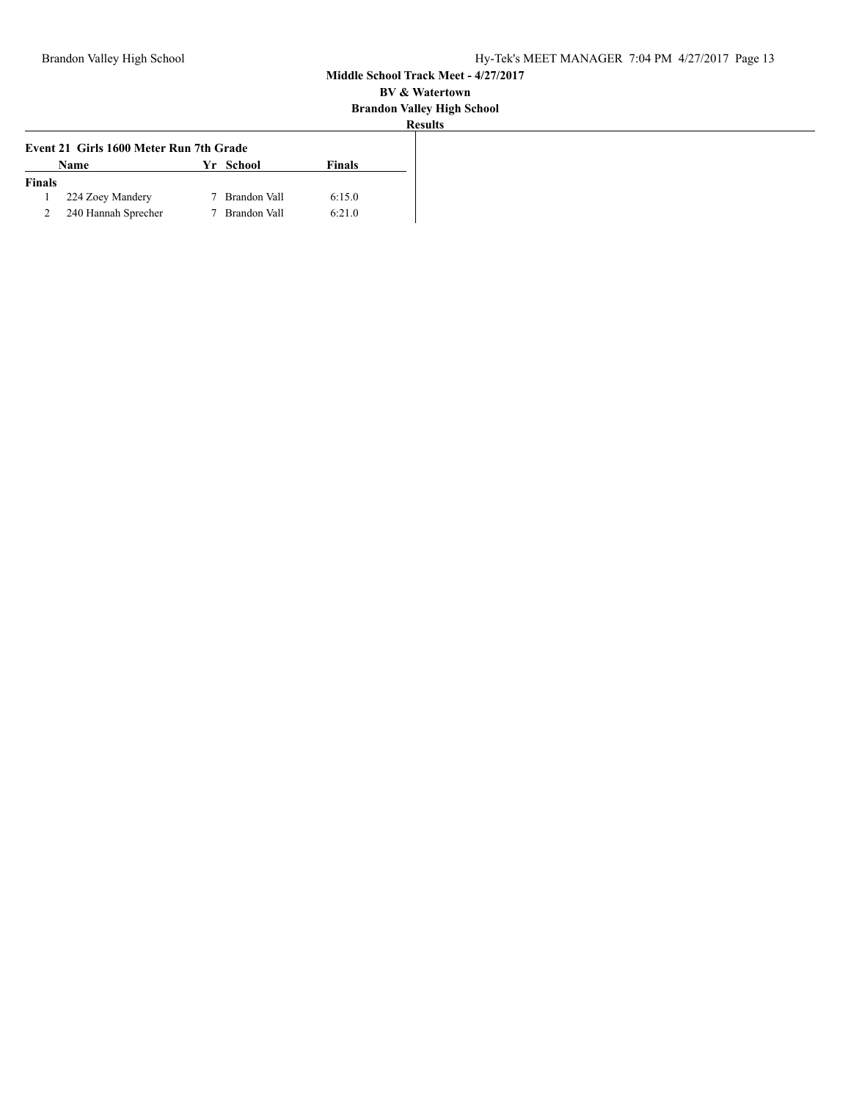|  | esults |  |
|--|--------|--|

| Event 21 Girls 1600 Meter Run 7th Grade |                     |  |              |        |
|-----------------------------------------|---------------------|--|--------------|--------|
|                                         | Name                |  | Yr School    | Finals |
| <b>Finals</b>                           |                     |  |              |        |
|                                         | 224 Zoey Mandery    |  | Brandon Vall | 6:15.0 |
|                                         | 240 Hannah Sprecher |  | Brandon Vall | 6:21.0 |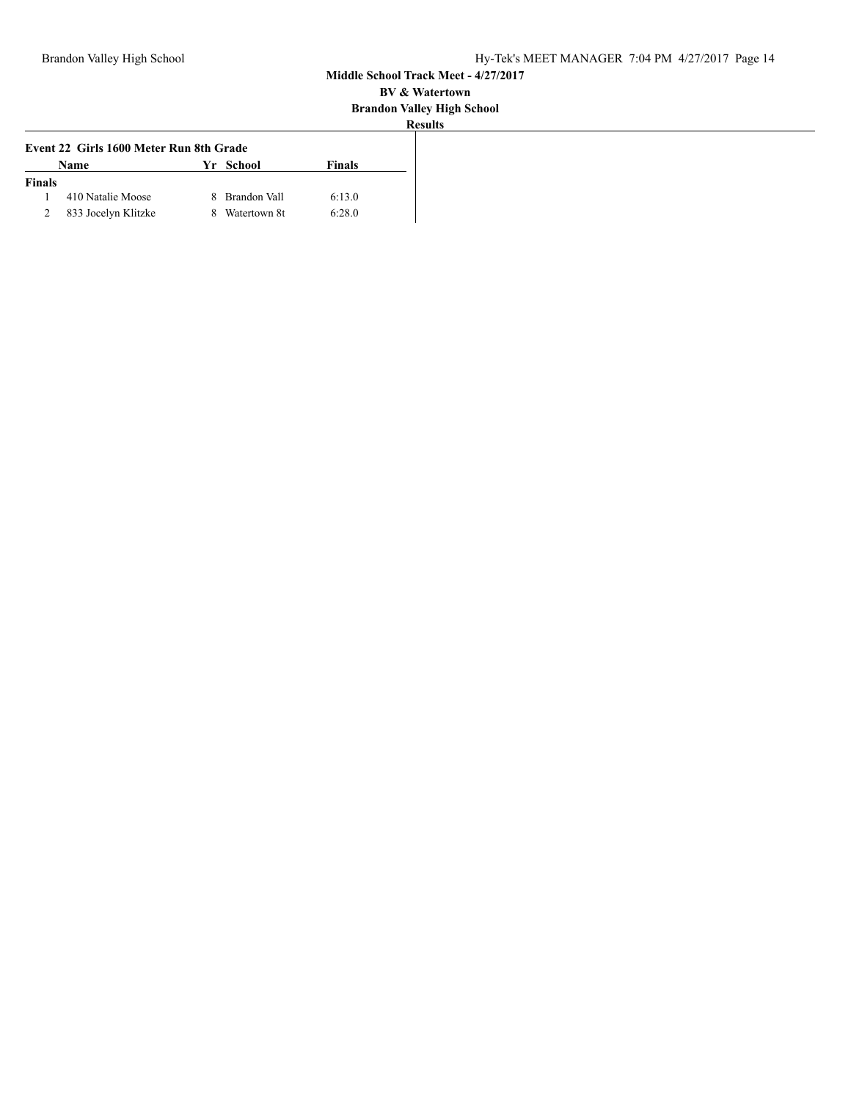| ٠ | sun |  |
|---|-----|--|

| Event 22 Girls 1600 Meter Run 8th Grade |                     |  |                |        |
|-----------------------------------------|---------------------|--|----------------|--------|
|                                         | <b>Name</b>         |  | Yr School      | Finals |
| <b>Finals</b>                           |                     |  |                |        |
|                                         | 410 Natalie Moose   |  | 8 Brandon Vall | 6:13.0 |
|                                         | 833 Jocelyn Klitzke |  | 8 Watertown 8t | 6:28.0 |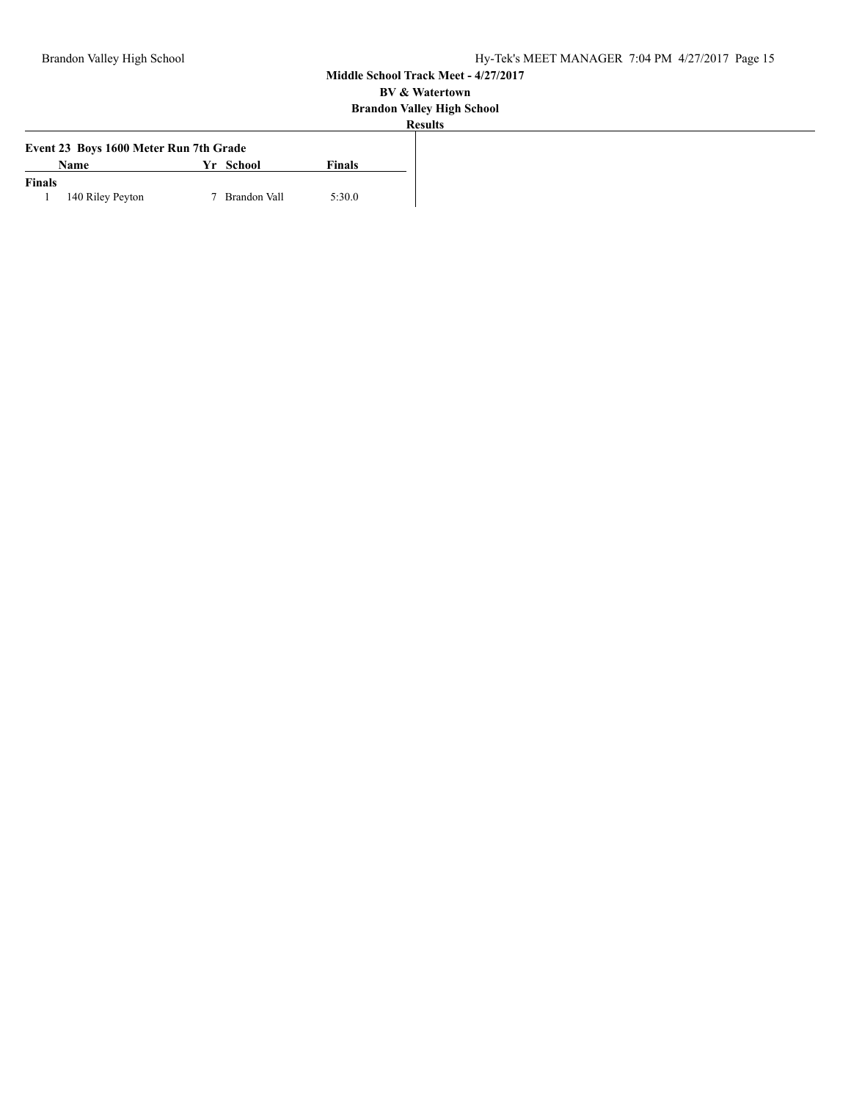| .<br>u                   | . . |
|--------------------------|-----|
| . .<br>$\alpha$ $\alpha$ | и   |

| Event 23 Boys 1600 Meter Run 7th Grade |                  |  |              |        |
|----------------------------------------|------------------|--|--------------|--------|
|                                        | Name             |  | Yr School    | Finals |
| <b>Finals</b>                          |                  |  |              |        |
|                                        | 140 Riley Peyton |  | Brandon Vall | 5:30.0 |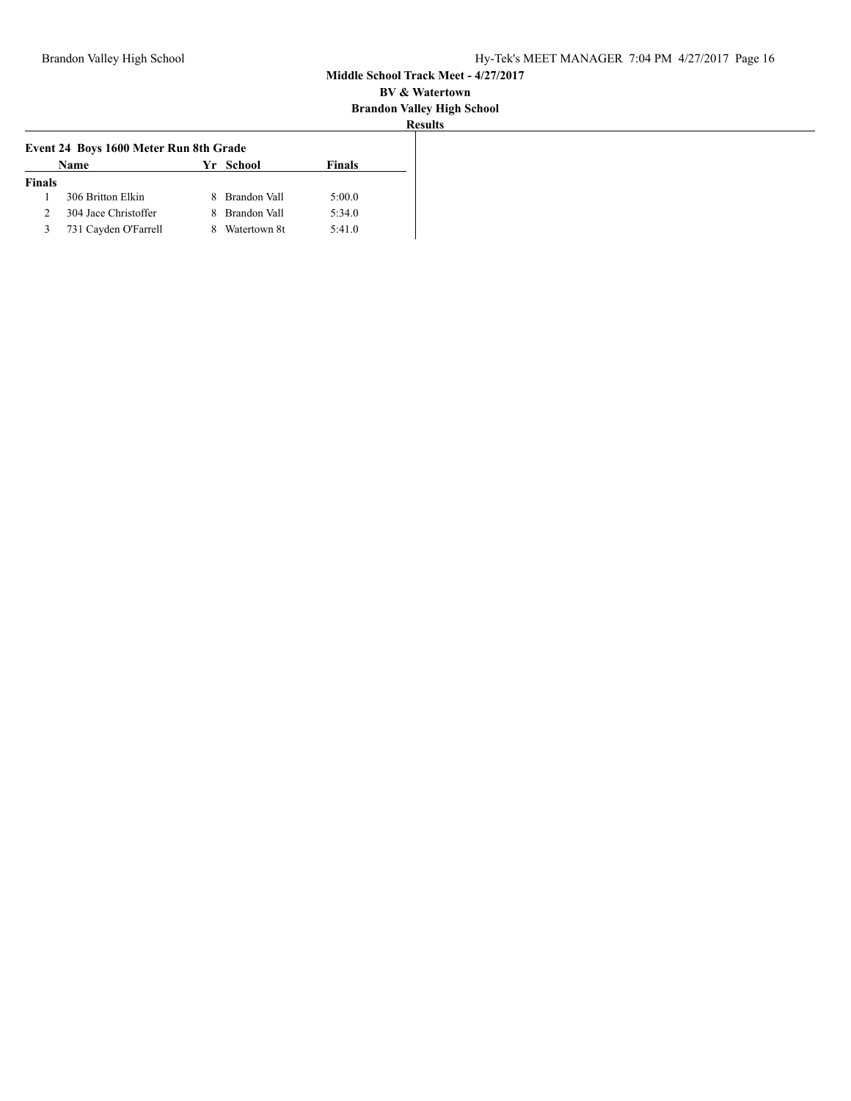| suits |  |
|-------|--|

| Event 24 Boys 1600 Meter Run 8th Grade |                      |    |                     |        |
|----------------------------------------|----------------------|----|---------------------|--------|
|                                        | <b>Name</b>          |    | Yr School           | Finals |
| <b>Finals</b>                          |                      |    |                     |        |
|                                        | 306 Britton Elkin    | ×. | Brandon Vall        | 5:00.0 |
|                                        | 304 Jace Christoffer | 8  | <b>Brandon Vall</b> | 5:34.0 |
|                                        | 731 Cayden O'Farrell | 8  | Watertown 8t        | 5:41.0 |
|                                        |                      |    |                     |        |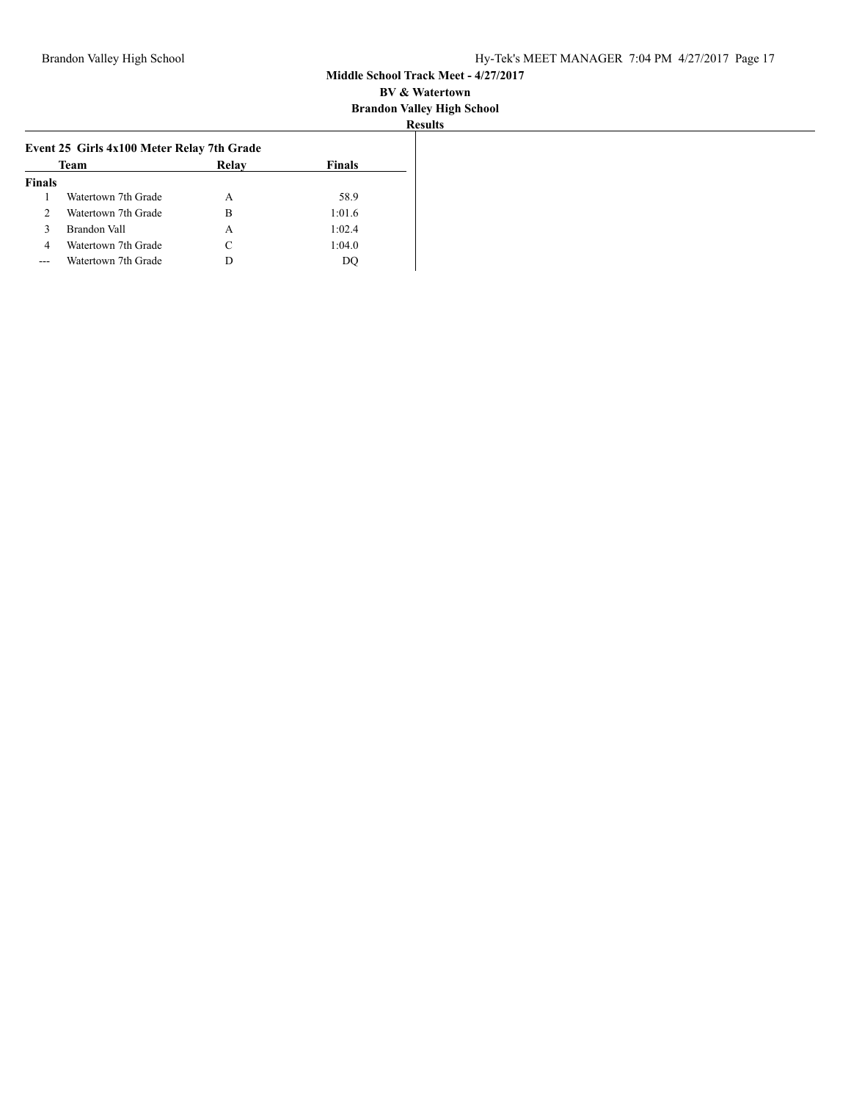| sunt<br> |
|----------|

| Watertown 7th Grade | А                                                          | 58.9   |
|---------------------|------------------------------------------------------------|--------|
| Watertown 7th Grade | В                                                          | 1:01.6 |
|                     | А                                                          | 1:02.4 |
|                     | C                                                          | 1:04.0 |
|                     |                                                            | DO     |
|                     | Brandon Vall<br>Watertown 7th Grade<br>Watertown 7th Grade |        |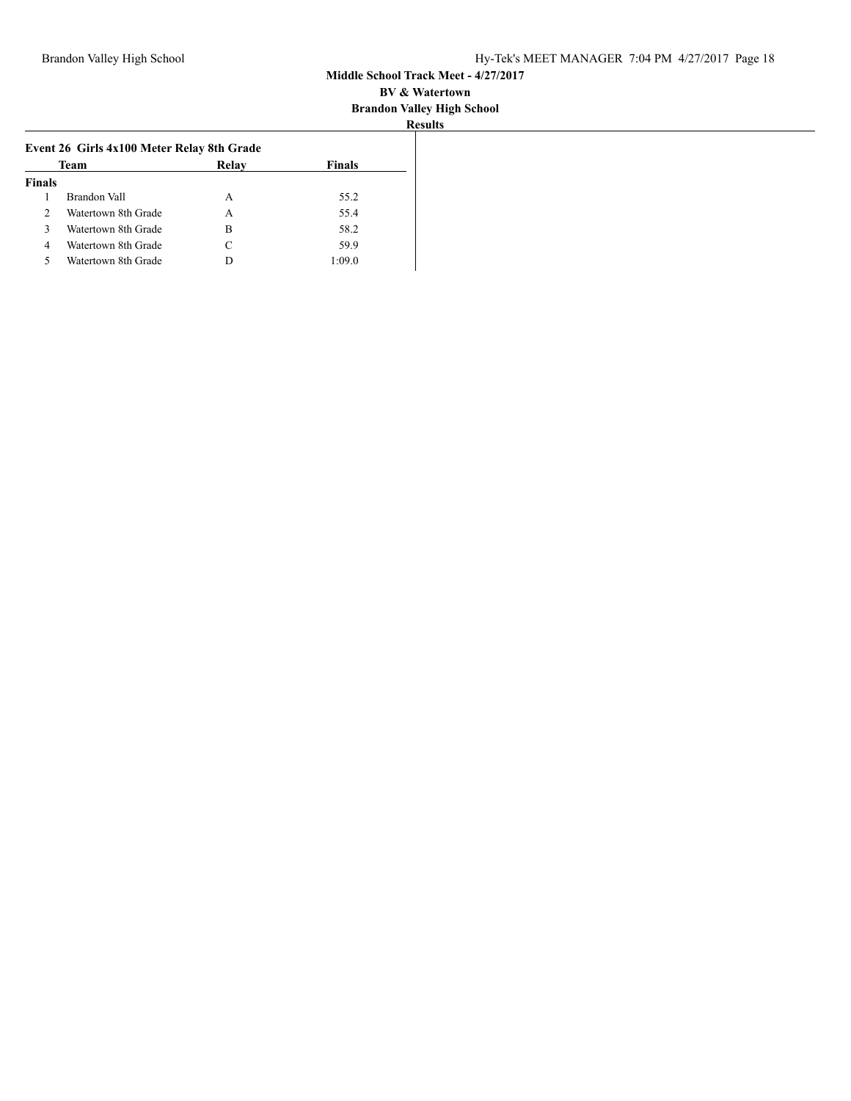| 28 O H B<br>۰<br>T |  |
|--------------------|--|

| Team |                                                                                                          | <b>Finals</b> |  |
|------|----------------------------------------------------------------------------------------------------------|---------------|--|
|      |                                                                                                          |               |  |
|      | A                                                                                                        | 55.2          |  |
|      | A                                                                                                        | 55.4          |  |
|      | в                                                                                                        | 58.2          |  |
|      | C                                                                                                        | 59.9          |  |
|      |                                                                                                          | 1:09.0        |  |
|      | Brandon Vall<br>Watertown 8th Grade<br>Watertown 8th Grade<br>Watertown 8th Grade<br>Watertown 8th Grade | Relay         |  |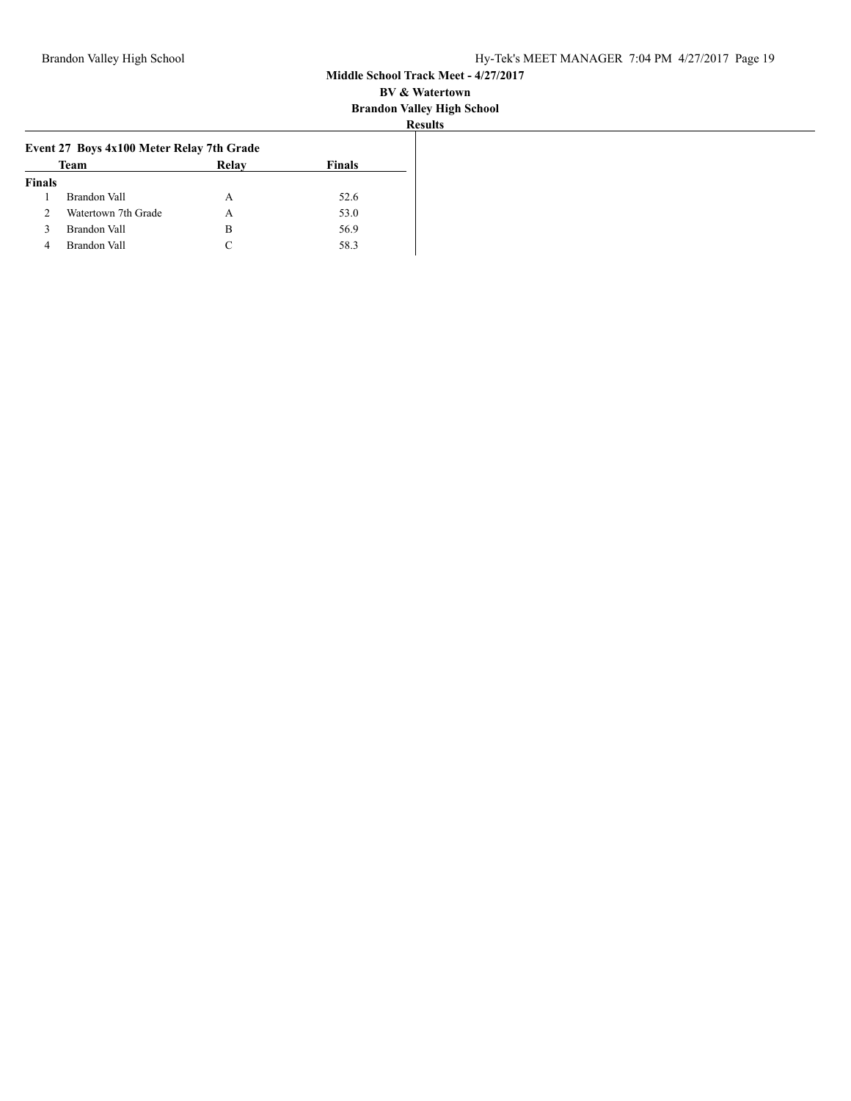| n valley Hi    |
|----------------|
| <b>Results</b> |

|               | Team                | Relay | <b>Finals</b> |
|---------------|---------------------|-------|---------------|
| <b>Finals</b> |                     |       |               |
|               | Brandon Vall        | А     | 52.6          |
| 2             | Watertown 7th Grade | А     | 53.0          |
| ٩             | Brandon Vall        | В     | 56.9          |
| 4             | Brandon Vall        |       | 58.3          |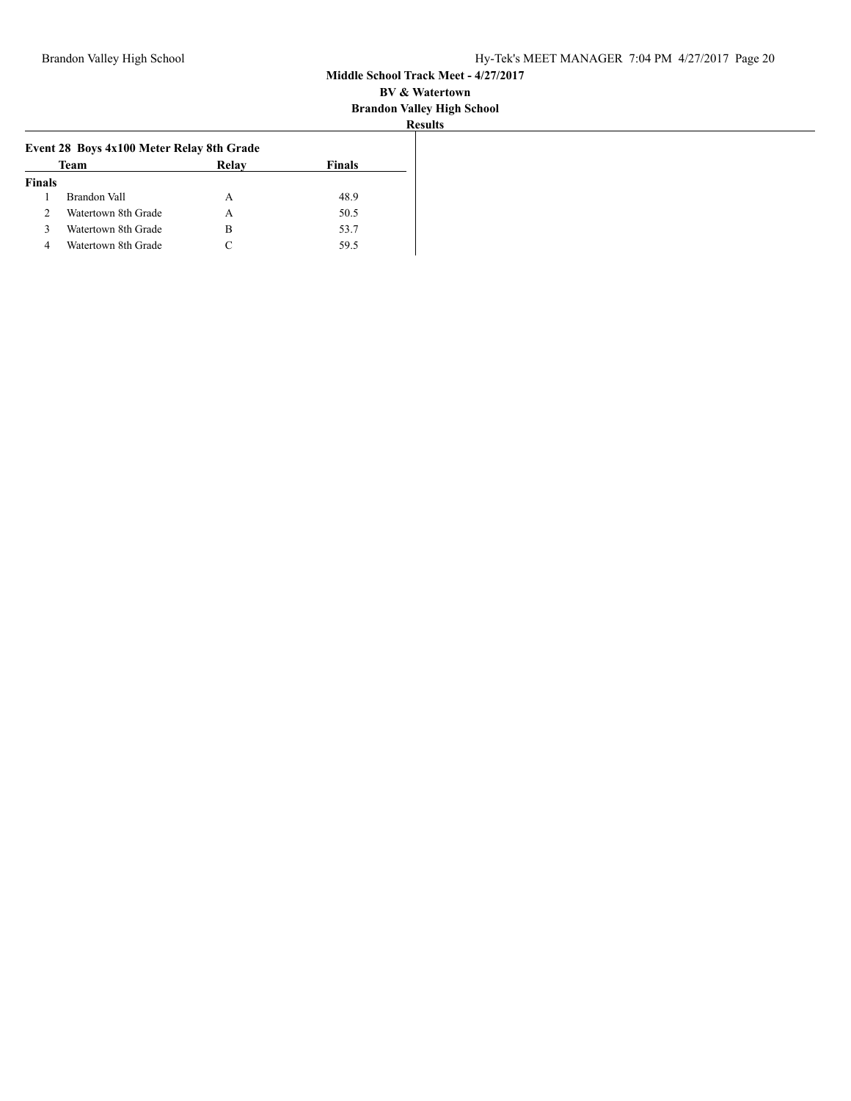| o m |  |
|-----|--|
|     |  |
|     |  |

|               |                     | Event 28 Boys 4x100 Meter Relay 8th Grade |        |
|---------------|---------------------|-------------------------------------------|--------|
| Team<br>Relay |                     |                                           | Finals |
| <b>Finals</b> |                     |                                           |        |
| Brandon Vall  |                     | А                                         | 48.9   |
| 2             | Watertown 8th Grade | А                                         | 50.5   |
| ζ             | Watertown 8th Grade | в                                         | 53.7   |
| 4             | Watertown 8th Grade |                                           | 59.5   |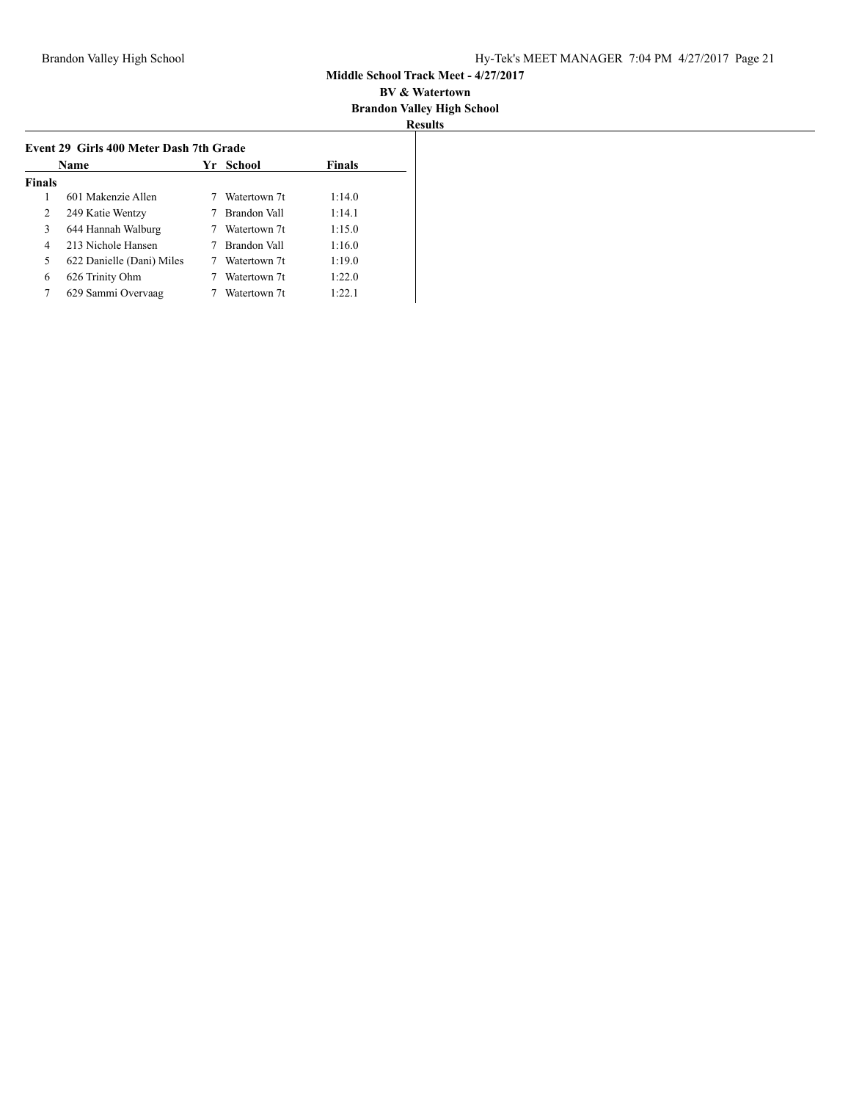| Name          |                           | Yr School    | <b>Finals</b> |
|---------------|---------------------------|--------------|---------------|
| <b>Finals</b> |                           |              |               |
| 1             | 601 Makenzie Allen        | Watertown 7t | 1:14.0        |
| 2             | 249 Katie Wentzy          | Brandon Vall | 1:14.1        |
| 3             | 644 Hannah Walburg        | Watertown 7t | 1:15.0        |
| 4             | 213 Nichole Hansen        | Brandon Vall | 1:16.0        |
| 5             | 622 Danielle (Dani) Miles | Watertown 7t | 1:19.0        |
| 6             | 626 Trinity Ohm           | Watertown 7t | 1:22.0        |
| 7             | 629 Sammi Overvaag        | Watertown 7t | 1:22.1        |
|               |                           |              |               |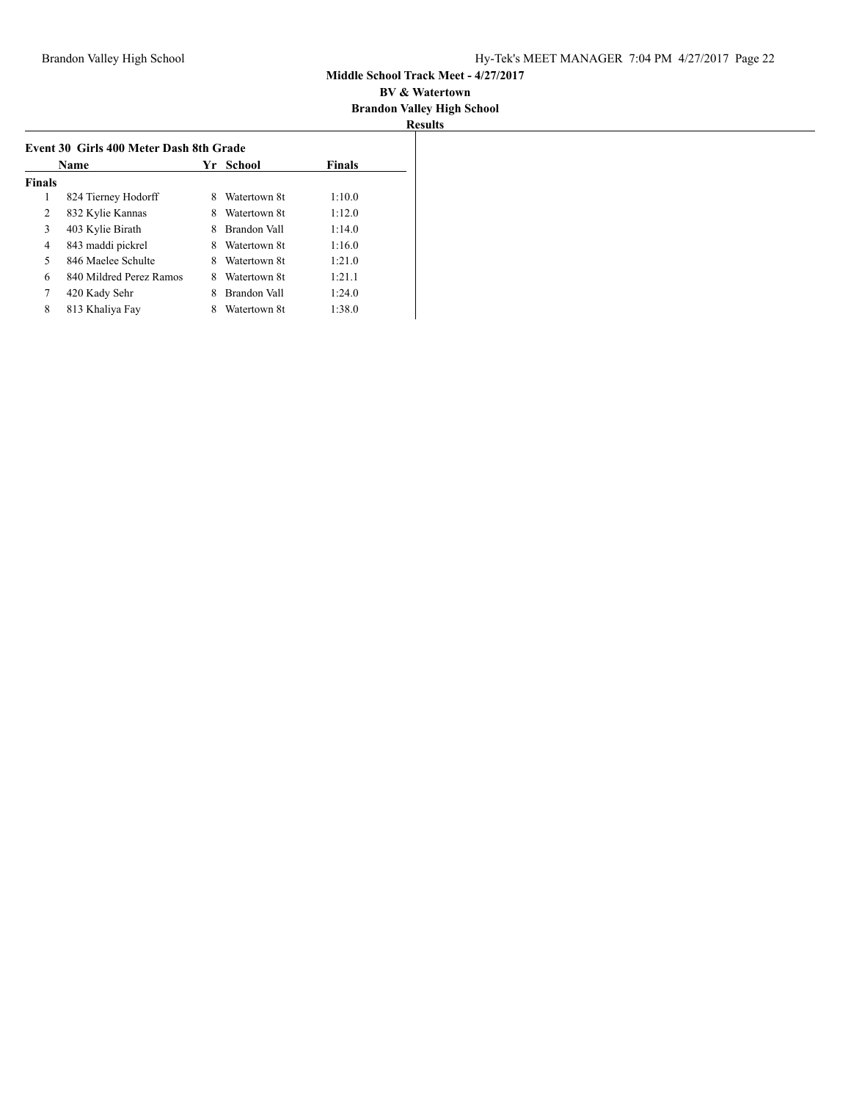| Name          |                         |   | Yr School    | <b>Finals</b> |
|---------------|-------------------------|---|--------------|---------------|
| <b>Finals</b> |                         |   |              |               |
| 1             | 824 Tierney Hodorff     | 8 | Watertown 8t | 1:10.0        |
| 2             | 832 Kylie Kannas        | 8 | Watertown 8t | 1:12.0        |
| 3             | 403 Kylie Birath        | 8 | Brandon Vall | 1:14.0        |
| 4             | 843 maddi pickrel       | 8 | Watertown 8t | 1:16.0        |
| 5             | 846 Maelee Schulte      | 8 | Watertown 8t | 1:21.0        |
| 6             | 840 Mildred Perez Ramos | 8 | Watertown 8t | 1:21.1        |
| 7             | 420 Kady Sehr           | 8 | Brandon Vall | 1:24.0        |
| 8             | 813 Khaliya Fay         | 8 | Watertown 8t | 1:38.0        |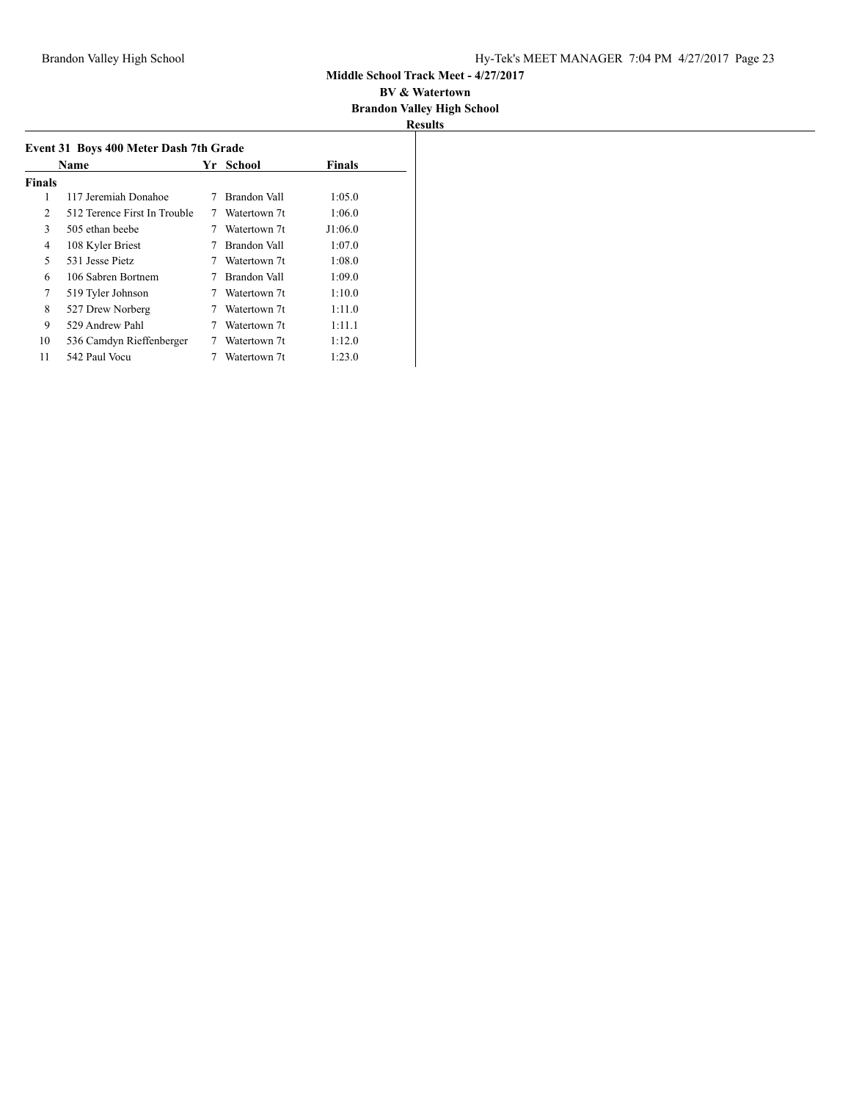#### **BV & Watertown Brandon Valley High School**

| Event 31 Boys 400 Meter Dash 7th Grade<br><b>Finals</b><br>Yr School<br>Name |                              |   |              |         |  |
|------------------------------------------------------------------------------|------------------------------|---|--------------|---------|--|
| <b>Finals</b>                                                                |                              |   |              |         |  |
| 1                                                                            | 117 Jeremiah Donahoe         | 7 | Brandon Vall | 1:05.0  |  |
| 2                                                                            | 512 Terence First In Trouble |   | Watertown 7t | 1:06.0  |  |
| 3                                                                            | 505 ethan beebe              |   | Watertown 7t | J1:06.0 |  |
| 4                                                                            | 108 Kyler Briest             |   | Brandon Vall | 1:07.0  |  |
| 5                                                                            | 531 Jesse Pietz              |   | Watertown 7t | 1:08.0  |  |
| 6                                                                            | 106 Sabren Bortnem           |   | Brandon Vall | 1:09.0  |  |
| 7                                                                            | 519 Tyler Johnson            | 7 | Watertown 7t | 1:10.0  |  |
| 8                                                                            | 527 Drew Norberg             | 7 | Watertown 7t | 1:11.0  |  |
| 9                                                                            | 529 Andrew Pahl              |   | Watertown 7t | 1:11.1  |  |
| 10                                                                           | 536 Camdyn Rieffenberger     |   | Watertown 7t | 1:12.0  |  |
| 11                                                                           | 542 Paul Vocu                |   | Watertown 7t | 1:23.0  |  |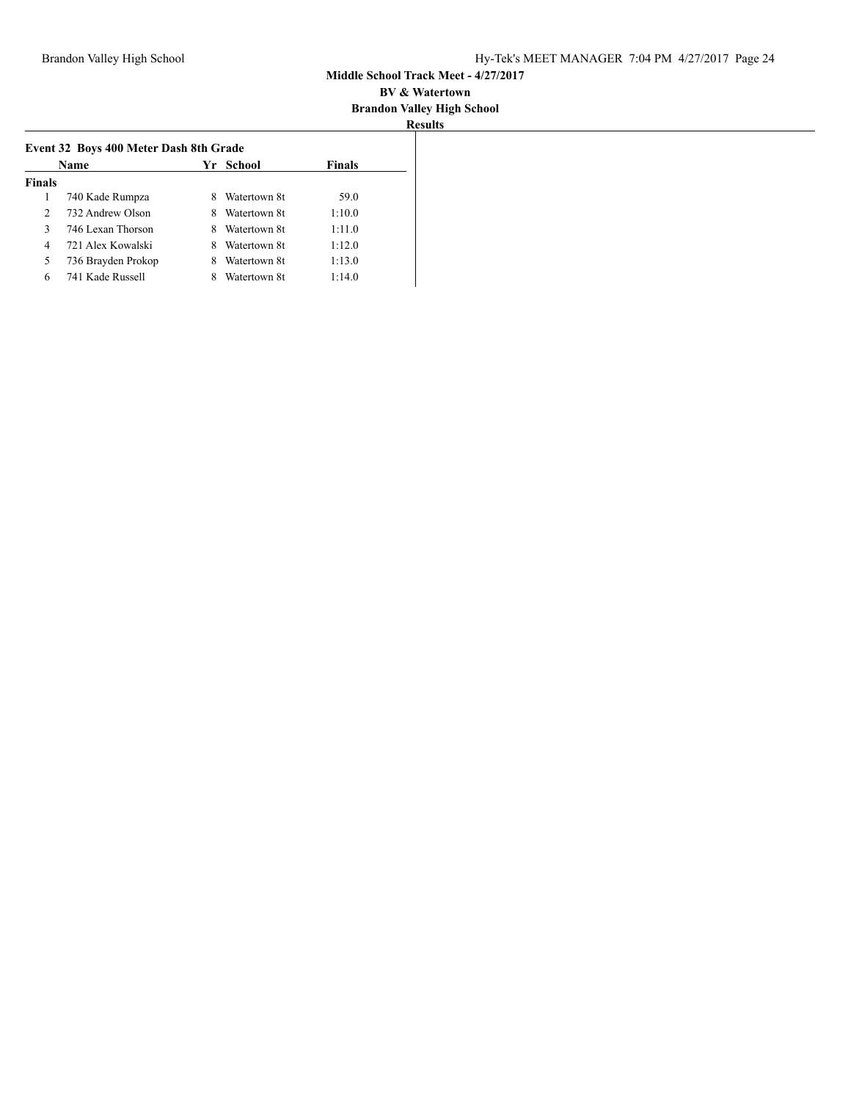| SH 11 |  |
|-------|--|

|               | Name               |   | Yr School    | <b>Finals</b> |
|---------------|--------------------|---|--------------|---------------|
| <b>Finals</b> |                    |   |              |               |
|               | 740 Kade Rumpza    |   | Watertown 8t | 59.0          |
| $\mathcal{L}$ | 732 Andrew Olson   | 8 | Watertown 8t | 1:10.0        |
| 3             | 746 Lexan Thorson  | х | Watertown 8t | 1:11.0        |
| 4             | 721 Alex Kowalski  | 8 | Watertown 8t | 1:12.0        |
| 5             | 736 Brayden Prokop | 8 | Watertown 8t | 1:13.0        |
| 6             | 741 Kade Russell   |   | Watertown 8t | 1:14.0        |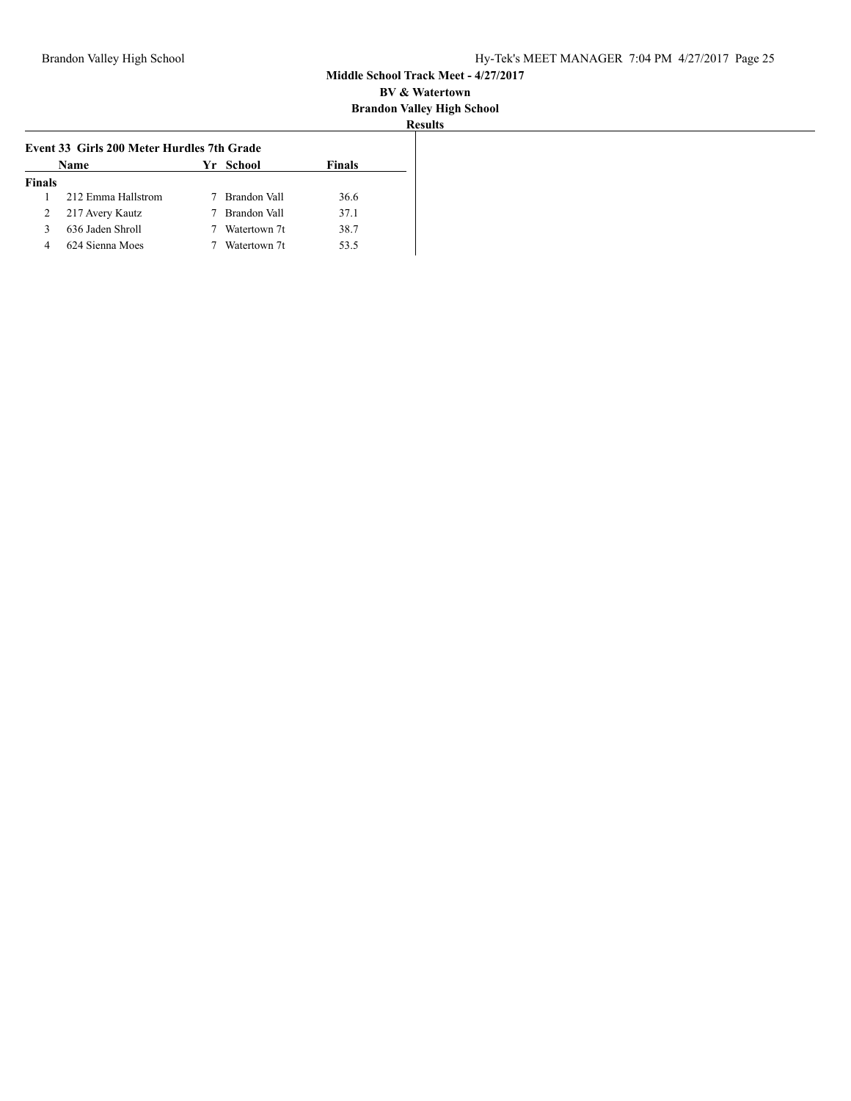| u        |  |
|----------|--|
| sun<br>י |  |

|               | Event 33 Girls 200 Meter Hurdles 7th Grade |                |               |
|---------------|--------------------------------------------|----------------|---------------|
|               | Name                                       | Yr School      | <b>Finals</b> |
| <b>Finals</b> |                                            |                |               |
|               | 212 Emma Hallstrom                         | 7 Brandon Vall | 36.6          |
| 2             | 217 Avery Kautz                            | 7 Brandon Vall | 37.1          |
|               | 636 Jaden Shroll                           | Watertown 7t   | 38.7          |
| 4             | 624 Sienna Moes                            | Watertown 7t   | 53.5          |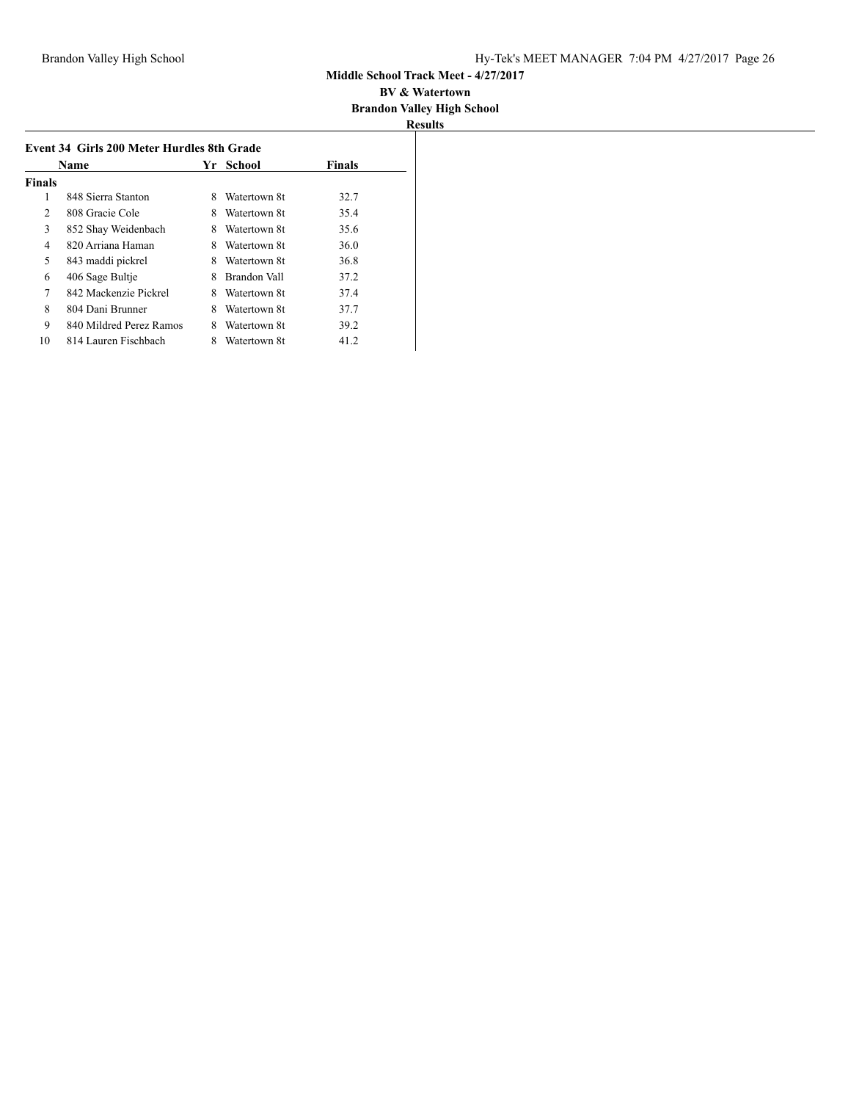|               | Name                    | Yr. | School       | <b>Finals</b> |
|---------------|-------------------------|-----|--------------|---------------|
| <b>Finals</b> |                         |     |              |               |
| 1             | 848 Sierra Stanton      | 8   | Watertown 8t | 32.7          |
| 2             | 808 Gracie Cole         | 8   | Watertown 8t | 35.4          |
| 3             | 852 Shay Weidenbach     | 8   | Watertown 8t | 35.6          |
| 4             | 820 Arriana Haman       | 8   | Watertown 8t | 36.0          |
| 5             | 843 maddi pickrel       | 8   | Watertown 8t | 36.8          |
| 6             | 406 Sage Bultie         | 8   | Brandon Vall | 37.2          |
| 7             | 842 Mackenzie Pickrel   | 8   | Watertown 8t | 37.4          |
| 8             | 804 Dani Brunner        | 8   | Watertown 8t | 37.7          |
| 9             | 840 Mildred Perez Ramos | 8   | Watertown 8t | 39.2          |
| 10            | 814 Lauren Fischbach    | 8   | Watertown 8t | 41.2          |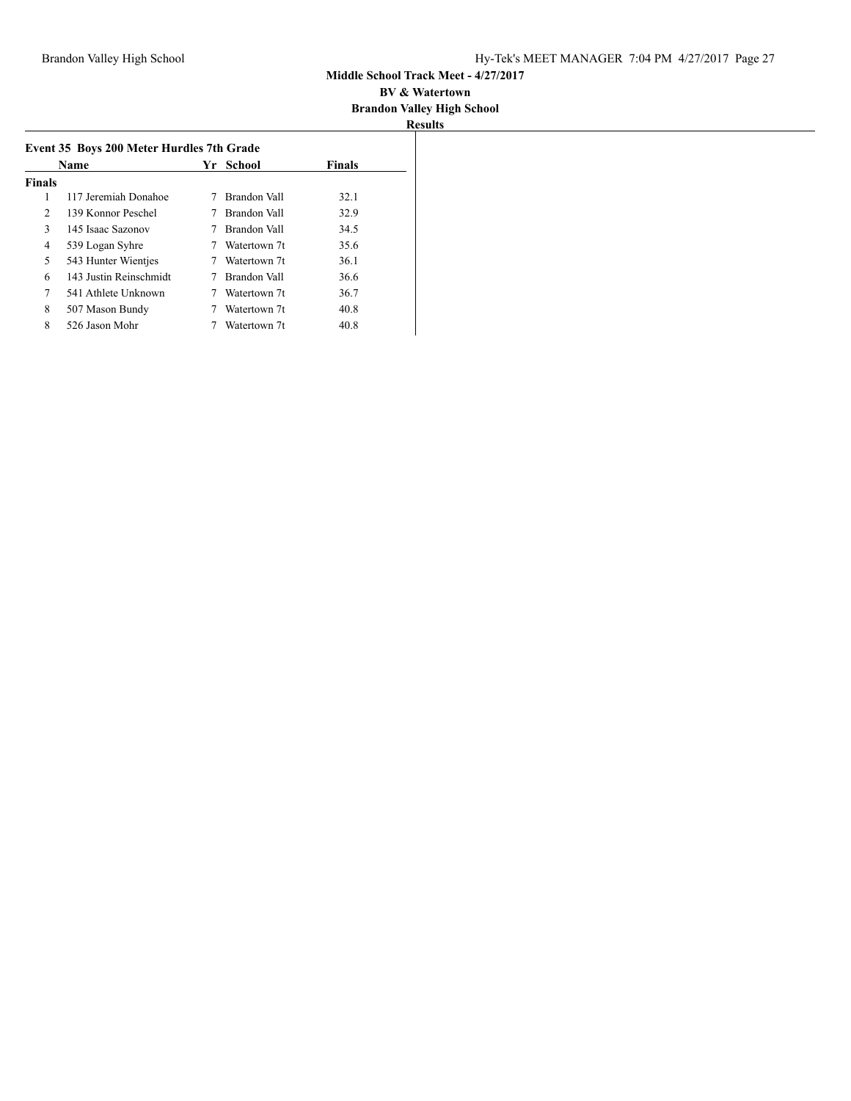|               | Name                   | Yr | School       | <b>Finals</b> |
|---------------|------------------------|----|--------------|---------------|
| <b>Finals</b> |                        |    |              |               |
| 1             | 117 Jeremiah Donahoe   |    | Brandon Vall | 32.1          |
| 2             | 139 Konnor Peschel     |    | Brandon Vall | 32.9          |
| 3             | 145 Isaac Sazonov      |    | Brandon Vall | 34.5          |
| 4             | 539 Logan Syhre        |    | Watertown 7t | 35.6          |
| 5             | 543 Hunter Wientjes    |    | Watertown 7t | 36.1          |
| 6             | 143 Justin Reinschmidt |    | Brandon Vall | 36.6          |
| 7             | 541 Athlete Unknown    |    | Watertown 7t | 36.7          |
| 8             | 507 Mason Bundy        |    | Watertown 7t | 40.8          |
| 8             | 526 Jason Mohr         |    | Watertown 7t | 40.8          |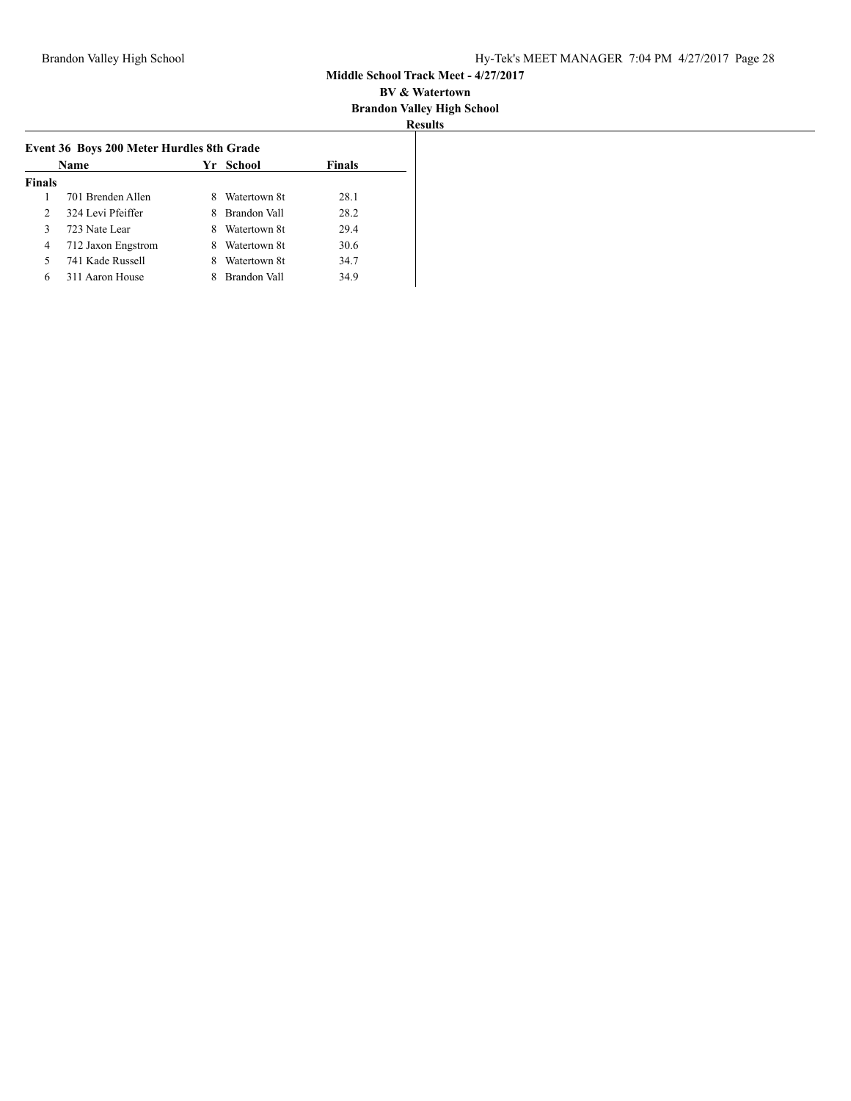| ч.<br>esults |  |
|--------------|--|

|                | Name               |   | Yr School    | <b>Finals</b> |
|----------------|--------------------|---|--------------|---------------|
| <b>Finals</b>  |                    |   |              |               |
|                | 701 Brenden Allen  | 8 | Watertown 8t | 28.1          |
| $\overline{2}$ | 324 Levi Pfeiffer  | 8 | Brandon Vall | 28.2          |
| 3              | 723 Nate Lear      | 8 | Watertown 8t | 29.4          |
| 4              | 712 Jaxon Engstrom | 8 | Watertown 8t | 30.6          |
| 5              | 741 Kade Russell   | 8 | Watertown 8t | 34.7          |
| 6              | 311 Aaron House    |   | Brandon Vall | 34.9          |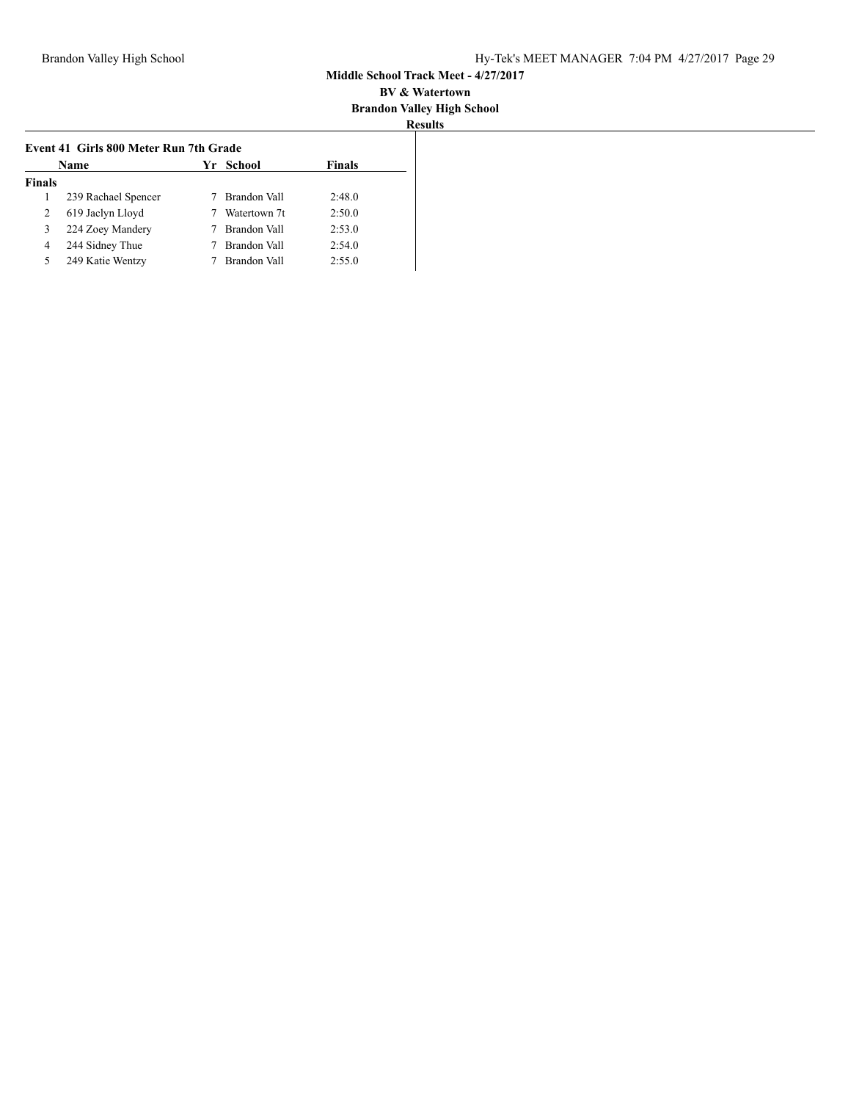## **BV & Watertown Brandon Valley High School**

|               | <b>Name</b>         | Yr School           | Finals |
|---------------|---------------------|---------------------|--------|
| <b>Finals</b> |                     |                     |        |
|               | 239 Rachael Spencer | Brandon Vall        | 2:48.0 |
| 2             | 619 Jaclyn Lloyd    | Watertown 7t        | 2:50.0 |
| 3             | 224 Zoey Mandery    | <b>Brandon Vall</b> | 2:53.0 |
| 4             | 244 Sidney Thue     | Brandon Vall        | 2:54.0 |
| 5             | 249 Katie Wentzy    | Brandon Vall        | 2:55.0 |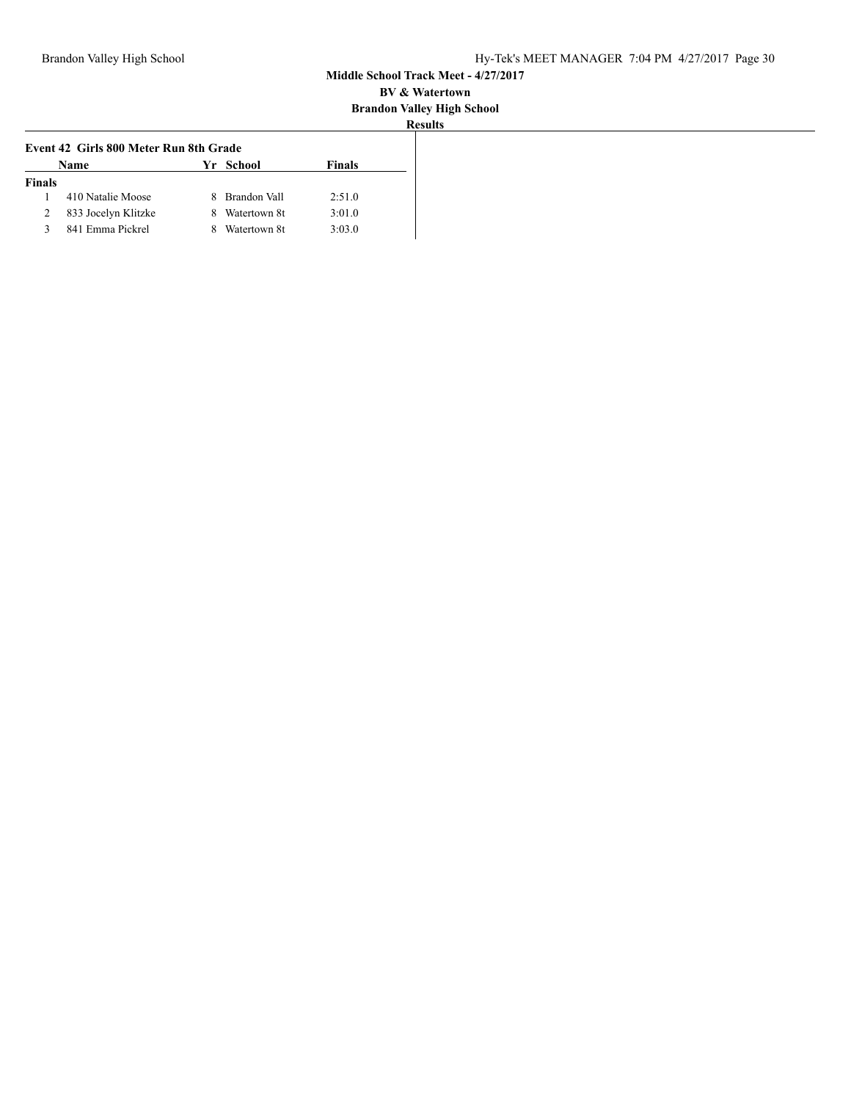| Results |
|---------|

| Name                | Yr. | Finals                                                                                           |
|---------------------|-----|--------------------------------------------------------------------------------------------------|
|                     |     |                                                                                                  |
| 410 Natalie Moose   | 8   | 2:51.0                                                                                           |
| 833 Jocelyn Klitzke | 8   | 3:01.0                                                                                           |
| 841 Emma Pickrel    | 8   | 3:03.0                                                                                           |
|                     |     | Event 42 Girls 800 Meter Run 8th Grade<br>School<br>Brandon Vall<br>Watertown 8t<br>Watertown 8t |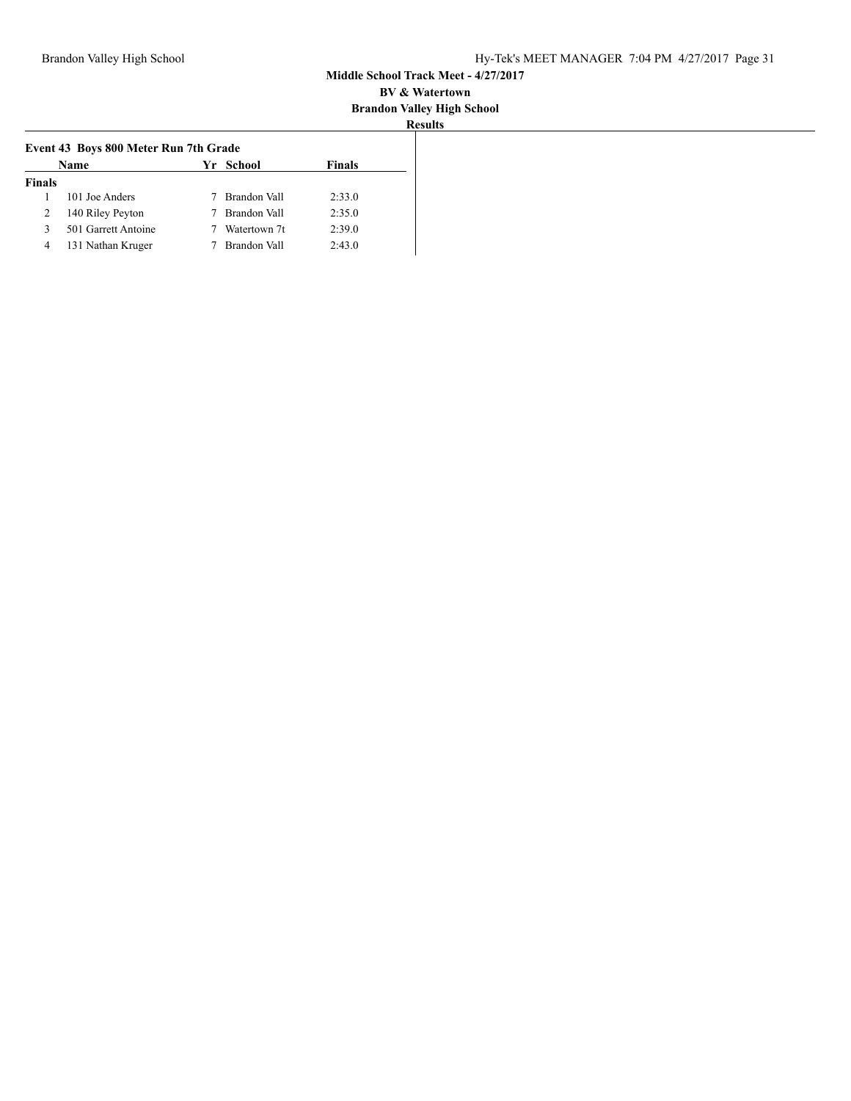| u                |    |
|------------------|----|
| ш<br>r<br>w<br>÷ | ۰. |

|               | <b>Name</b>         | Yr School      | <b>Finals</b> |
|---------------|---------------------|----------------|---------------|
| <b>Finals</b> |                     |                |               |
|               | 101 Joe Anders      | Brandon Vall   | 2:33.0        |
| 2             | 140 Riley Peyton    | 7 Brandon Vall | 2:35.0        |
| 3             | 501 Garrett Antoine | Watertown 7t   | 2:39.0        |
| 4             | 131 Nathan Kruger   | Brandon Vall   | 2:43.0        |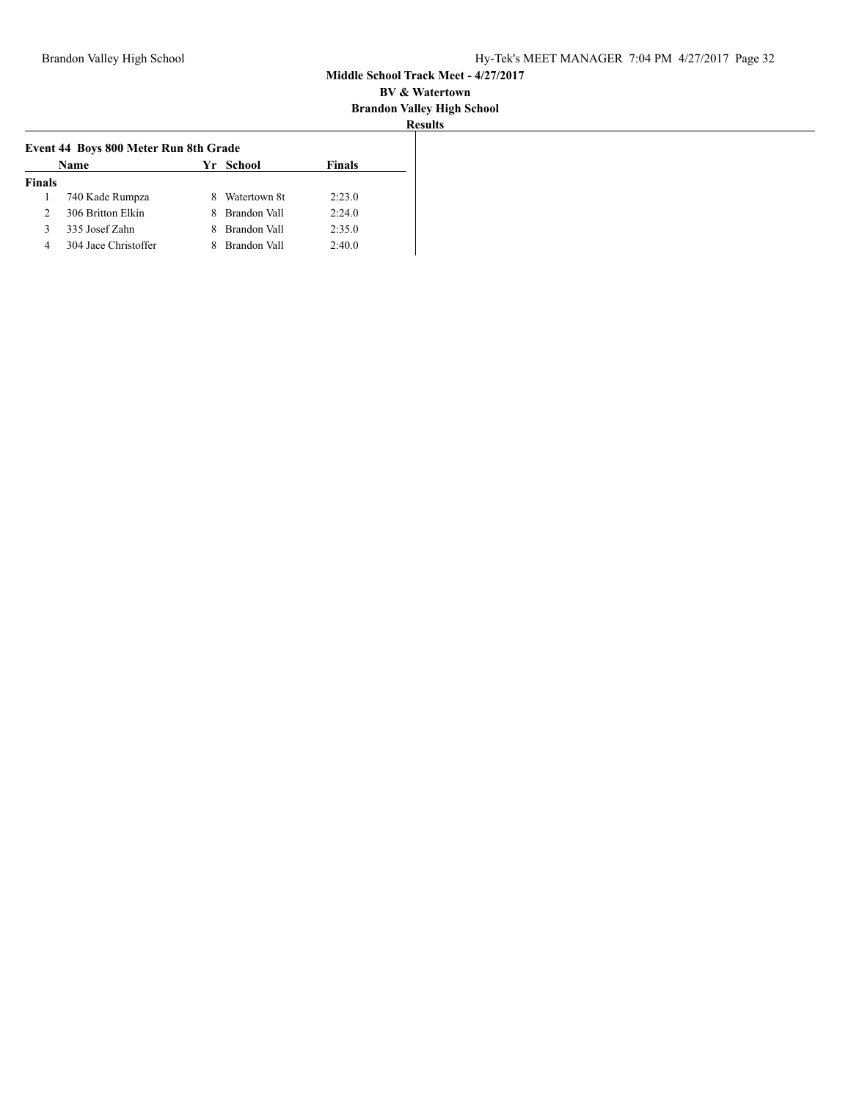| u              |  |
|----------------|--|
| r<br>. .<br>۰. |  |

|               | <b>Name</b>          | Event 44 Boys 800 Meter Run 8th Grade<br>Yr School |              | <b>Finals</b> |
|---------------|----------------------|----------------------------------------------------|--------------|---------------|
| <b>Finals</b> |                      |                                                    |              |               |
|               | 740 Kade Rumpza      |                                                    | Watertown 8t | 2:23.0        |
| 2             | 306 Britton Elkin    |                                                    | Brandon Vall | 2:24.0        |
| 3             | 335 Josef Zahn       |                                                    | Brandon Vall | 2:35.0        |
| 4             | 304 Jace Christoffer |                                                    | Brandon Vall | 2:40.0        |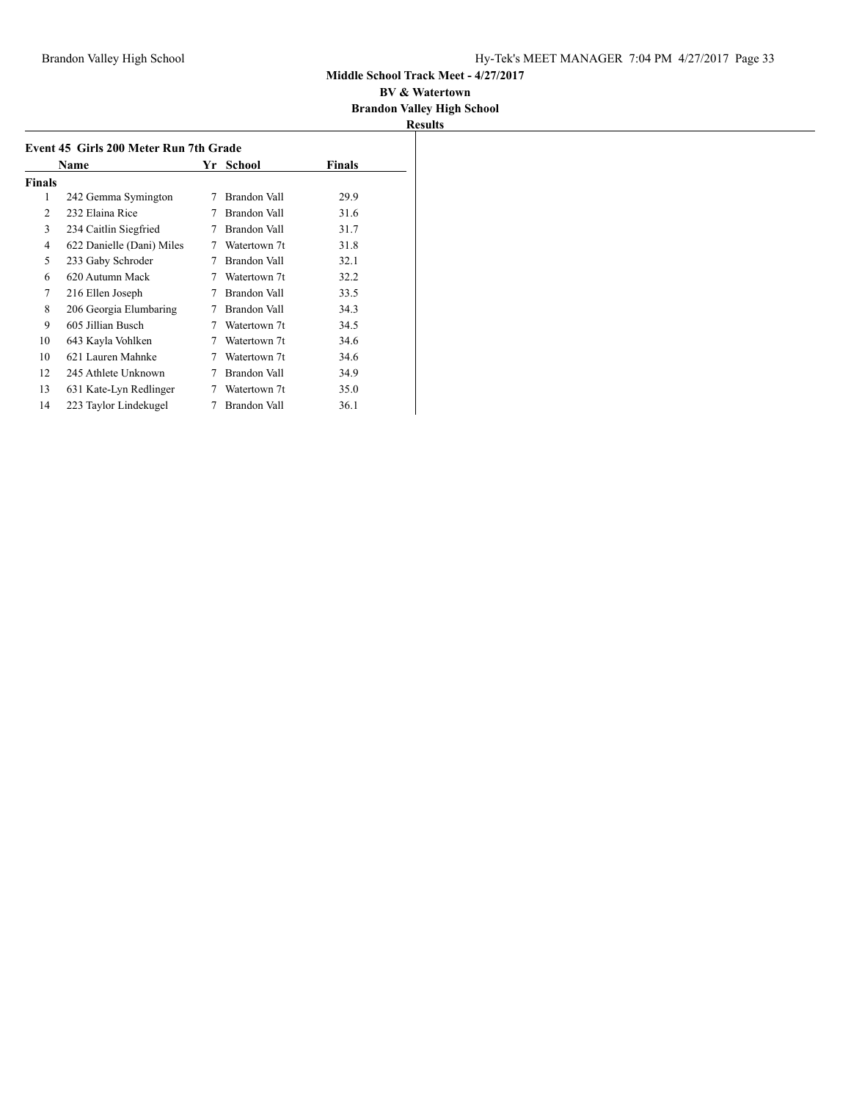#### **BV & Watertown Brandon Valley High School**

|        | Name                      | Yr | School       | Finals |
|--------|---------------------------|----|--------------|--------|
| Finals |                           |    |              |        |
| 1      | 242 Gemma Symington       | 7  | Brandon Vall | 29.9   |
| 2      | 232 Elaina Rice           |    | Brandon Vall | 31.6   |
| 3      | 234 Caitlin Siegfried     | 7  | Brandon Vall | 31.7   |
| 4      | 622 Danielle (Dani) Miles | 7  | Watertown 7t | 31.8   |
| 5      | 233 Gaby Schroder         | 7  | Brandon Vall | 32.1   |
| 6      | 620 Autumn Mack           | 7  | Watertown 7t | 32.2   |
| 7      | 216 Ellen Joseph          | 7  | Brandon Vall | 33.5   |
| 8      | 206 Georgia Elumbaring    |    | Brandon Vall | 34.3   |
| 9      | 605 Jillian Busch         | 7  | Watertown 7t | 34.5   |
| 10     | 643 Kayla Vohlken         | 7  | Watertown 7t | 34.6   |
| 10     | 621 Lauren Mahnke         | 7  | Watertown 7t | 34.6   |
| 12     | 245 Athlete Unknown       | 7  | Brandon Vall | 34.9   |
| 13     | 631 Kate-Lyn Redlinger    | 7  | Watertown 7t | 35.0   |
| 14     | 223 Taylor Lindekugel     | 7  | Brandon Vall | 36.1   |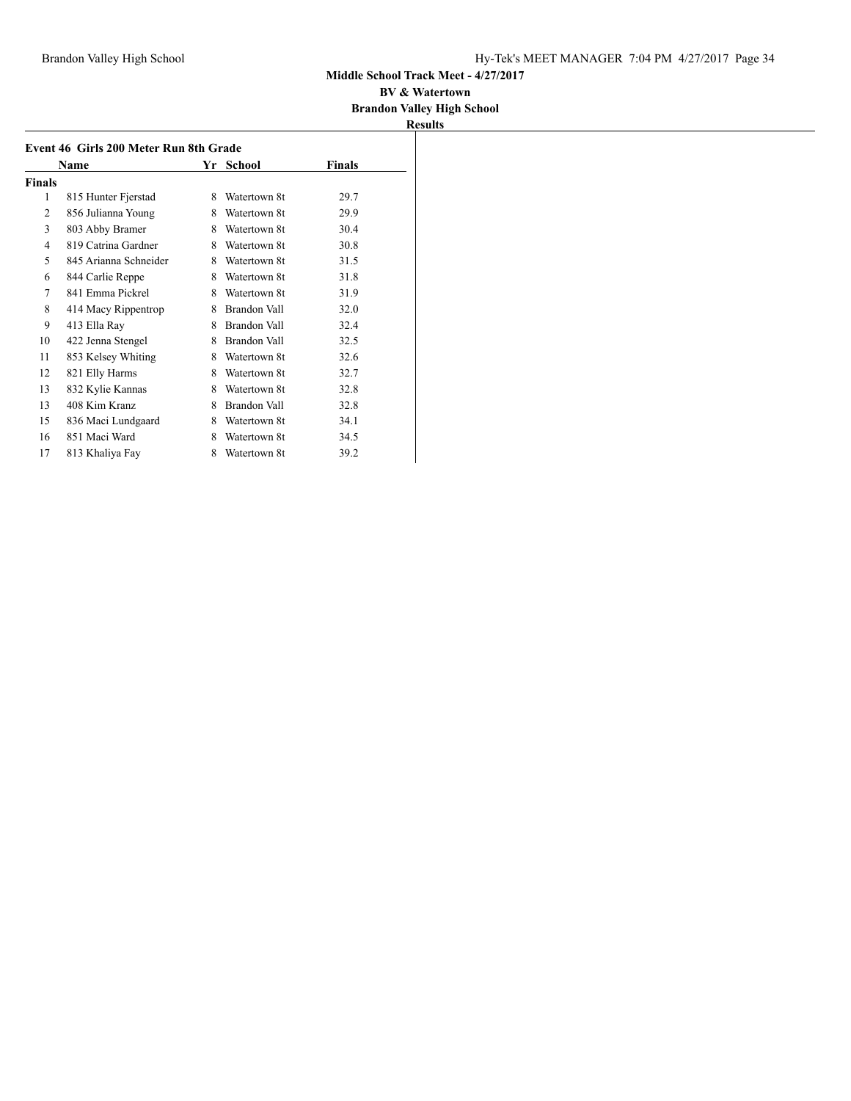#### **BV & Watertown Brandon Valley High School**

| Event 46 Girls 200 Meter Run 8th Grade<br>Finals<br>Name<br>Yr School |                       |   |                     |      |
|-----------------------------------------------------------------------|-----------------------|---|---------------------|------|
| Finals                                                                |                       |   |                     |      |
| 1                                                                     | 815 Hunter Fjerstad   | 8 | Watertown 8t        | 29.7 |
| 2                                                                     | 856 Julianna Young    | 8 | Watertown 8t        | 29.9 |
| 3                                                                     | 803 Abby Bramer       | 8 | Watertown 8t        | 30.4 |
| 4                                                                     | 819 Catrina Gardner   | 8 | Watertown 8t        | 30.8 |
| 5                                                                     | 845 Arianna Schneider | 8 | Watertown 8t        | 31.5 |
| 6                                                                     | 844 Carlie Reppe      | 8 | Watertown 8t        | 31.8 |
| 7                                                                     | 841 Emma Pickrel      | 8 | Watertown 8t        | 31.9 |
| 8                                                                     | 414 Macy Rippentrop   | 8 | Brandon Vall        | 32.0 |
| 9                                                                     | 413 Ella Ray          | 8 | <b>Brandon Vall</b> | 32.4 |
| 10                                                                    | 422 Jenna Stengel     | 8 | Brandon Vall        | 32.5 |
| 11                                                                    | 853 Kelsey Whiting    | 8 | Watertown 8t        | 32.6 |
| 12                                                                    |                       | 8 | Watertown 8t        | 32.7 |
|                                                                       | 821 Elly Harms        |   |                     |      |
| 13                                                                    | 832 Kylie Kannas      | 8 | Watertown 8t        | 32.8 |
| 13                                                                    | 408 Kim Kranz         | 8 | Brandon Vall        | 32.8 |
| 15                                                                    | 836 Maci Lundgaard    | 8 | Watertown 8t        | 34.1 |
| 16                                                                    | 851 Maci Ward         | 8 | Watertown 8t        | 34.5 |
| 17                                                                    | 813 Khaliya Fay       | 8 | Watertown 8t        | 39.2 |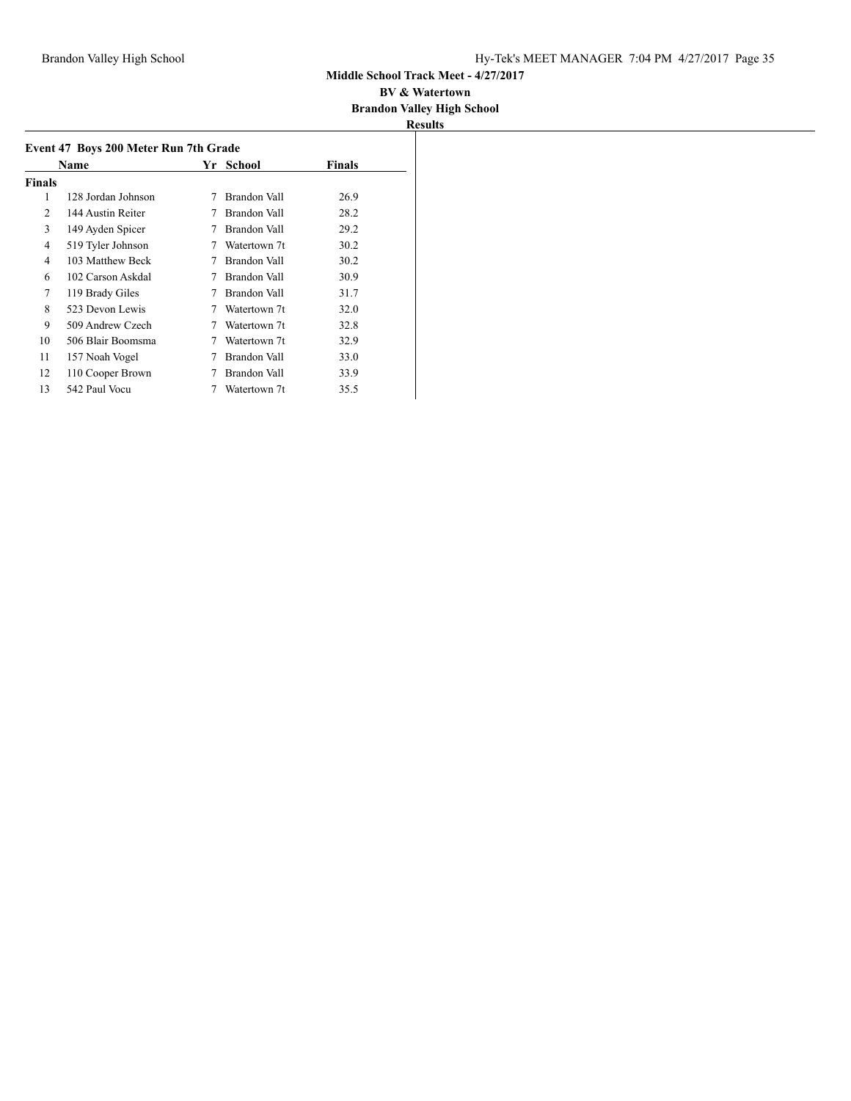| Results |  |
|---------|--|

|        | Name               |   | Yr School           | <b>Finals</b> |
|--------|--------------------|---|---------------------|---------------|
| Finals |                    |   |                     |               |
| 1      | 128 Jordan Johnson | 7 | Brandon Vall        | 26.9          |
| 2      | 144 Austin Reiter  | 7 | Brandon Vall        | 28.2          |
| 3      | 149 Ayden Spicer   | 7 | Brandon Vall        | 29.2          |
| 4      | 519 Tyler Johnson  | 7 | Watertown 7t        | 30.2          |
| 4      | 103 Matthew Beck   | 7 | Brandon Vall        | 30.2          |
| 6      | 102 Carson Askdal  |   | <b>Brandon Vall</b> | 30.9          |
| 7      | 119 Brady Giles    |   | Brandon Vall        | 31.7          |
| 8      | 523 Devon Lewis    |   | Watertown 7t        | 32.0          |
| 9      | 509 Andrew Czech   | 7 | Watertown 7t        | 32.8          |
| 10     | 506 Blair Boomsma  | 7 | Watertown 7t        | 32.9          |
| 11     | 157 Noah Vogel     | 7 | Brandon Vall        | 33.0          |
| 12     | 110 Cooper Brown   |   | Brandon Vall        | 33.9          |
| 13     | 542 Paul Vocu      |   | Watertown 7t        | 35.5          |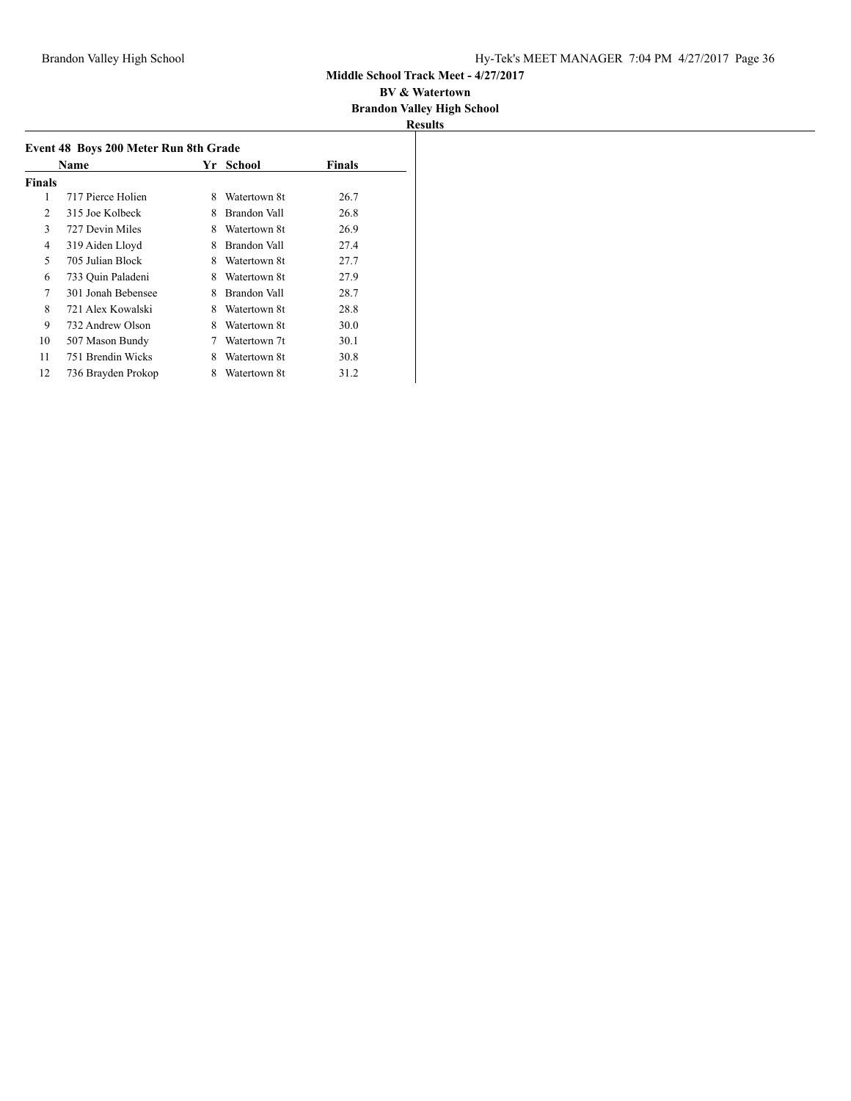|               | Event 48 Boys 200 Meter Run 8th Grade |   |                     |               |  |
|---------------|---------------------------------------|---|---------------------|---------------|--|
|               | Name                                  |   | Yr School           | <b>Finals</b> |  |
| <b>Finals</b> |                                       |   |                     |               |  |
| 1             | 717 Pierce Holien                     | 8 | Watertown 8t        | 26.7          |  |
| 2             | 315 Joe Kolbeck                       | 8 | <b>Brandon Vall</b> | 26.8          |  |
| 3             | 727 Devin Miles                       | 8 | Watertown 8t        | 26.9          |  |
| 4             | 319 Aiden Lloyd                       | 8 | Brandon Vall        | 27.4          |  |
| 5             | 705 Julian Block                      | 8 | Watertown 8t        | 27.7          |  |
| 6             | 733 Ouin Paladeni                     | 8 | Watertown 8t        | 27.9          |  |
| 7             | 301 Jonah Bebensee                    | 8 | Brandon Vall        | 28.7          |  |
| 8             | 721 Alex Kowalski                     | 8 | Watertown 8t        | 28.8          |  |
| 9             | 732 Andrew Olson                      | 8 | Watertown 8t        | 30.0          |  |
| 10            | 507 Mason Bundy                       |   | Watertown 7t        | 30.1          |  |
| 11            | 751 Brendin Wicks                     | 8 | Watertown 8t        | 30.8          |  |
| 12            | 736 Brayden Prokop                    | 8 | Watertown 8t        | 31.2          |  |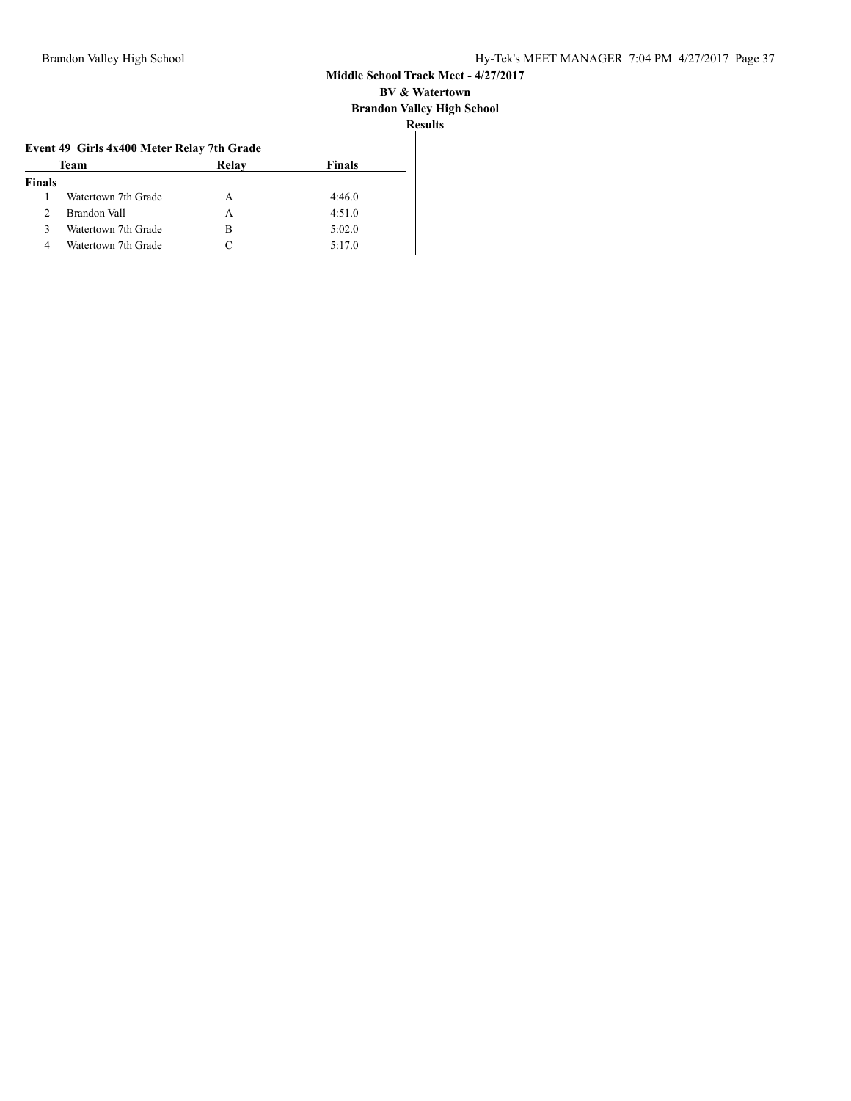| к<br>esults: |  |
|--------------|--|
|              |  |

|                     | Event 49 Girls 4x400 Meter Relay 7th Grade |               |  |  |  |
|---------------------|--------------------------------------------|---------------|--|--|--|
| Team                | Relay                                      | <b>Finals</b> |  |  |  |
|                     |                                            |               |  |  |  |
| Watertown 7th Grade | А                                          | 4:46.0        |  |  |  |
| Brandon Vall        | А                                          | 4:51.0        |  |  |  |
| Watertown 7th Grade | в                                          | 5:02.0        |  |  |  |
| Watertown 7th Grade |                                            | 5:17.0        |  |  |  |
|                     |                                            |               |  |  |  |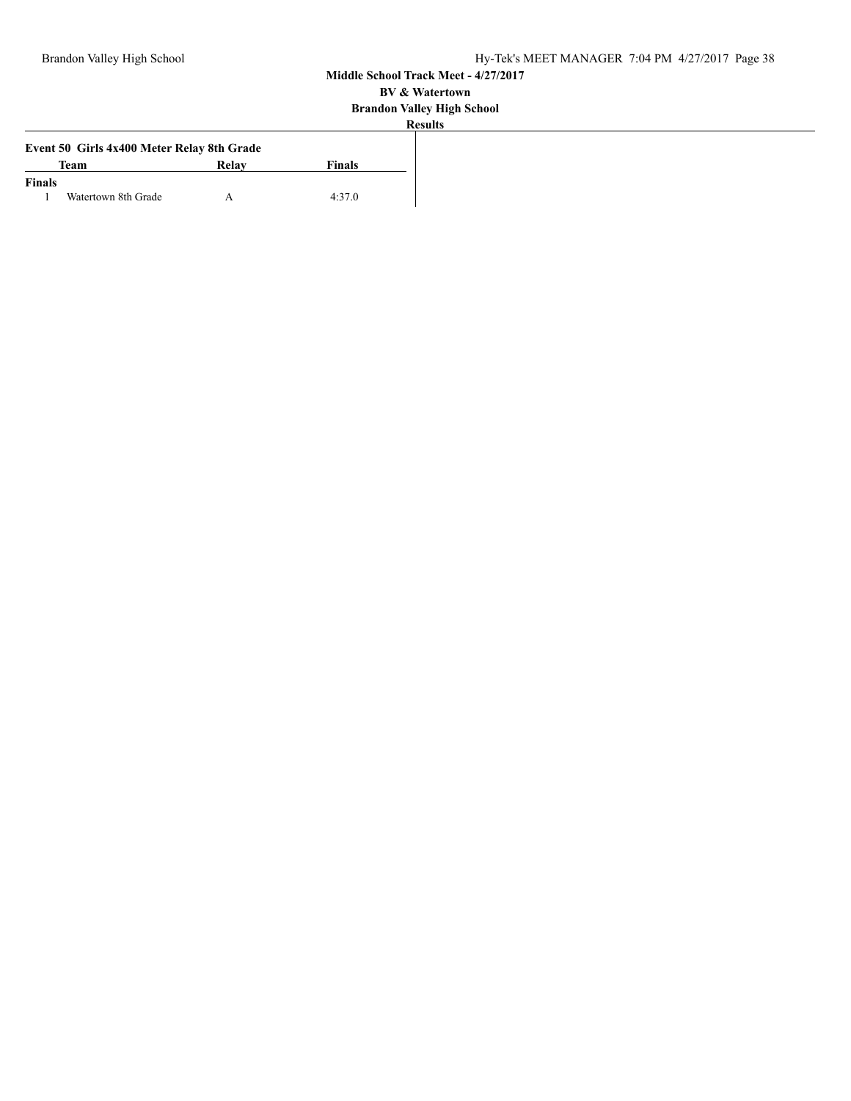|               | Event 50 Girls 4x400 Meter Relay 8th Grade |       |        |
|---------------|--------------------------------------------|-------|--------|
|               | Team                                       | Relay | Finals |
| <b>Finals</b> |                                            |       |        |
|               | Watertown 8th Grade                        |       | 4:37.0 |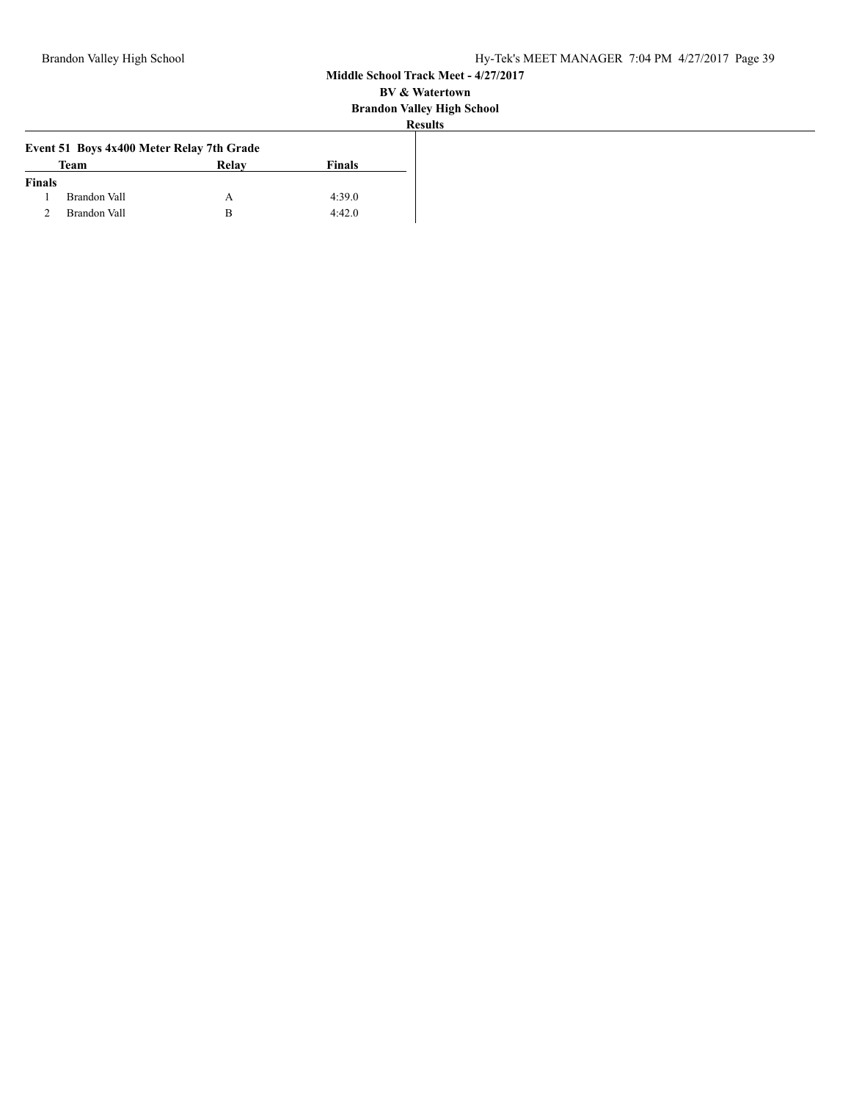| уансу 1115     |  |
|----------------|--|
| <b>Results</b> |  |

|               | Event 51 Boys 4x400 Meter Relay 7th Grade |       |               |
|---------------|-------------------------------------------|-------|---------------|
|               | <b>Team</b>                               | Relay | <b>Finals</b> |
| <b>Finals</b> |                                           |       |               |
|               | Brandon Vall                              |       | 4:39.0        |
|               | Brandon Vall                              |       | 4:42.0        |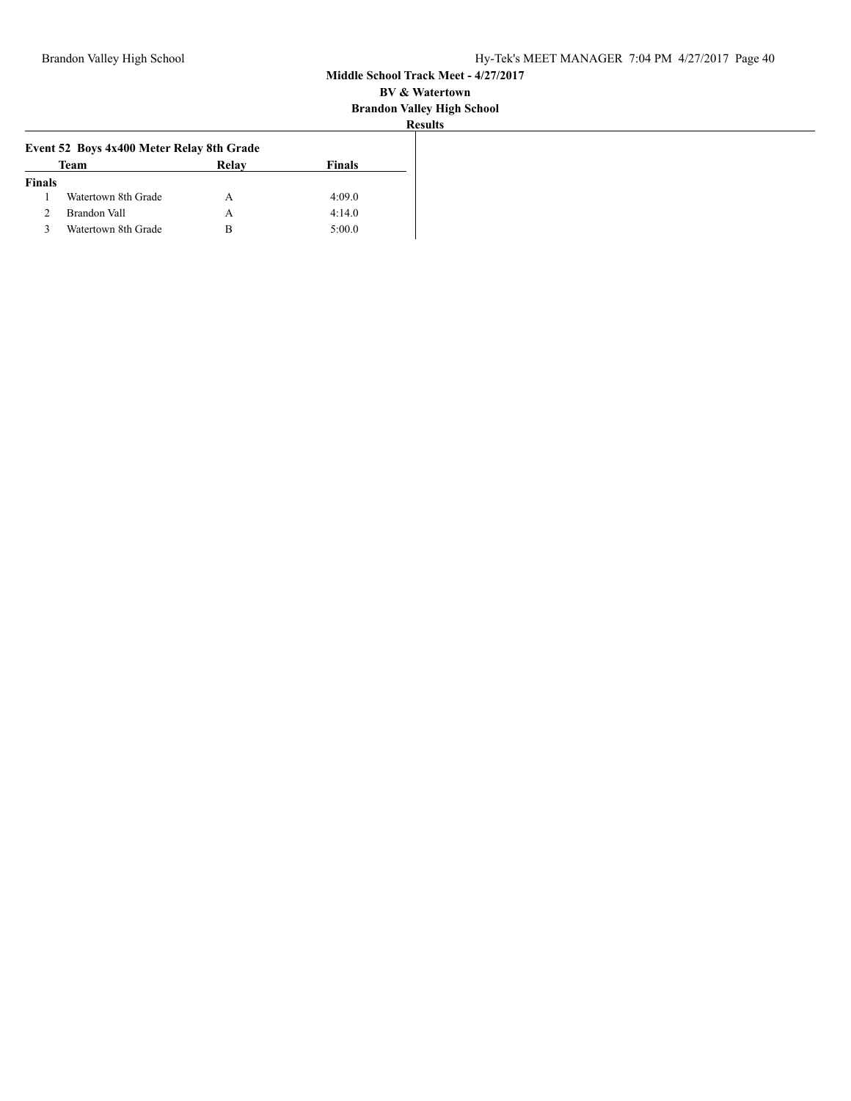| ÷<br>٠ | S11 11 | י |
|--------|--------|---|

| Team                | Relay | <b>Finals</b>                             |
|---------------------|-------|-------------------------------------------|
|                     |       |                                           |
| Watertown 8th Grade | А     | 4:09.0                                    |
| Brandon Vall        | А     | 4:14.0                                    |
| Watertown 8th Grade | B     | 5:00.0                                    |
|                     |       | Event 52 Boys 4x400 Meter Relay 8th Grade |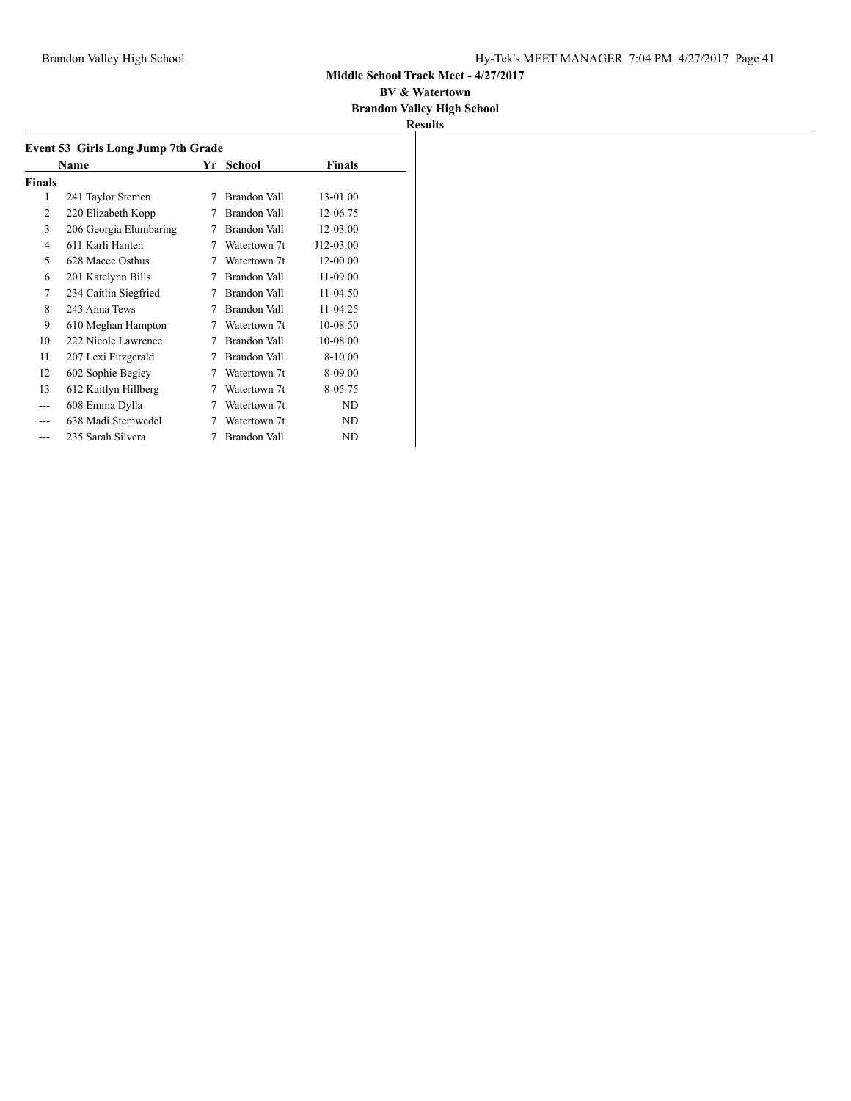#### **BV & Watertown Brandon Valley High School**

|        | Event 53 Girls Long Jump 7th Grade |   |              |               |  |
|--------|------------------------------------|---|--------------|---------------|--|
|        | Name                               |   | Yr School    | <b>Finals</b> |  |
| Finals |                                    |   |              |               |  |
| 1      | 241 Taylor Stemen                  | 7 | Brandon Vall | 13-01.00      |  |
| 2      | 220 Elizabeth Kopp                 | 7 | Brandon Vall | 12-06.75      |  |
| 3      | 206 Georgia Elumbaring             | 7 | Brandon Vall | 12-03.00      |  |
| 4      | 611 Karli Hanten                   | 7 | Watertown 7t | J12-03.00     |  |
| 5      | 628 Macee Osthus                   | 7 | Watertown 7t | 12-00.00      |  |
| 6      | 201 Katelynn Bills                 | 7 | Brandon Vall | 11-09.00      |  |
| 7      | 234 Caitlin Siegfried              | 7 | Brandon Vall | 11-04.50      |  |
| 8      | 243 Anna Tews                      | 7 | Brandon Vall | 11-04.25      |  |
| 9      | 610 Meghan Hampton                 | 7 | Watertown 7t | 10-08.50      |  |
| 10     | 222 Nicole Lawrence                | 7 | Brandon Vall | 10-08.00      |  |
| 11     | 207 Lexi Fitzgerald                | 7 | Brandon Vall | 8-10.00       |  |
| 12     | 602 Sophie Begley                  | 7 | Watertown 7t | 8-09.00       |  |
| 13     | 612 Kaitlyn Hillberg               | 7 | Watertown 7t | 8-05.75       |  |
| ---    | 608 Emma Dylla                     | 7 | Watertown 7t | ND            |  |
|        | 638 Madi Stemwedel                 | 7 | Watertown 7t | ND            |  |
|        | 235 Sarah Silvera                  | 7 | Brandon Vall | ND            |  |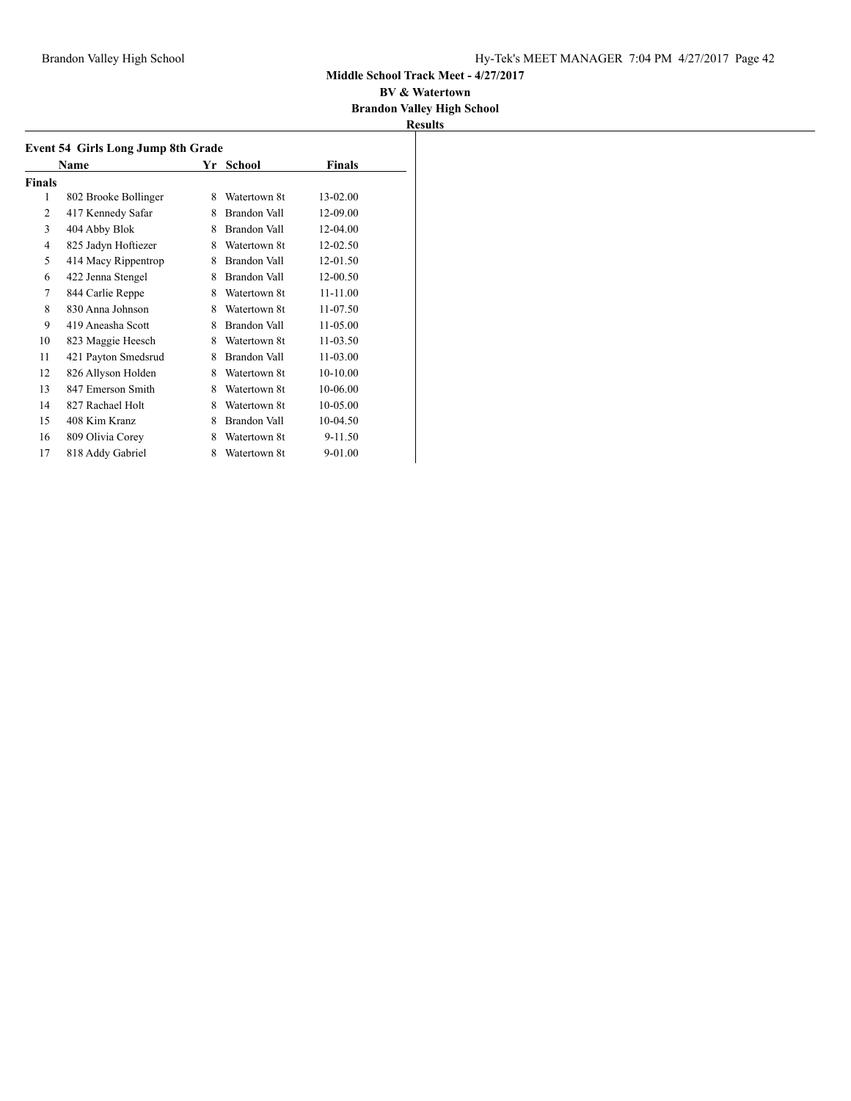#### **BV & Watertown Brandon Valley High School**

|        | Name                 | Yr | School              | <b>Finals</b> |
|--------|----------------------|----|---------------------|---------------|
| Finals |                      |    |                     |               |
| 1      | 802 Brooke Bollinger | 8  | Watertown 8t        | 13-02.00      |
| 2      | 417 Kennedy Safar    | 8  | Brandon Vall        | 12-09.00      |
| 3      | 404 Abby Blok        | 8  | Brandon Vall        | 12-04.00      |
| 4      | 825 Jadyn Hoftiezer  | 8  | Watertown 8t        | 12-02.50      |
| 5      | 414 Macy Rippentrop  | 8  | Brandon Vall        | 12-01.50      |
| 6      | 422 Jenna Stengel    | 8  | <b>Brandon Vall</b> | 12-00.50      |
| 7      | 844 Carlie Reppe     | 8  | Watertown 8t        | 11-11.00      |
| 8      | 830 Anna Johnson     | 8  | Watertown 8t        | 11-07.50      |
| 9      | 419 Aneasha Scott    | 8  | Brandon Vall        | 11-05.00      |
| 10     | 823 Maggie Heesch    | 8  | Watertown 8t        | $11 - 03.50$  |
| 11     | 421 Payton Smedsrud  | 8  | Brandon Vall        | $11 - 03.00$  |
| 12     | 826 Allyson Holden   | 8  | Watertown 8t        | $10-10.00$    |
| 13     | 847 Emerson Smith    | 8  | Watertown 8t        | 10-06.00      |
| 14     | 827 Rachael Holt     | 8  | Watertown 8t        | 10-05.00      |
| 15     | 408 Kim Kranz        | 8  | <b>Brandon Vall</b> | 10-04.50      |
| 16     | 809 Olivia Corey     | 8  | Watertown 8t        | 9-11.50       |
| 17     | 818 Addy Gabriel     | 8  | Watertown 8t        | 9-01.00       |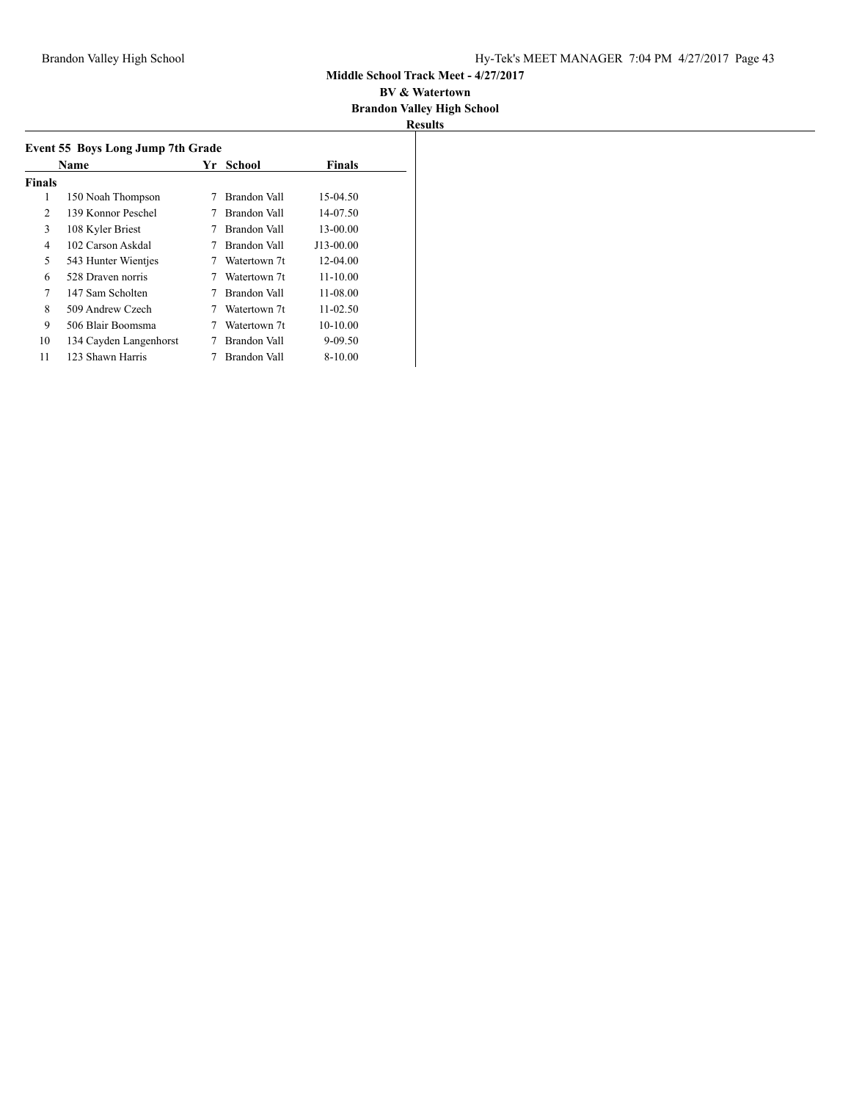#### **BV & Watertown Brandon Valley High School**

| Event 55 Boys Long Jump 7th Grade |                        |    |              |               |  |
|-----------------------------------|------------------------|----|--------------|---------------|--|
|                                   | Name                   | Yr | School       | <b>Finals</b> |  |
| <b>Finals</b>                     |                        |    |              |               |  |
| 1                                 | 150 Noah Thompson      | 7  | Brandon Vall | 15-04.50      |  |
| 2                                 | 139 Konnor Peschel     |    | Brandon Vall | 14-07.50      |  |
| 3                                 | 108 Kyler Briest       |    | Brandon Vall | 13-00.00      |  |
| 4                                 | 102 Carson Askdal      |    | Brandon Vall | J13-00.00     |  |
| 5                                 | 543 Hunter Wientjes    |    | Watertown 7t | 12-04.00      |  |
| 6                                 | 528 Draven norris      |    | Watertown 7t | $11 - 10.00$  |  |
| 7                                 | 147 Sam Scholten       | 7  | Brandon Vall | $11 - 08.00$  |  |
| 8                                 | 509 Andrew Czech       |    | Watertown 7t | $11 - 02.50$  |  |
| 9                                 | 506 Blair Boomsma      |    | Watertown 7t | $10-10.00$    |  |
| 10                                | 134 Cayden Langenhorst |    | Brandon Vall | 9-09.50       |  |
| 11                                | 123 Shawn Harris       |    | Brandon Vall | 8-10.00       |  |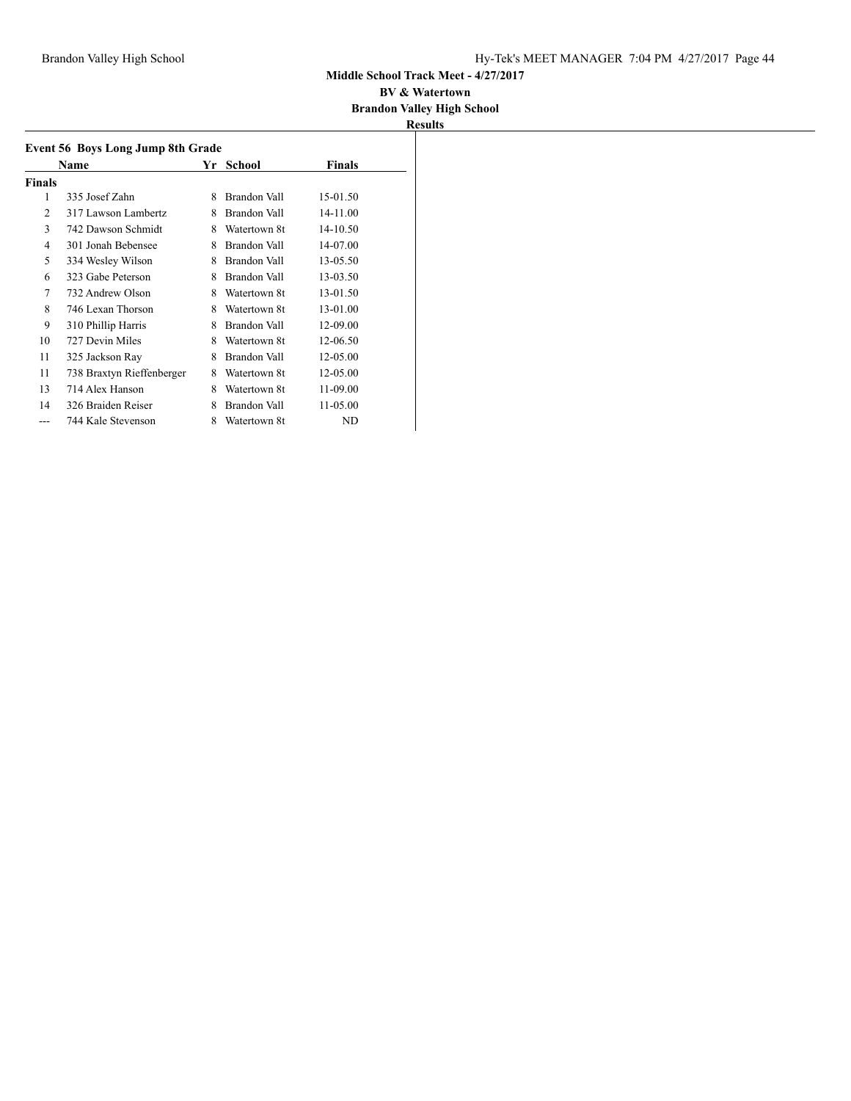#### **BV & Watertown Brandon Valley High School**

|        | <b>Event 56 Boys Long Jump 8th Grade</b> |   |              |              |  |
|--------|------------------------------------------|---|--------------|--------------|--|
|        | Name                                     |   | Yr School    | Finals       |  |
| Finals |                                          |   |              |              |  |
| 1      | 335 Josef Zahn                           | 8 | Brandon Vall | 15-01.50     |  |
| 2      | 317 Lawson Lambertz                      | 8 | Brandon Vall | 14-11.00     |  |
| 3      | 742 Dawson Schmidt                       | 8 | Watertown 8t | 14-10.50     |  |
| 4      | 301 Jonah Bebensee                       | 8 | Brandon Vall | 14-07.00     |  |
| 5      | 334 Wesley Wilson                        | 8 | Brandon Vall | 13-05.50     |  |
| 6      | 323 Gabe Peterson                        | 8 | Brandon Vall | 13-03.50     |  |
| 7      | 732 Andrew Olson                         | 8 | Watertown 8t | 13-01.50     |  |
| 8      | 746 Lexan Thorson                        | 8 | Watertown 8t | 13-01.00     |  |
| 9      | 310 Phillip Harris                       | 8 | Brandon Vall | 12-09.00     |  |
| 10     | 727 Devin Miles                          | 8 | Watertown 8t | 12-06.50     |  |
| 11     | 325 Jackson Ray                          | 8 | Brandon Vall | 12-05.00     |  |
| 11     | 738 Braxtyn Rieffenberger                | 8 | Watertown 8t | 12-05.00     |  |
| 13     | 714 Alex Hanson                          | 8 | Watertown 8t | 11-09.00     |  |
| 14     | 326 Braiden Reiser                       | 8 | Brandon Vall | $11 - 05.00$ |  |
| ---    | 744 Kale Stevenson                       | 8 | Watertown 8t | ND           |  |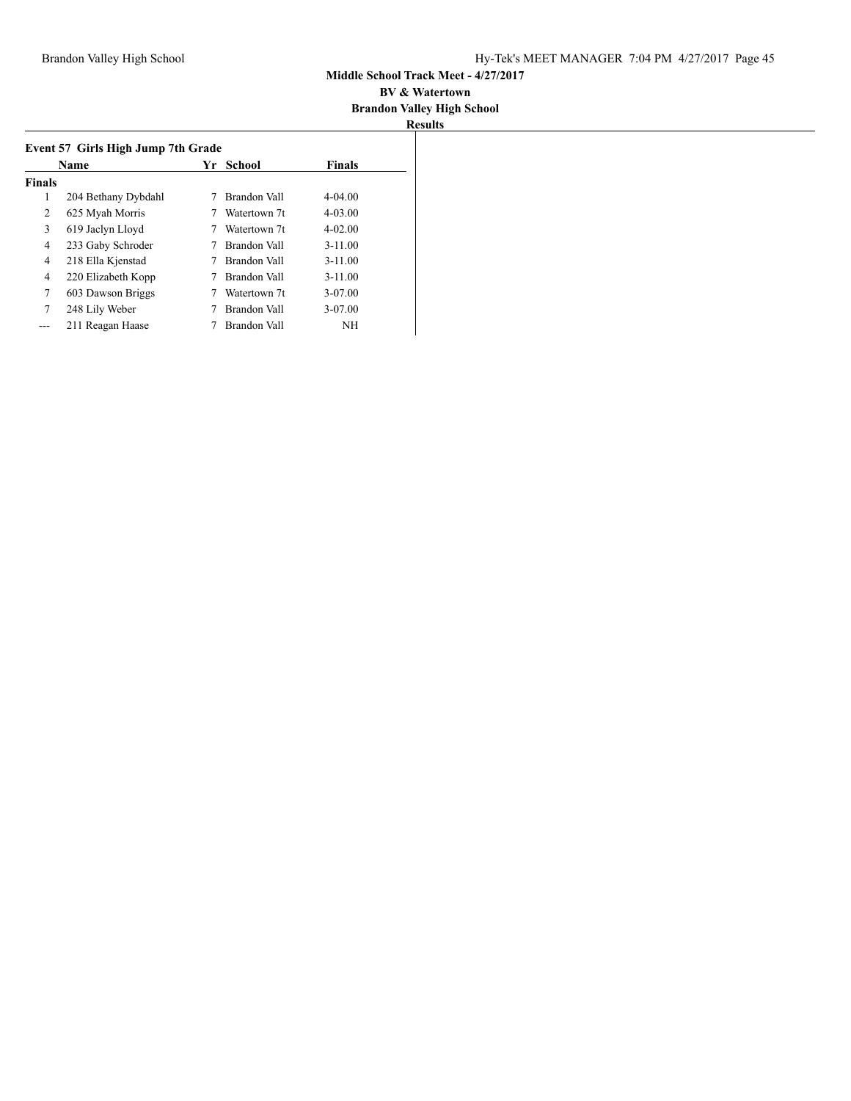|               | <b>Name</b>         | Yr | School       | Finals      |
|---------------|---------------------|----|--------------|-------------|
| <b>Finals</b> |                     |    |              |             |
| 1             | 204 Bethany Dybdahl |    | Brandon Vall | $4 - 04.00$ |
| 2             | 625 Myah Morris     |    | Watertown 7t | $4 - 03.00$ |
| 3             | 619 Jaclyn Lloyd    |    | Watertown 7t | $4 - 02.00$ |
| 4             | 233 Gaby Schroder   |    | Brandon Vall | $3 - 11.00$ |
| 4             | 218 Ella Kjenstad   |    | Brandon Vall | $3 - 11.00$ |
| 4             | 220 Elizabeth Kopp  |    | Brandon Vall | $3 - 11.00$ |
| 7             | 603 Dawson Briggs   |    | Watertown 7t | 3-07.00     |
| 7             | 248 Lily Weber      |    | Brandon Vall | 3-07.00     |
|               | 211 Reagan Haase    |    | Brandon Vall | <b>NH</b>   |
|               |                     |    |              |             |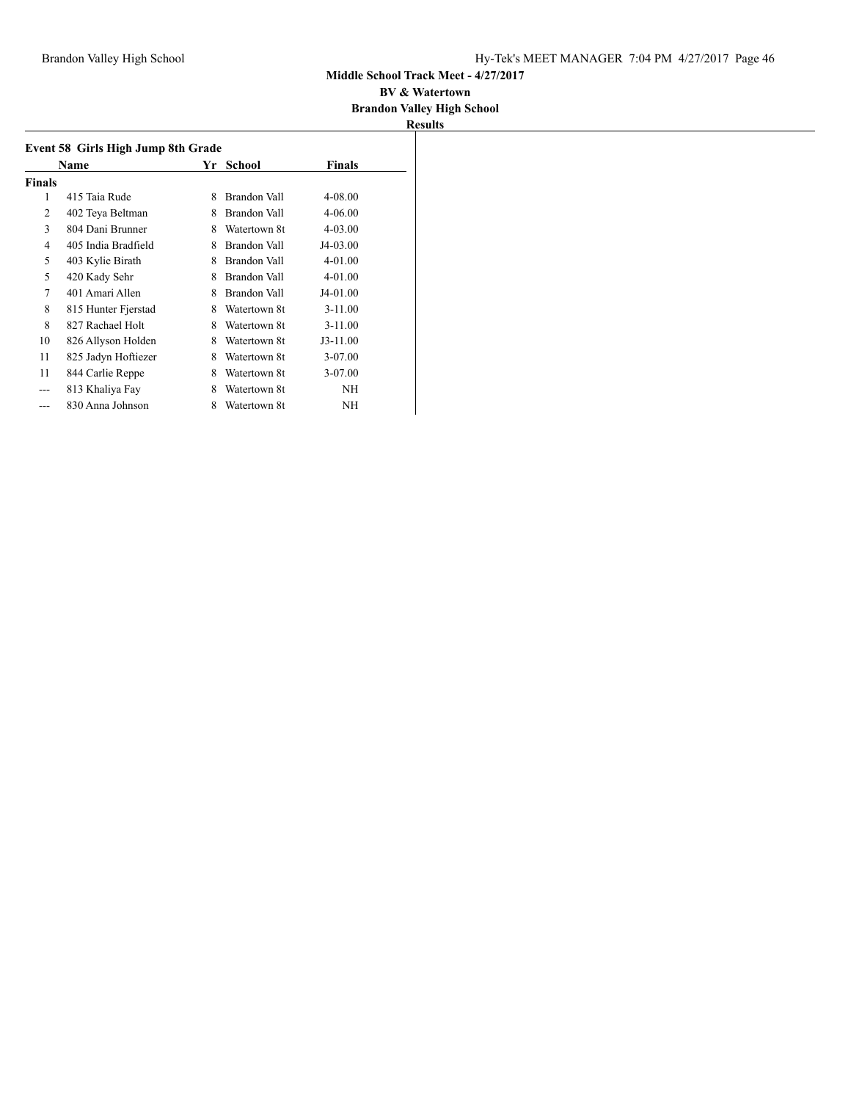#### **BV & Watertown Brandon Valley High School**

| <b>Finals</b><br>Name<br>Yr<br>School |                     |   |              |             |  |
|---------------------------------------|---------------------|---|--------------|-------------|--|
| <b>Finals</b>                         |                     |   |              |             |  |
| 1                                     | 415 Taia Rude       | 8 | Brandon Vall | 4-08.00     |  |
| $\overline{2}$                        | 402 Teya Beltman    | 8 | Brandon Vall | $4 - 06.00$ |  |
| 3                                     | 804 Dani Brunner    | 8 | Watertown 8t | $4 - 03.00$ |  |
| 4                                     | 405 India Bradfield | 8 | Brandon Vall | J4-03.00    |  |
| 5                                     | 403 Kylie Birath    | 8 | Brandon Vall | $4 - 01.00$ |  |
| 5                                     | 420 Kady Sehr       | 8 | Brandon Vall | $4 - 01.00$ |  |
| 7                                     | 401 Amari Allen     | 8 | Brandon Vall | J4-01.00    |  |
| 8                                     | 815 Hunter Fjerstad | 8 | Watertown 8t | $3 - 11.00$ |  |
| 8                                     | 827 Rachael Holt    | 8 | Watertown 8t | $3 - 11.00$ |  |
| 10                                    | 826 Allyson Holden  | 8 | Watertown 8t | $J3-11.00$  |  |
| 11                                    | 825 Jadyn Hoftiezer | 8 | Watertown 8t | 3-07.00     |  |
| 11                                    | 844 Carlie Reppe    | 8 | Watertown 8t | 3-07.00     |  |
|                                       | 813 Khaliya Fay     | 8 | Watertown 8t | NH          |  |
|                                       | 830 Anna Johnson    | 8 | Watertown 8t | NH          |  |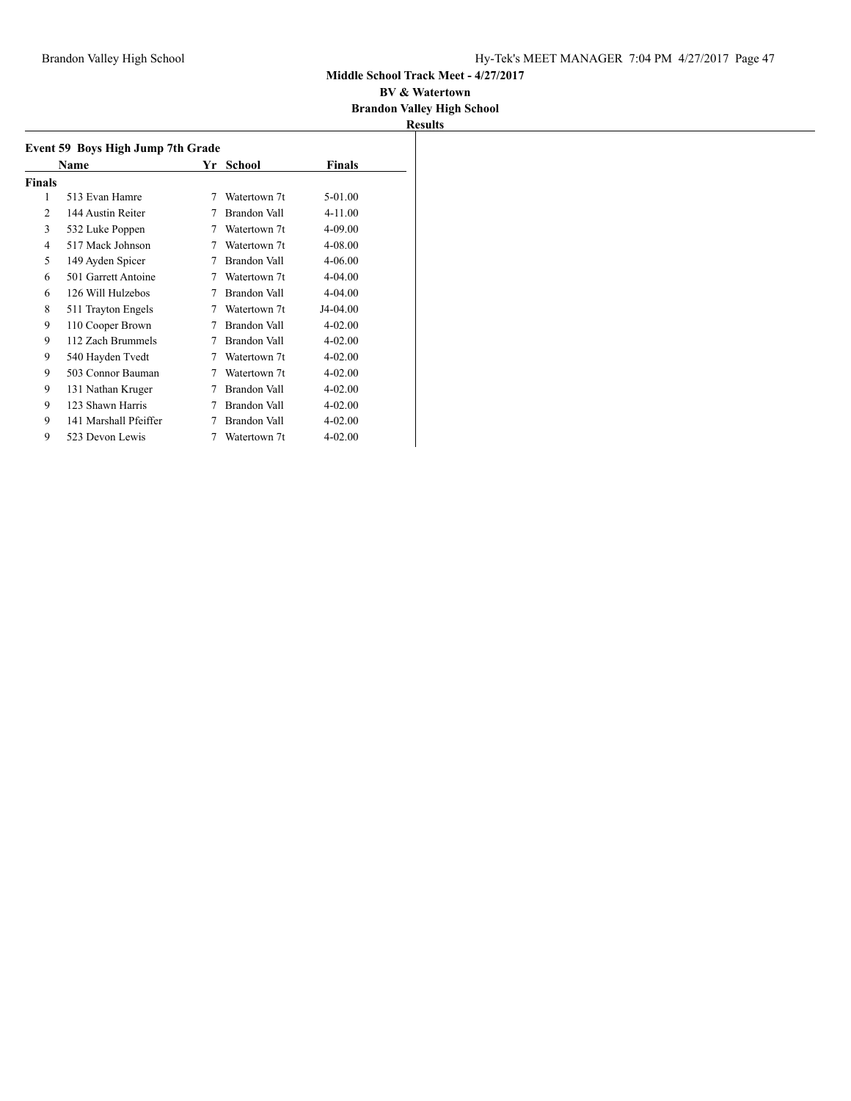#### **BV & Watertown Brandon Valley High School**

| Event 59 Boys High Jump 7th Grade |                       |   |              |             |  |
|-----------------------------------|-----------------------|---|--------------|-------------|--|
|                                   | Name                  |   | Yr School    | Finals      |  |
| Finals                            |                       |   |              |             |  |
| 1                                 | 513 Evan Hamre        | 7 | Watertown 7t | 5-01.00     |  |
| $\mathfrak{D}$                    | 144 Austin Reiter     | 7 | Brandon Vall | 4-11.00     |  |
| 3                                 | 532 Luke Poppen       | 7 | Watertown 7t | $4 - 09.00$ |  |
| 4                                 | 517 Mack Johnson      | 7 | Watertown 7t | 4-08.00     |  |
| 5                                 | 149 Ayden Spicer      | 7 | Brandon Vall | $4 - 06.00$ |  |
| 6                                 | 501 Garrett Antoine   | 7 | Watertown 7t | $4 - 04.00$ |  |
| 6                                 | 126 Will Hulzebos     | 7 | Brandon Vall | $4 - 04.00$ |  |
| 8                                 | 511 Trayton Engels    | 7 | Watertown 7t | J4-04.00    |  |
| 9                                 | 110 Cooper Brown      | 7 | Brandon Vall | $4 - 02.00$ |  |
| 9                                 | 112 Zach Brummels     | 7 | Brandon Vall | $4 - 02.00$ |  |
| 9                                 | 540 Hayden Tvedt      | 7 | Watertown 7t | $4 - 02.00$ |  |
| 9                                 | 503 Connor Bauman     | 7 | Watertown 7t | $4 - 02.00$ |  |
| 9                                 | 131 Nathan Kruger     | 7 | Brandon Vall | $4 - 02.00$ |  |
| 9                                 | 123 Shawn Harris      | 7 | Brandon Vall | $4 - 02.00$ |  |
| 9                                 | 141 Marshall Pfeiffer | 7 | Brandon Vall | $4 - 02.00$ |  |
| 9                                 | 523 Devon Lewis       | 7 | Watertown 7t | $4 - 02.00$ |  |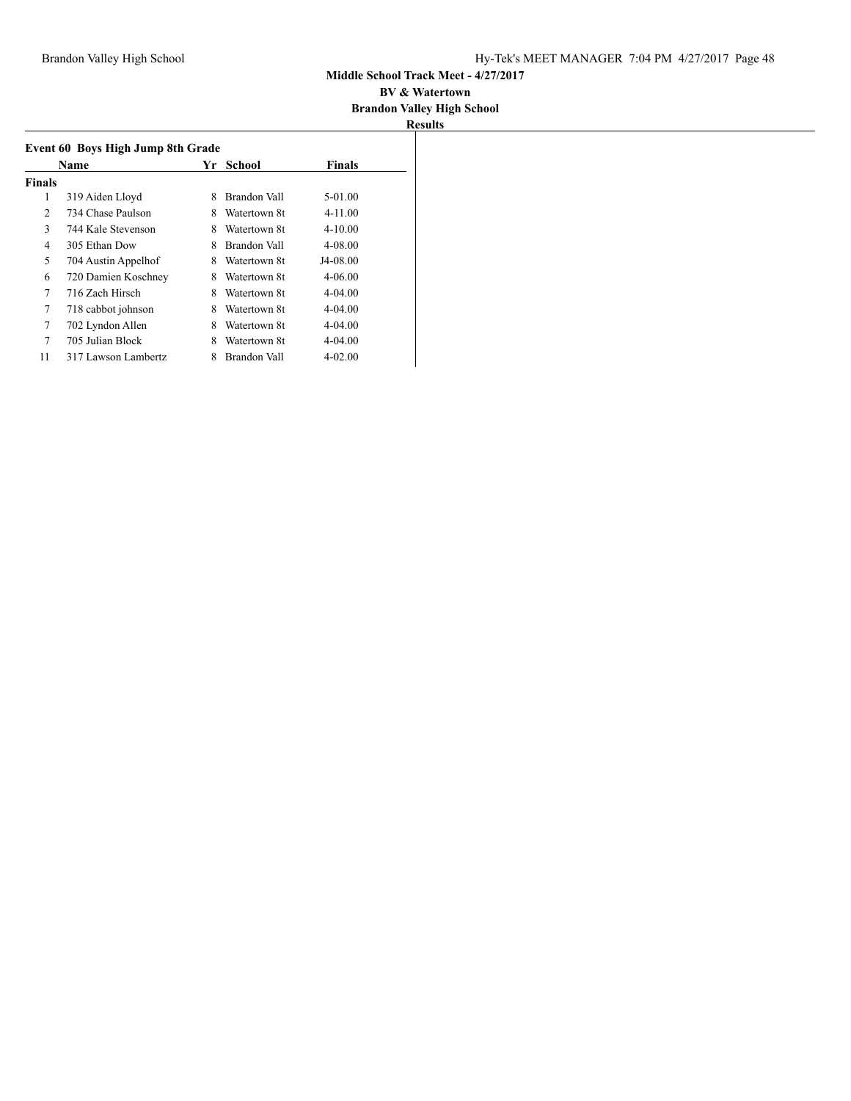#### **BV & Watertown Brandon Valley High School**

|               | Event 60 Boys High Jump 8th Grade |   |              |               |
|---------------|-----------------------------------|---|--------------|---------------|
|               | Name                              |   | Yr School    | <b>Finals</b> |
| <b>Finals</b> |                                   |   |              |               |
| 1             | 319 Aiden Lloyd                   | 8 | Brandon Vall | $5-01.00$     |
| 2             | 734 Chase Paulson                 | 8 | Watertown 8t | $4 - 11.00$   |
| 3             | 744 Kale Stevenson                | 8 | Watertown 8t | $4 - 10.00$   |
| 4             | 305 Ethan Dow                     | 8 | Brandon Vall | 4-08.00       |
| 5             | 704 Austin Appelhof               | 8 | Watertown 8t | J4-08.00      |
| 6             | 720 Damien Koschney               | 8 | Watertown 8t | $4 - 06.00$   |
| 7             | 716 Zach Hirsch                   | 8 | Watertown 8t | $4 - 04.00$   |
| 7             | 718 cabbot johnson                | 8 | Watertown 8t | $4 - 04.00$   |
| 7             | 702 Lyndon Allen                  | 8 | Watertown 8t | $4 - 04.00$   |
| 7             | 705 Julian Block                  | 8 | Watertown 8t | $4 - 04.00$   |
| 11            | 317 Lawson Lambertz               | 8 | Brandon Vall | $4 - 02.00$   |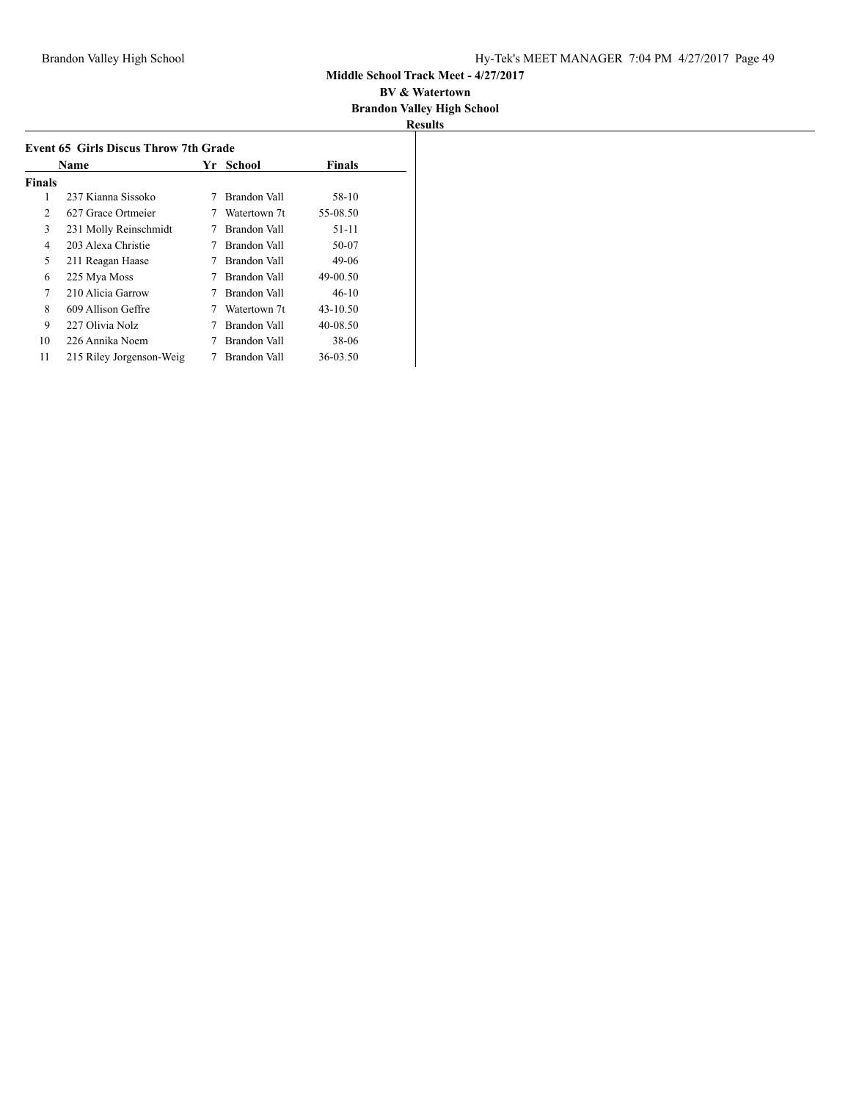#### **BV & Watertown Brandon Valley High School**

| Name   |                          |   | Yr School    | <b>Finals</b> |
|--------|--------------------------|---|--------------|---------------|
| Finals |                          |   |              |               |
| 1      | 237 Kianna Sissoko       |   | Brandon Vall | 58-10         |
| 2      | 627 Grace Ortmeier       |   | Watertown 7t | 55-08.50      |
| 3      | 231 Molly Reinschmidt    | 7 | Brandon Vall | $51 - 11$     |
| 4      | 203 Alexa Christie       |   | Brandon Vall | 50-07         |
| 5      | 211 Reagan Haase         |   | Brandon Vall | 49-06         |
| 6      | 225 Mya Moss             |   | Brandon Vall | 49-00.50      |
| 7      | 210 Alicia Garrow        |   | Brandon Vall | $46-10$       |
| 8      | 609 Allison Geffre       | 7 | Watertown 7t | $43 - 10.50$  |
| 9      | 227 Olivia Nolz          |   | Brandon Vall | 40-08.50      |
| 10     | 226 Annika Noem          |   | Brandon Vall | 38-06         |
| 11     | 215 Riley Jorgenson-Weig |   | Brandon Vall | 36-03.50      |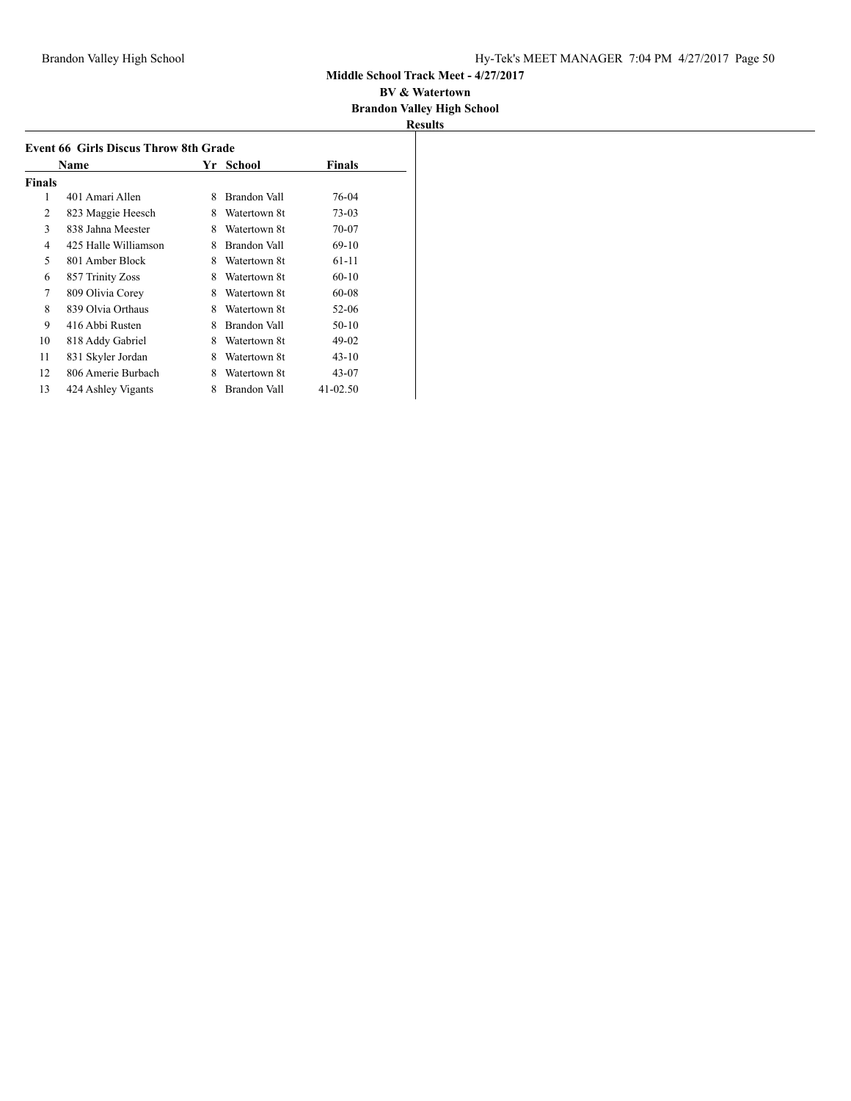#### **BV & Watertown Brandon Valley High School**

|        | <b>Event 66 Girls Discus Throw 8th Grade</b> |   |              |               |  |
|--------|----------------------------------------------|---|--------------|---------------|--|
|        | Name                                         |   | Yr School    | <b>Finals</b> |  |
| Finals |                                              |   |              |               |  |
| 1      | 401 Amari Allen                              | 8 | Brandon Vall | 76-04         |  |
| 2      | 823 Maggie Heesch                            | 8 | Watertown 8t | $73-03$       |  |
| 3      | 838 Jahna Meester                            | 8 | Watertown 8t | 70-07         |  |
| 4      | 425 Halle Williamson                         | 8 | Brandon Vall | $69-10$       |  |
| 5      | 801 Amber Block                              | 8 | Watertown 8t | 61-11         |  |
| 6      | 857 Trinity Zoss                             | 8 | Watertown 8t | $60 - 10$     |  |
| 7      | 809 Olivia Corey                             | 8 | Watertown 8t | 60-08         |  |
| 8      | 839 Olvia Orthaus                            | 8 | Watertown 8t | 52-06         |  |
| 9      | 416 Abbi Rusten                              | 8 | Brandon Vall | 50-10         |  |
| 10     | 818 Addy Gabriel                             | 8 | Watertown 8t | $49-02$       |  |
| 11     | 831 Skyler Jordan                            | 8 | Watertown 8t | $43 - 10$     |  |
| 12     | 806 Amerie Burbach                           | 8 | Watertown 8t | 43-07         |  |
| 13     | 424 Ashley Vigants                           | 8 | Brandon Vall | 41-02.50      |  |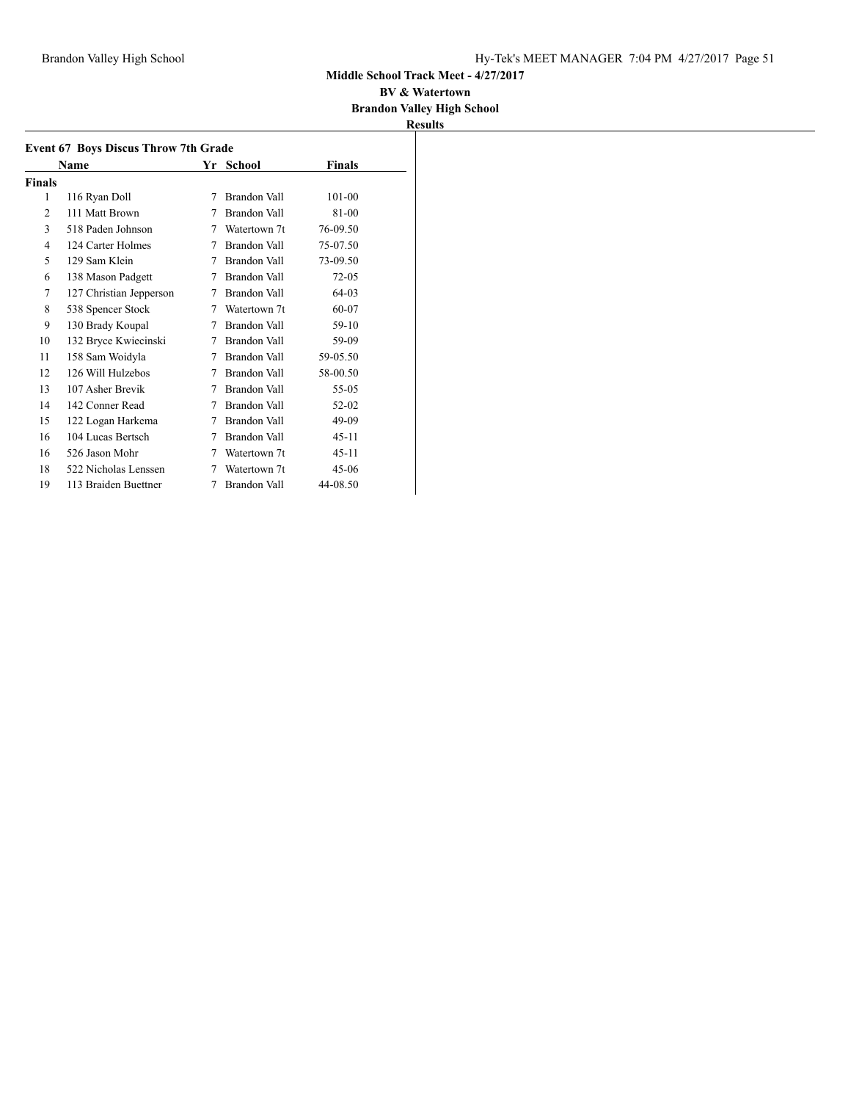#### **BV & Watertown Brandon Valley High School**

|                | <b>Event 67 Boys Discus Throw 7th Grade</b> |   |              |               |  |
|----------------|---------------------------------------------|---|--------------|---------------|--|
|                | Name                                        |   | Yr School    | <b>Finals</b> |  |
| Finals         |                                             |   |              |               |  |
| 1              | 116 Ryan Doll                               | 7 | Brandon Vall | 101-00        |  |
| $\overline{c}$ | 111 Matt Brown                              | 7 | Brandon Vall | 81-00         |  |
| 3              | 518 Paden Johnson                           | 7 | Watertown 7t | 76-09.50      |  |
| 4              | 124 Carter Holmes                           | 7 | Brandon Vall | 75-07.50      |  |
| 5              | 129 Sam Klein                               | 7 | Brandon Vall | 73-09.50      |  |
| 6              | 138 Mason Padgett                           | 7 | Brandon Vall | $72 - 05$     |  |
| 7              | 127 Christian Jepperson                     | 7 | Brandon Vall | 64-03         |  |
| 8              | 538 Spencer Stock                           | 7 | Watertown 7t | 60-07         |  |
| 9              | 130 Brady Koupal                            | 7 | Brandon Vall | 59-10         |  |
| 10             | 132 Bryce Kwiecinski                        | 7 | Brandon Vall | 59-09         |  |
| 11             | 158 Sam Woidyla                             | 7 | Brandon Vall | 59-05.50      |  |
| 12             | 126 Will Hulzebos                           | 7 | Brandon Vall | 58-00.50      |  |
| 13             | 107 Asher Brevik                            | 7 | Brandon Vall | 55-05         |  |
| 14             | 142 Conner Read                             | 7 | Brandon Vall | 52-02         |  |
| 15             | 122 Logan Harkema                           | 7 | Brandon Vall | 49-09         |  |
| 16             | 104 Lucas Bertsch                           | 7 | Brandon Vall | $45 - 11$     |  |
| 16             | 526 Jason Mohr                              | 7 | Watertown 7t | $45 - 11$     |  |
| 18             | 522 Nicholas Lenssen                        | 7 | Watertown 7t | $45-06$       |  |
| 19             | 113 Braiden Buettner                        | 7 | Brandon Vall | 44-08.50      |  |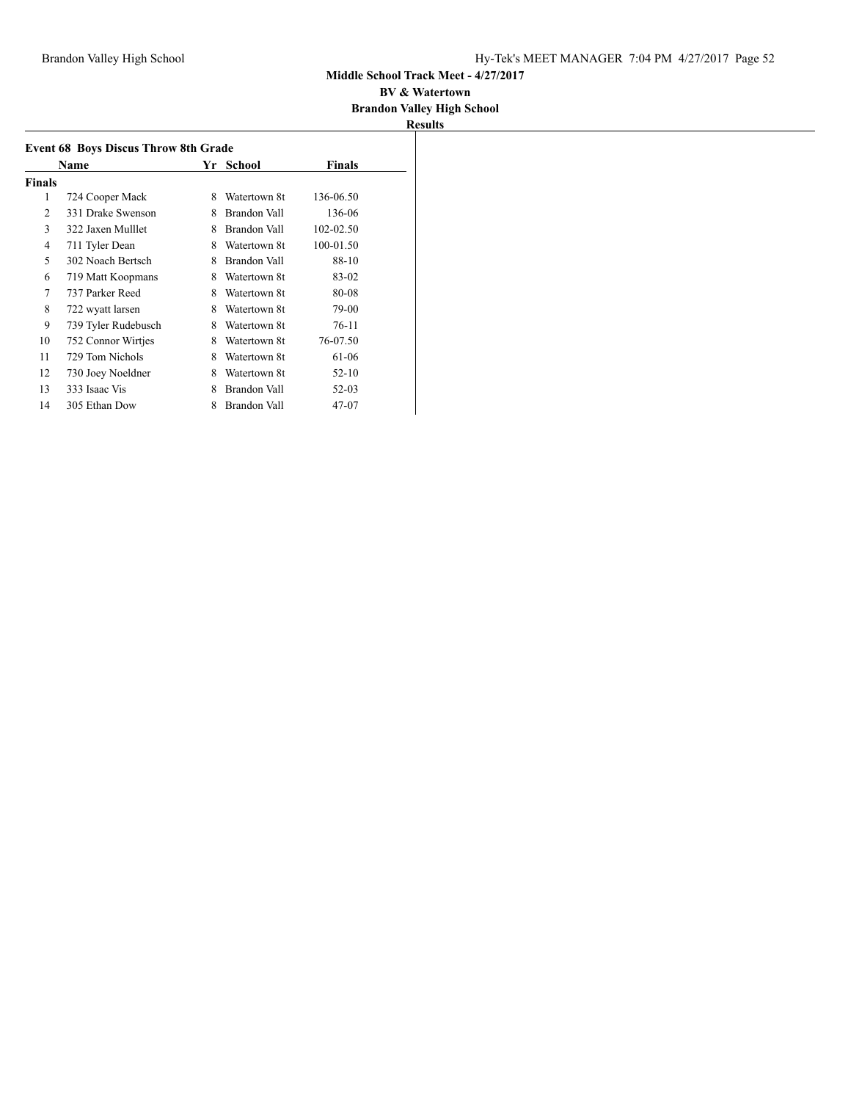#### **BV & Watertown Brandon Valley High School**

|        | Name                |   | Yr School           | <b>Finals</b> |
|--------|---------------------|---|---------------------|---------------|
| Finals |                     |   |                     |               |
| 1      | 724 Cooper Mack     | 8 | Watertown 8t        | 136-06.50     |
| 2      | 331 Drake Swenson   | 8 | Brandon Vall        | 136-06        |
| 3      | 322 Jaxen Mulllet   | 8 | Brandon Vall        | 102-02.50     |
| 4      | 711 Tyler Dean      | 8 | Watertown 8t        | 100-01.50     |
| 5      | 302 Noach Bertsch   | 8 | Brandon Vall        | 88-10         |
| 6      | 719 Matt Koopmans   | 8 | Watertown 8t        | 83-02         |
| 7      | 737 Parker Reed     | 8 | Watertown 8t        | 80-08         |
| 8      | 722 wyatt larsen    | 8 | Watertown 8t        | 79-00         |
| 9      | 739 Tyler Rudebusch | 8 | Watertown 8t        | 76-11         |
| 10     | 752 Connor Wirtjes  | 8 | Watertown 8t        | 76-07.50      |
| 11     | 729 Tom Nichols     | 8 | Watertown 8t        | 61-06         |
| 12     | 730 Joey Noeldner   | 8 | Watertown 8t        | $52 - 10$     |
| 13     | 333 Isaac Vis       | 8 | Brandon Vall        | 52-03         |
| 14     | 305 Ethan Dow       | 8 | <b>Brandon Vall</b> | 47-07         |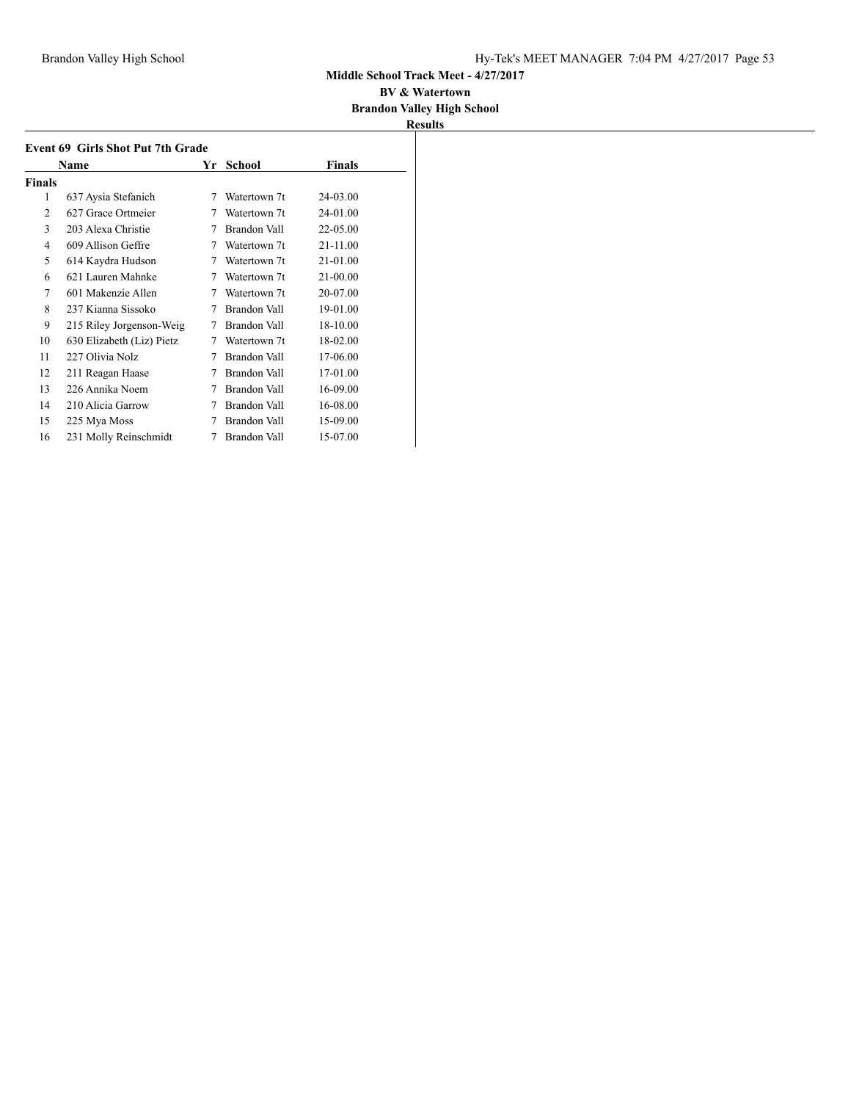#### **BV & Watertown Brandon Valley High School**

|                | <b>Event 69 Girls Shot Put 7th Grade</b> |    |                     |          |  |  |
|----------------|------------------------------------------|----|---------------------|----------|--|--|
|                | Name                                     | Yr | School              | Finals   |  |  |
| Finals         |                                          |    |                     |          |  |  |
| 1              | 637 Aysia Stefanich                      | 7  | Watertown 7t        | 24-03.00 |  |  |
| $\overline{c}$ | 627 Grace Ortmeier                       | 7  | Watertown 7t        | 24-01.00 |  |  |
| 3              | 203 Alexa Christie                       | 7  | Brandon Vall        | 22-05.00 |  |  |
| 4              | 609 Allison Geffre                       | 7  | Watertown 7t        | 21-11.00 |  |  |
| 5              | 614 Kaydra Hudson                        | 7  | Watertown 7t        | 21-01.00 |  |  |
| 6              | 621 Lauren Mahnke                        | 7  | Watertown 7t        | 21-00.00 |  |  |
| 7              | 601 Makenzie Allen                       | 7  | Watertown 7t        | 20-07.00 |  |  |
| 8              | 237 Kianna Sissoko                       | 7  | Brandon Vall        | 19-01.00 |  |  |
| 9              | 215 Riley Jorgenson-Weig                 | 7  | Brandon Vall        | 18-10.00 |  |  |
| 10             | 630 Elizabeth (Liz) Pietz                | 7  | Watertown 7t        | 18-02.00 |  |  |
| 11             | 227 Olivia Nolz                          | 7  | Brandon Vall        | 17-06.00 |  |  |
| 12             | 211 Reagan Haase                         | 7  | <b>Brandon Vall</b> | 17-01.00 |  |  |
| 13             | 226 Annika Noem                          | 7  | Brandon Vall        | 16-09.00 |  |  |
| 14             | 210 Alicia Garrow                        | 7  | Brandon Vall        | 16-08.00 |  |  |
| 15             | 225 Mya Moss                             | 7  | Brandon Vall        | 15-09.00 |  |  |
| 16             | 231 Molly Reinschmidt                    | 7  | Brandon Vall        | 15-07.00 |  |  |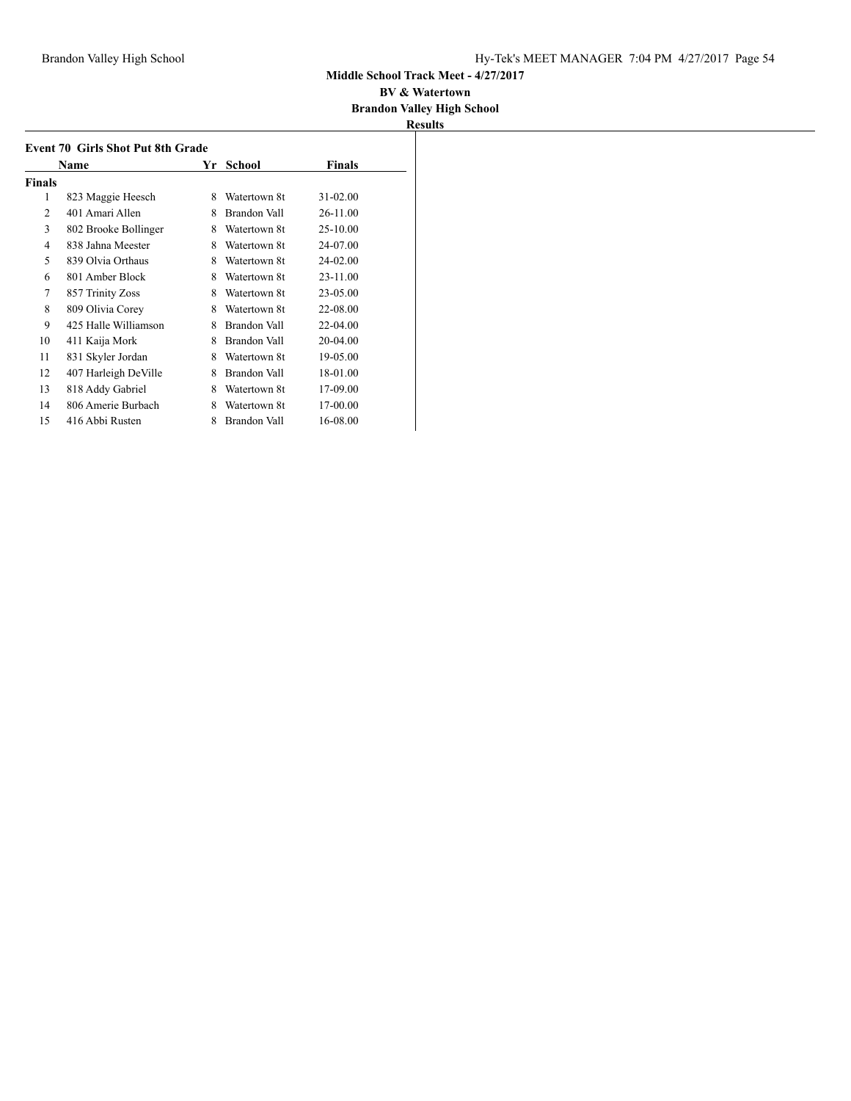#### **BV & Watertown Brandon Valley High School**

|        | <b>Event 70 Girls Shot Put 8th Grade</b> |    |              |          |  |
|--------|------------------------------------------|----|--------------|----------|--|
|        | Name                                     | Yr | School       | Finals   |  |
| Finals |                                          |    |              |          |  |
| 1      | 823 Maggie Heesch                        | 8  | Watertown 8t | 31-02.00 |  |
| 2      | 401 Amari Allen                          | 8  | Brandon Vall | 26-11.00 |  |
| 3      | 802 Brooke Bollinger                     | 8  | Watertown 8t | 25-10.00 |  |
| 4      | 838 Jahna Meester                        | 8  | Watertown 8t | 24-07.00 |  |
| 5      | 839 Olvia Orthaus                        | 8  | Watertown 8t | 24-02.00 |  |
| 6      | 801 Amber Block                          | 8  | Watertown 8t | 23-11.00 |  |
| 7      | 857 Trinity Zoss                         | 8  | Watertown 8t | 23-05.00 |  |
| 8      | 809 Olivia Corey                         | 8  | Watertown 8t | 22-08.00 |  |
| 9      | 425 Halle Williamson                     | 8  | Brandon Vall | 22-04.00 |  |
| 10     | 411 Kaija Mork                           | 8  | Brandon Vall | 20-04.00 |  |
| 11     | 831 Skyler Jordan                        | 8  | Watertown 8t | 19-05.00 |  |
| 12     | 407 Harleigh DeVille                     | 8  | Brandon Vall | 18-01.00 |  |
| 13     | 818 Addy Gabriel                         | 8  | Watertown 8t | 17-09.00 |  |
| 14     | 806 Amerie Burbach                       | 8  | Watertown 8t | 17-00.00 |  |
| 15     | 416 Abbi Rusten                          | 8  | Brandon Vall | 16-08.00 |  |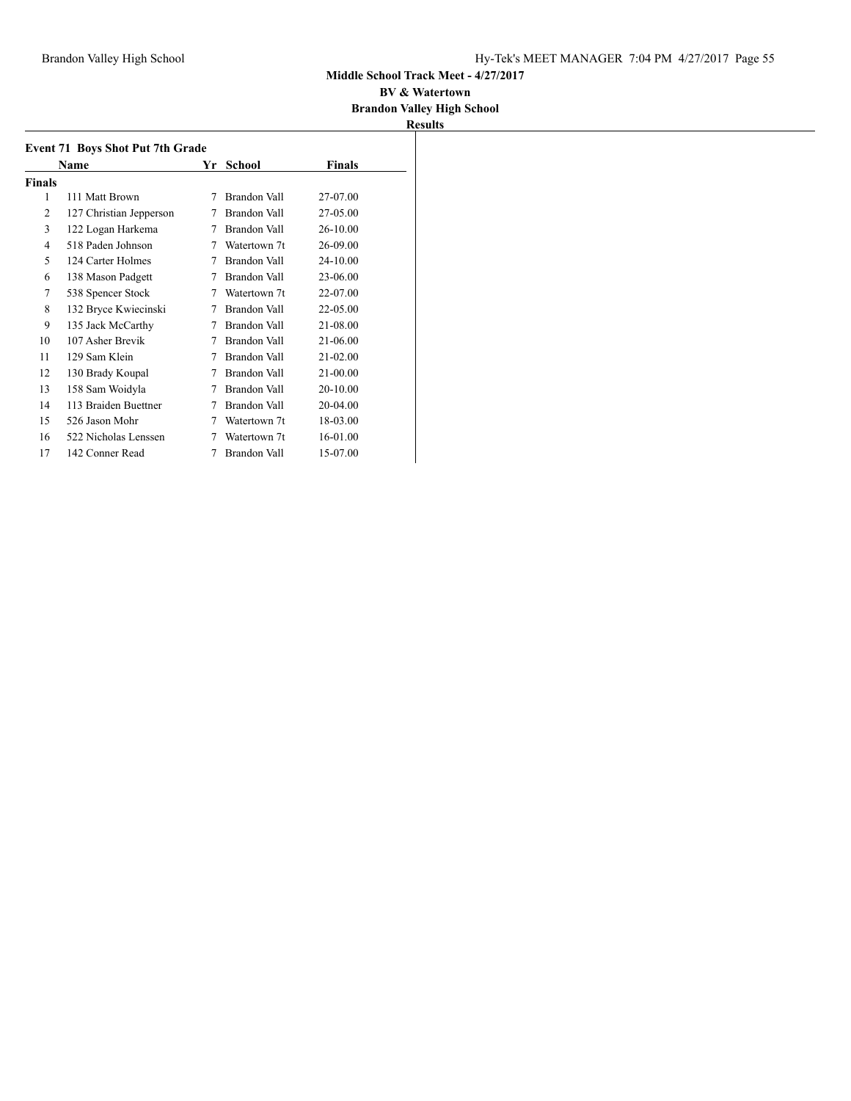#### **BV & Watertown Brandon Valley High School**

|        | <b>Event 71 Boys Shot Put 7th Grade</b> |    |              |              |  |
|--------|-----------------------------------------|----|--------------|--------------|--|
|        | Name                                    | Yr | School       | Finals       |  |
| Finals |                                         |    |              |              |  |
| 1      | 111 Matt Brown                          | 7  | Brandon Vall | 27-07.00     |  |
| 2      | 127 Christian Jepperson                 | 7  | Brandon Vall | 27-05.00     |  |
| 3      | 122 Logan Harkema                       | 7  | Brandon Vall | 26-10.00     |  |
| 4      | 518 Paden Johnson                       | 7  | Watertown 7t | 26-09.00     |  |
| 5      | 124 Carter Holmes                       | 7  | Brandon Vall | 24-10.00     |  |
| 6      | 138 Mason Padgett                       | 7  | Brandon Vall | 23-06.00     |  |
| 7      | 538 Spencer Stock                       | 7  | Watertown 7t | 22-07.00     |  |
| 8      | 132 Bryce Kwiecinski                    | 7  | Brandon Vall | 22-05.00     |  |
| 9      | 135 Jack McCarthy                       | 7  | Brandon Vall | 21-08.00     |  |
| 10     | 107 Asher Brevik                        | 7  | Brandon Vall | 21-06.00     |  |
| 11     | 129 Sam Klein                           | 7  | Brandon Vall | $21 - 02.00$ |  |
| 12     | 130 Brady Koupal                        | 7  | Brandon Vall | 21-00.00     |  |
| 13     | 158 Sam Woidyla                         | 7  | Brandon Vall | 20-10.00     |  |
| 14     | 113 Braiden Buettner                    | 7  | Brandon Vall | 20-04.00     |  |
| 15     | 526 Jason Mohr                          | 7  | Watertown 7t | 18-03.00     |  |
| 16     | 522 Nicholas Lenssen                    | 7  | Watertown 7t | 16-01.00     |  |
| 17     | 142 Conner Read                         | 7  | Brandon Vall | 15-07.00     |  |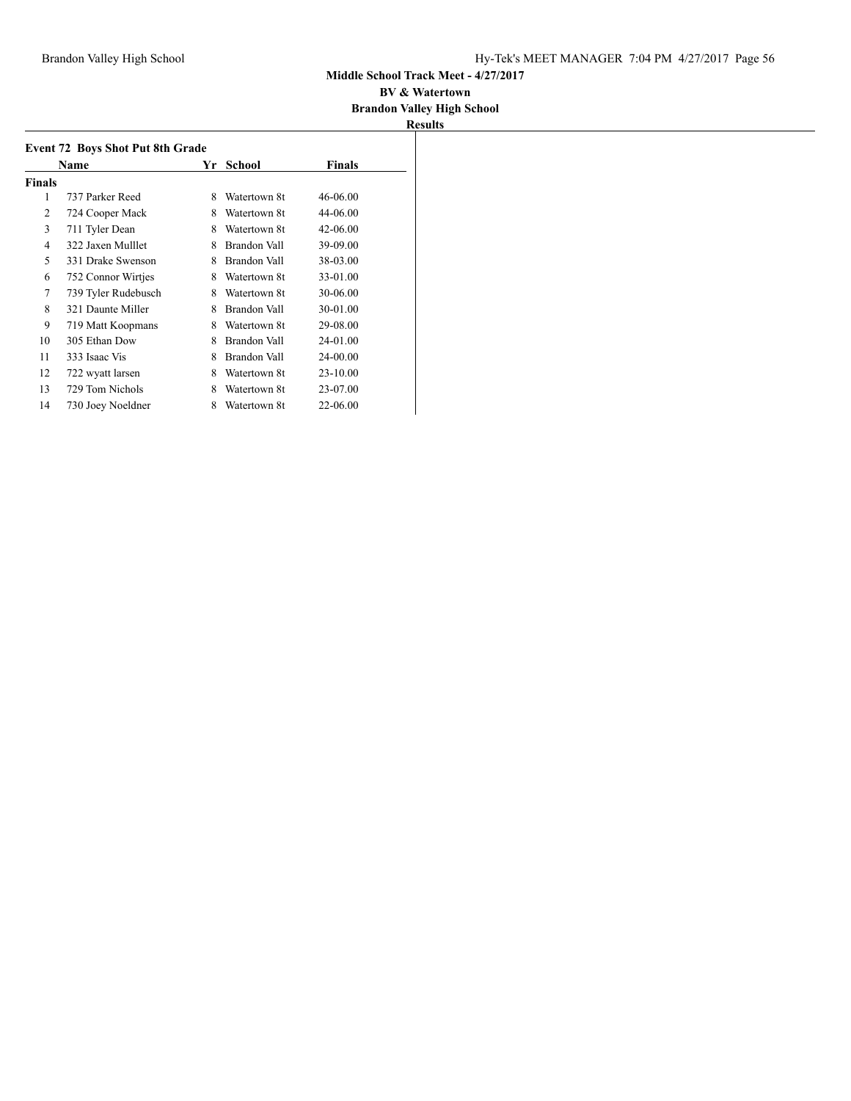#### **BV & Watertown Brandon Valley High School**

|                | Name                | Yr | School       | <b>Finals</b> |
|----------------|---------------------|----|--------------|---------------|
| <b>Finals</b>  |                     |    |              |               |
| 1              | 737 Parker Reed     | 8  | Watertown 8t | 46-06.00      |
| $\overline{2}$ | 724 Cooper Mack     | 8  | Watertown 8t | 44-06.00      |
| 3              | 711 Tyler Dean      | 8  | Watertown 8t | 42-06.00      |
| 4              | 322 Jaxen Mulllet   | 8  | Brandon Vall | 39-09.00      |
| 5              | 331 Drake Swenson   | 8  | Brandon Vall | 38-03.00      |
| 6              | 752 Connor Wirtjes  | 8  | Watertown 8t | 33-01.00      |
| 7              | 739 Tyler Rudebusch | 8  | Watertown 8t | 30-06.00      |
| 8              | 321 Daunte Miller   | 8  | Brandon Vall | 30-01.00      |
| 9              | 719 Matt Koopmans   | 8  | Watertown 8t | 29-08.00      |
| 10             | 305 Ethan Dow       | 8  | Brandon Vall | 24-01.00      |
| 11             | 333 Isaac Vis       | 8  | Brandon Vall | 24-00.00      |
| 12             | 722 wyatt larsen    | 8  | Watertown 8t | $23 - 10.00$  |
| 13             | 729 Tom Nichols     | 8  | Watertown 8t | 23-07.00      |
| 14             | 730 Joey Noeldner   | 8  | Watertown 8t | 22-06.00      |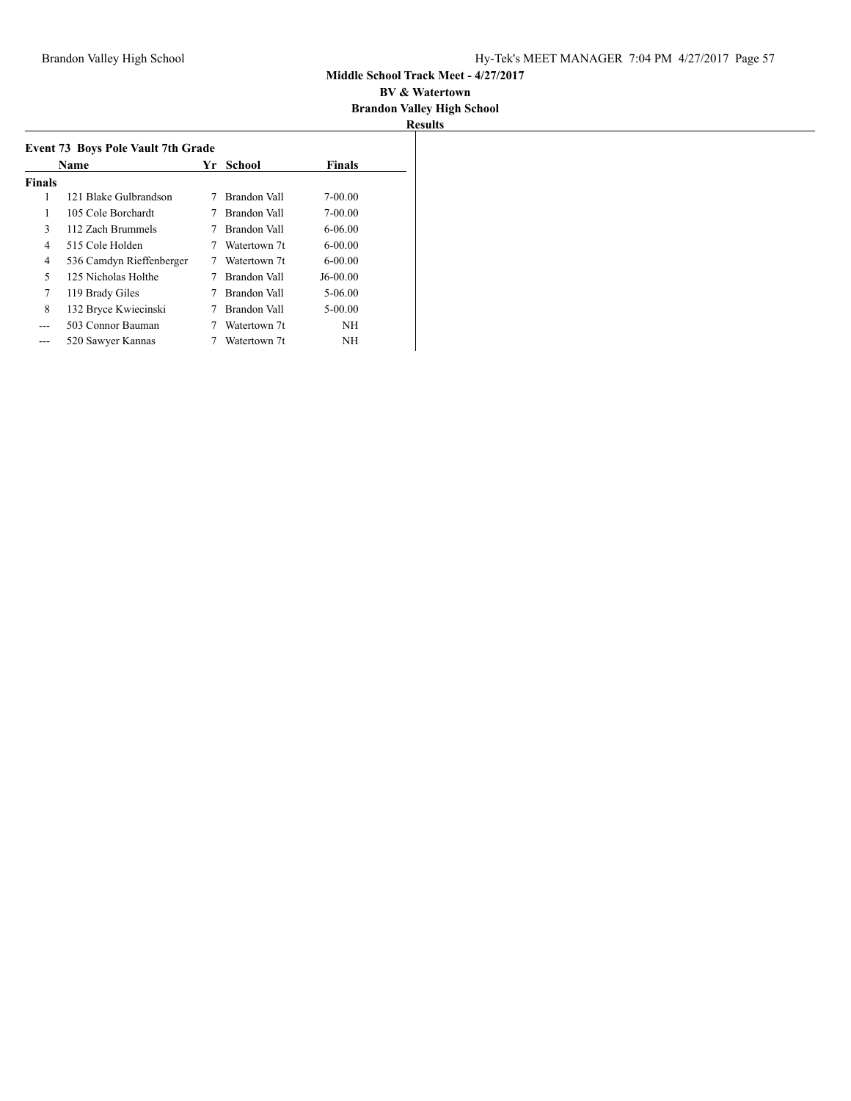| Results |
|---------|

| <b>Event 73 Boys Pole Vault 7th Grade</b><br>Yr. |                          |  |              |               |  |  |  |
|--------------------------------------------------|--------------------------|--|--------------|---------------|--|--|--|
|                                                  | Name                     |  | School       | <b>Finals</b> |  |  |  |
| <b>Finals</b>                                    |                          |  |              |               |  |  |  |
| 1                                                | 121 Blake Gulbrandson    |  | Brandon Vall | 7-00.00       |  |  |  |
| 1                                                | 105 Cole Borchardt       |  | Brandon Vall | $7 - 00.00$   |  |  |  |
| 3                                                | 112 Zach Brummels        |  | Brandon Vall | $6 - 06.00$   |  |  |  |
| 4                                                | 515 Cole Holden          |  | Watertown 7t | $6 - 00.00$   |  |  |  |
| 4                                                | 536 Camdyn Rieffenberger |  | Watertown 7t | $6 - 00.00$   |  |  |  |
| 5                                                | 125 Nicholas Holthe      |  | Brandon Vall | $J6-00.00$    |  |  |  |
| 7                                                | 119 Brady Giles          |  | Brandon Vall | 5-06.00       |  |  |  |
| 8                                                | 132 Bryce Kwiecinski     |  | Brandon Vall | $5 - 00.00$   |  |  |  |
|                                                  | 503 Connor Bauman        |  | Watertown 7t | NH            |  |  |  |
|                                                  | 520 Sawyer Kannas        |  | Watertown 7t | NΗ            |  |  |  |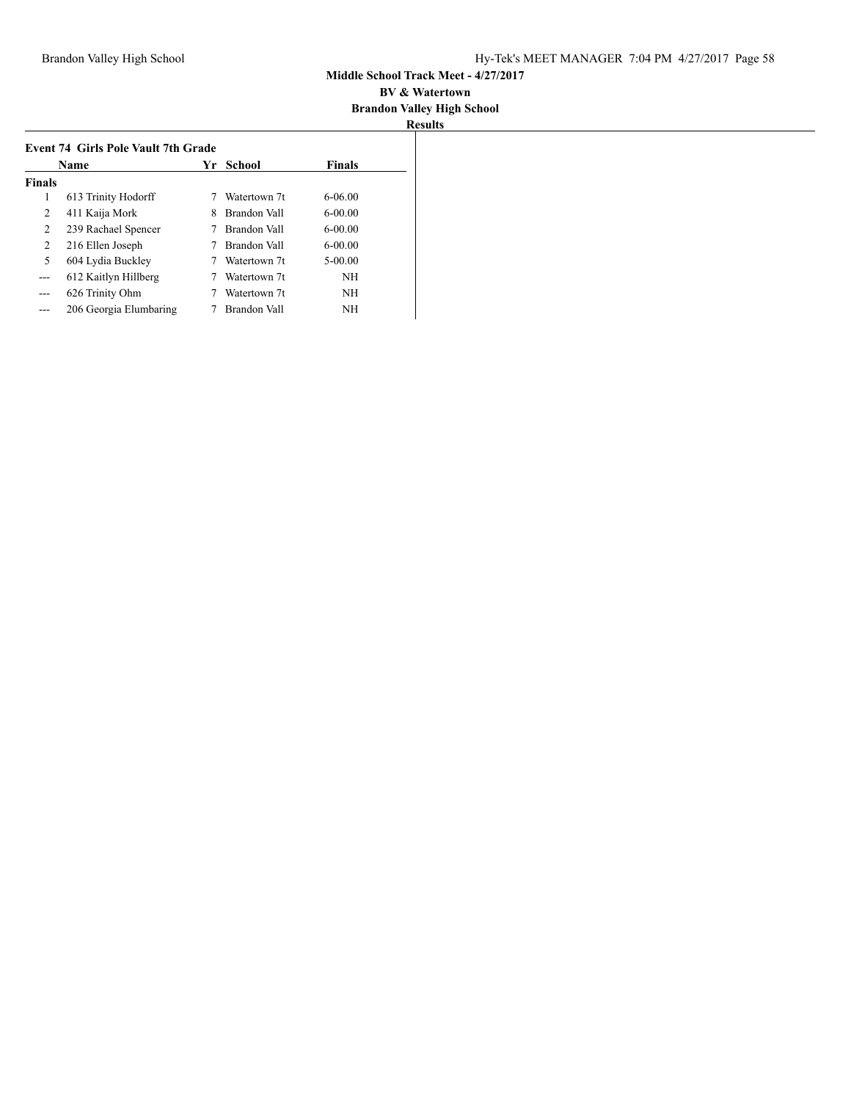| <b>Name</b>   |                        |   | Yr School    | <b>Finals</b> |
|---------------|------------------------|---|--------------|---------------|
| <b>Finals</b> |                        |   |              |               |
| 1             | 613 Trinity Hodorff    |   | Watertown 7t | $6-06.00$     |
| 2             | 411 Kaija Mork         | 8 | Brandon Vall | $6-00.00$     |
| 2             | 239 Rachael Spencer    |   | Brandon Vall | $6-00.00$     |
| 2             | 216 Ellen Joseph       |   | Brandon Vall | $6-00.00$     |
| 5             | 604 Lydia Buckley      |   | Watertown 7t | $5-00.00$     |
| ---           | 612 Kaitlyn Hillberg   |   | Watertown 7t | <b>NH</b>     |
| ---           | 626 Trinity Ohm        |   | Watertown 7t | <b>NH</b>     |
|               | 206 Georgia Elumbaring |   | Brandon Vall | <b>NH</b>     |
|               |                        |   |              |               |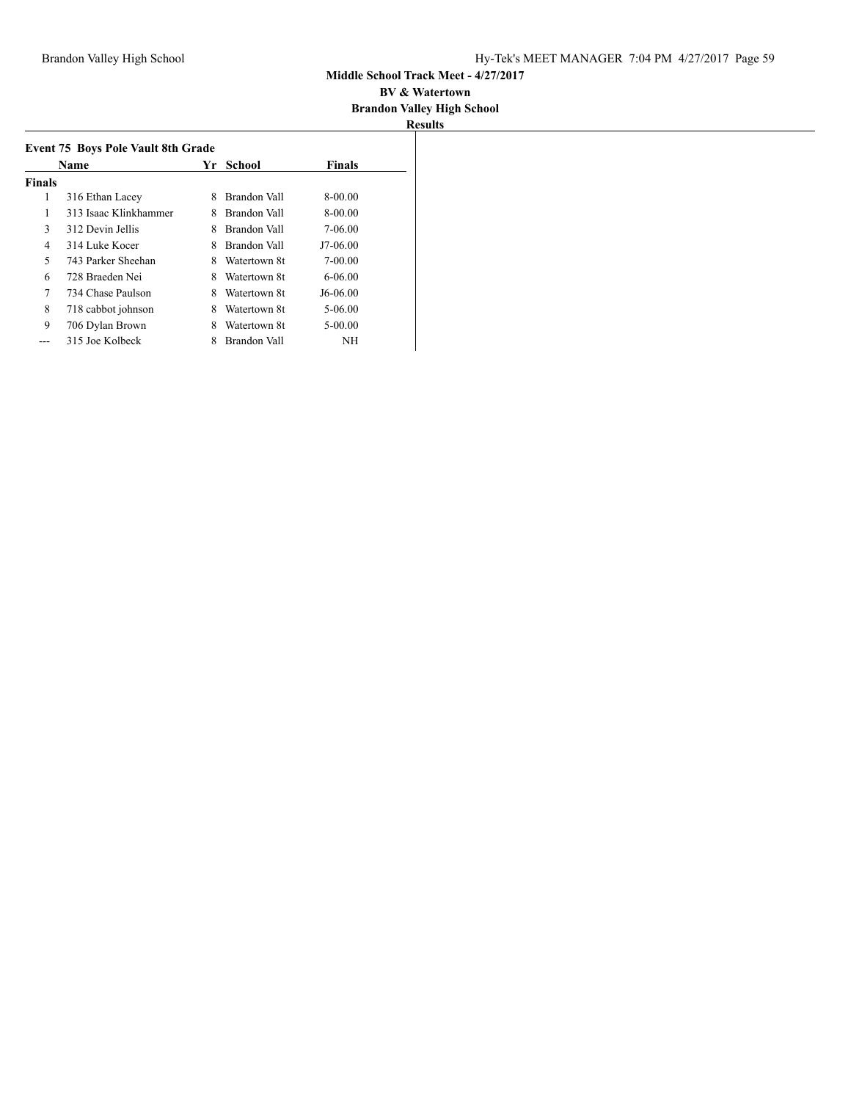#### **BV & Watertown Brandon Valley High School**

| Name   |                       |   | Yr School    | <b>Finals</b> |  |
|--------|-----------------------|---|--------------|---------------|--|
| Finals |                       |   |              |               |  |
| 1      | 316 Ethan Lacey       | 8 | Brandon Vall | 8-00.00       |  |
| 1      | 313 Isaac Klinkhammer | 8 | Brandon Vall | 8-00.00       |  |
| 3      | 312 Devin Jellis      | 8 | Brandon Vall | 7-06.00       |  |
| 4      | 314 Luke Kocer        | 8 | Brandon Vall | $J7-06.00$    |  |
| 5      | 743 Parker Sheehan    | 8 | Watertown 8t | $7 - 00.00$   |  |
| 6      | 728 Braeden Nei       | 8 | Watertown 8t | $6-06.00$     |  |
| 7      | 734 Chase Paulson     | 8 | Watertown 8t | J6-06.00      |  |
| 8      | 718 cabbot johnson    | 8 | Watertown 8t | $5 - 06.00$   |  |
| 9      | 706 Dylan Brown       | 8 | Watertown 8t | $5 - 00.00$   |  |
|        | 315 Joe Kolbeck       | 8 | Brandon Vall | NΗ            |  |